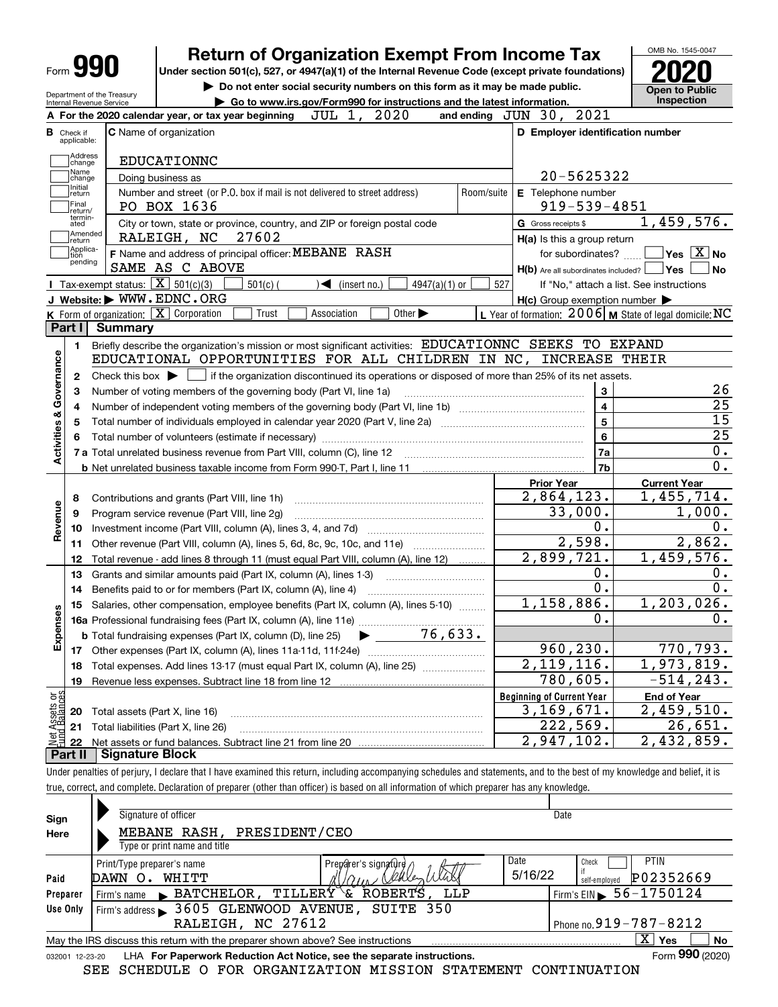| Form YYU<br>Department of the Treasury |                                  |                                                            | <b>Return of Organization Exempt From Income Tax</b><br>Under section 501(c), 527, or 4947(a)(1) of the Internal Revenue Code (except private foundations)<br>Do not enter social security numbers on this form as it may be made public. |            |                                                     | OMB No. 1545-0047<br><b>Open to Public</b><br>Inspection  |
|----------------------------------------|----------------------------------|------------------------------------------------------------|-------------------------------------------------------------------------------------------------------------------------------------------------------------------------------------------------------------------------------------------|------------|-----------------------------------------------------|-----------------------------------------------------------|
|                                        |                                  | <b>Internal Revenue Service</b>                            | Go to www.irs.gov/Form990 for instructions and the latest information.<br>JUL 1, 2020                                                                                                                                                     |            | and ending JUN 30, 2021                             |                                                           |
|                                        |                                  |                                                            | A For the 2020 calendar year, or tax year beginning                                                                                                                                                                                       |            |                                                     |                                                           |
|                                        | <b>B</b> Check if<br>applicable: |                                                            | <b>C</b> Name of organization                                                                                                                                                                                                             |            | D Employer identification number                    |                                                           |
|                                        | Address<br>change                |                                                            | EDUCATIONNC                                                                                                                                                                                                                               |            |                                                     |                                                           |
|                                        | Name<br>change                   |                                                            | Doing business as                                                                                                                                                                                                                         |            | 20-5625322                                          |                                                           |
|                                        | Initial<br>return                |                                                            | Number and street (or P.O. box if mail is not delivered to street address)                                                                                                                                                                | Room/suite | E Telephone number                                  |                                                           |
|                                        | Final<br>return/                 |                                                            | PO BOX 1636                                                                                                                                                                                                                               |            | $919 - 539 - 4851$                                  |                                                           |
|                                        | termin-<br>ated                  |                                                            | City or town, state or province, country, and ZIP or foreign postal code                                                                                                                                                                  |            | G Gross receipts \$                                 | 1,459,576.                                                |
|                                        | Amended<br>return                |                                                            | RALEIGH, NC<br>27602                                                                                                                                                                                                                      |            | $H(a)$ is this a group return                       |                                                           |
|                                        | Applica-<br>tion                 |                                                            | F Name and address of principal officer: MEBANE RASH                                                                                                                                                                                      |            | for subordinates?                                   | $Yes \ \boxed{X}$ No                                      |
|                                        | pending                          |                                                            | SAME AS C ABOVE                                                                                                                                                                                                                           |            | H(b) Are all subordinates included?   Yes           | No                                                        |
|                                        |                                  | <b>I</b> Tax-exempt status: $\boxed{\mathbf{X}}$ 501(c)(3) | $501(c)$ (<br>$\triangleleft$ (insert no.)<br>$4947(a)(1)$ or                                                                                                                                                                             | 527        |                                                     | If "No," attach a list. See instructions                  |
|                                        |                                  |                                                            | J Website: WWW.EDNC.ORG                                                                                                                                                                                                                   |            | $H(c)$ Group exemption number $\blacktriangleright$ |                                                           |
|                                        |                                  |                                                            | <b>K</b> Form of organization: $\boxed{\mathbf{X}}$ Corporation<br>Association<br>Other $\blacktriangleright$<br>Trust                                                                                                                    |            |                                                     | L Year of formation: $2006$ M State of legal domicile: NC |
|                                        | Part I                           | <b>Summary</b>                                             |                                                                                                                                                                                                                                           |            |                                                     |                                                           |
|                                        | 1.                               |                                                            | Briefly describe the organization's mission or most significant activities: EDUCATIONNC SEEKS TO EXPAND                                                                                                                                   |            |                                                     |                                                           |
|                                        |                                  |                                                            | EDUCATIONAL OPPORTUNITIES FOR ALL CHILDREN IN NC, INCREASE THEIR                                                                                                                                                                          |            |                                                     |                                                           |
|                                        | 2<br>3                           |                                                            | Check this box $\blacktriangleright \Box$ if the organization discontinued its operations or disposed of more than 25% of its net assets.                                                                                                 |            | 3                                                   | 26                                                        |
|                                        | 4                                |                                                            | Number of voting members of the governing body (Part VI, line 1a)                                                                                                                                                                         |            | $\overline{4}$                                      | $\overline{25}$                                           |
|                                        | 5                                |                                                            |                                                                                                                                                                                                                                           |            | 5                                                   | $\overline{15}$                                           |
| <b>Activities &amp; Governance</b>     | 6                                |                                                            | Total number of volunteers (estimate if necessary)                                                                                                                                                                                        |            | 6                                                   | $\overline{25}$                                           |
|                                        |                                  |                                                            | 7 a Total unrelated business revenue from Part VIII, column (C), line 12                                                                                                                                                                  |            | 7a                                                  | 0.                                                        |
|                                        |                                  |                                                            |                                                                                                                                                                                                                                           |            | 7 <sub>b</sub>                                      | $\overline{0}$ .                                          |
|                                        |                                  |                                                            |                                                                                                                                                                                                                                           |            | <b>Prior Year</b>                                   | <b>Current Year</b>                                       |
|                                        | 8                                |                                                            | Contributions and grants (Part VIII, line 1h)                                                                                                                                                                                             |            | 2,864,123.                                          | 1,455,714.                                                |
| Revenue                                | 9                                |                                                            | Program service revenue (Part VIII, line 2g)                                                                                                                                                                                              |            | 33,000.                                             | 1,000.                                                    |
|                                        | 10                               |                                                            |                                                                                                                                                                                                                                           |            | 0.                                                  | 0.                                                        |
|                                        | 11                               |                                                            | Other revenue (Part VIII, column (A), lines 5, 6d, 8c, 9c, 10c, and 11e)                                                                                                                                                                  |            | 2,598.                                              | 2,862.                                                    |
|                                        | 12                               |                                                            | Total revenue - add lines 8 through 11 (must equal Part VIII, column (A), line 12)                                                                                                                                                        |            | 2,899,721.                                          | 1,459,576.                                                |
|                                        | 13                               |                                                            | Grants and similar amounts paid (Part IX, column (A), lines 1-3)                                                                                                                                                                          |            | 0.                                                  | $\mathbf 0$ .                                             |
|                                        | 14                               |                                                            | Benefits paid to or for members (Part IX, column (A), line 4)                                                                                                                                                                             |            | 0.<br>1,158,886.                                    | $\mathbf 0$ .<br>1, 203, 026.                             |
| <b>SO</b>                              | 15                               |                                                            | Salaries, other compensation, employee benefits (Part IX, column (A), lines 5-10)                                                                                                                                                         |            | 0.                                                  | 0.                                                        |
| Expense                                |                                  |                                                            | 76,633.                                                                                                                                                                                                                                   |            |                                                     |                                                           |
|                                        |                                  |                                                            | <b>b</b> Total fundraising expenses (Part IX, column (D), line 25)                                                                                                                                                                        |            | 960, 230.                                           | 770,793.                                                  |
|                                        | 17<br>18                         |                                                            | Total expenses. Add lines 13-17 (must equal Part IX, column (A), line 25)                                                                                                                                                                 |            | $\overline{2,119,116}$ .                            | 1,973,819.                                                |
|                                        | 19                               |                                                            | Revenue less expenses. Subtract line 18 from line 12                                                                                                                                                                                      |            | 780,605.                                            | $-514, 243.$                                              |
|                                        |                                  |                                                            |                                                                                                                                                                                                                                           |            | <b>Beginning of Current Year</b>                    | <b>End of Year</b>                                        |
| Net Assets or<br>Fund Balances         | 20                               | Total assets (Part X, line 16)                             |                                                                                                                                                                                                                                           |            | 3, 169, 671.                                        | 2,459,510.                                                |
|                                        | 21                               |                                                            | Total liabilities (Part X, line 26)                                                                                                                                                                                                       |            | 222,569.                                            | 26,651.                                                   |
|                                        | 22                               |                                                            |                                                                                                                                                                                                                                           |            | 2,947,102.                                          | 2,432,859.                                                |
|                                        | <b>Part II</b>                   | <b>Signature Block</b>                                     |                                                                                                                                                                                                                                           |            |                                                     |                                                           |
|                                        |                                  |                                                            | Under penalties of perjury, I declare that I have examined this return, including accompanying schedules and statements, and to the best of my knowledge and belief, it is                                                                |            |                                                     |                                                           |

true, correct, and complete. Declaration of preparer (other than officer) is based on all information of which preparer has any knowledge.

| Sign            | Signature of officer                                                            |                                     | Date            |                                                    |
|-----------------|---------------------------------------------------------------------------------|-------------------------------------|-----------------|----------------------------------------------------|
| Here            | MEBANE RASH, PRESIDENT/CEO<br>Type or print name and title                      |                                     |                 |                                                    |
| Paid            | Print/Type preparer's name<br>DAWN O.<br>WHITT                                  | Prenarer's signatuire ∧<br>Wellen 1 | Date<br>5/16/22 | <b>PTIN</b><br>Check<br>P02352669<br>self-emploved |
| Preparer        | <b>TILLERY &amp;</b><br>BATCHELOR,<br>Firm's name                               | ROBERT'S,<br>LLP                    |                 | Firm's $EIN \triangleright 56 - 1750124$           |
| Use Only        | Firm's address 3605 GLENWOOD AVENUE, SUITE 350                                  |                                     |                 |                                                    |
|                 | RALEIGH, NC 27612                                                               |                                     |                 | Phone no. $919 - 787 - 8212$                       |
|                 | May the IRS discuss this return with the preparer shown above? See instructions |                                     |                 | $X \vert Y$ es<br>No                               |
| 032001 12-23-20 | LHA For Paperwork Reduction Act Notice, see the separate instructions.          |                                     |                 | Form 990 (2020)                                    |
|                 | COURDITE O ROB ODOANTRARIANI MICCIONI ORARENER COMPINIENTARION<br>$\alpha$ mm   |                                     |                 |                                                    |

SEE SCHEDULE O FOR ORGANIZATION MISSION STATEMENT CONTINUATION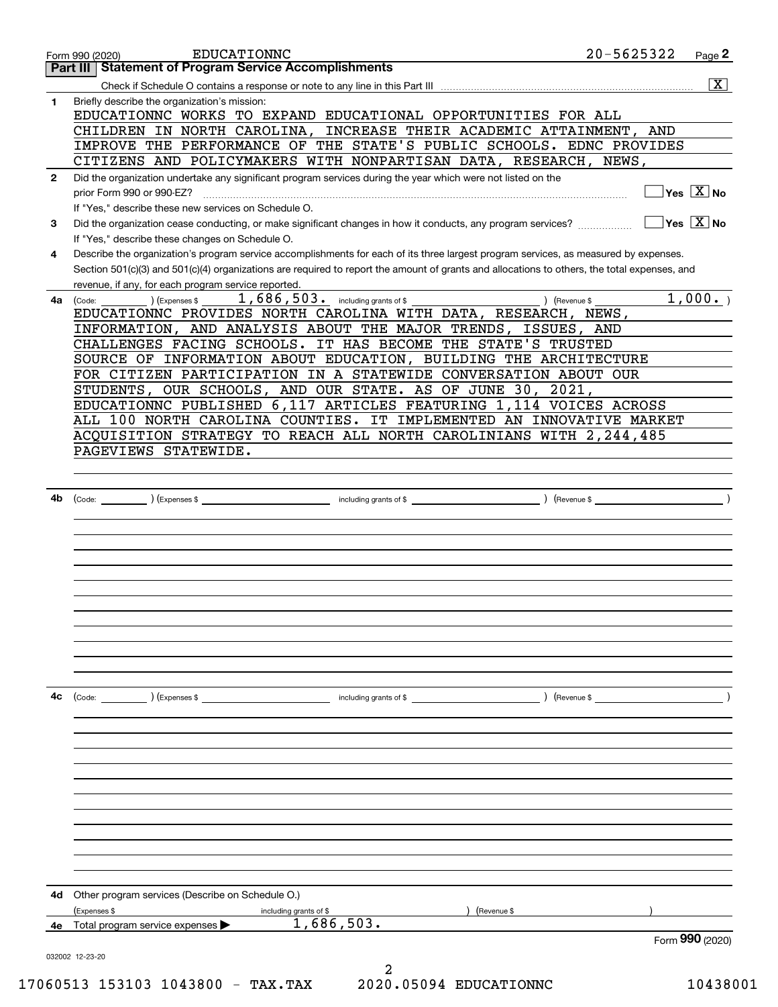|              | <b>EDUCATIONNC</b><br>Form 990 (2020)                                                                                                        | 20-5625322    | Page 2                                 |
|--------------|----------------------------------------------------------------------------------------------------------------------------------------------|---------------|----------------------------------------|
|              | Part III Statement of Program Service Accomplishments                                                                                        |               |                                        |
|              |                                                                                                                                              |               | $\overline{\mathbf{X}}$                |
| 1            | Briefly describe the organization's mission:<br>EDUCATIONNC WORKS TO EXPAND EDUCATIONAL OPPORTUNITIES FOR ALL                                |               |                                        |
|              | CHILDREN IN NORTH CAROLINA, INCREASE THEIR ACADEMIC ATTAINMENT, AND                                                                          |               |                                        |
|              | IMPROVE THE PERFORMANCE OF THE STATE'S PUBLIC SCHOOLS. EDNC PROVIDES                                                                         |               |                                        |
|              | CITIZENS AND POLICYMAKERS WITH NONPARTISAN DATA, RESEARCH, NEWS,                                                                             |               |                                        |
| $\mathbf{2}$ | Did the organization undertake any significant program services during the year which were not listed on the                                 |               |                                        |
|              | prior Form 990 or 990-EZ?                                                                                                                    |               | $Yes \quad X \quad No$                 |
|              | If "Yes," describe these new services on Schedule O.                                                                                         |               |                                        |
| 3            | Did the organization cease conducting, or make significant changes in how it conducts, any program services?                                 |               | $\sqrt{}$ Yes $\sqrt{}$ X $\sqrt{}$ No |
|              | If "Yes," describe these changes on Schedule O.                                                                                              |               |                                        |
| 4            | Describe the organization's program service accomplishments for each of its three largest program services, as measured by expenses.         |               |                                        |
|              | Section 501(c)(3) and 501(c)(4) organizations are required to report the amount of grants and allocations to others, the total expenses, and |               |                                        |
|              | revenue, if any, for each program service reported.                                                                                          |               |                                        |
| 4a           | 1,686,503. including grants of \$<br>(Expenses \$<br>(Code:                                                                                  | ) (Revenue \$ | 1,000.                                 |
|              | EDUCATIONNC PROVIDES NORTH CAROLINA WITH DATA, RESEARCH, NEWS,                                                                               |               |                                        |
|              | INFORMATION, AND ANALYSIS ABOUT THE MAJOR TRENDS, ISSUES, AND                                                                                |               |                                        |
|              | CHALLENGES FACING SCHOOLS. IT HAS BECOME THE STATE'S TRUSTED                                                                                 |               |                                        |
|              | SOURCE OF INFORMATION ABOUT EDUCATION, BUILDING THE ARCHITECTURE                                                                             |               |                                        |
|              | FOR CITIZEN PARTICIPATION IN A STATEWIDE CONVERSATION ABOUT OUR                                                                              |               |                                        |
|              | STUDENTS, OUR SCHOOLS, AND OUR STATE. AS OF JUNE 30, 2021,                                                                                   |               |                                        |
|              | EDUCATIONNC PUBLISHED 6,117 ARTICLES FEATURING 1,114 VOICES ACROSS                                                                           |               |                                        |
|              | ALL 100 NORTH CAROLINA COUNTIES. IT IMPLEMENTED AN INNOVATIVE MARKET<br>ACQUISITION STRATEGY TO REACH ALL NORTH CAROLINIANS WITH 2,244,485   |               |                                        |
|              | PAGEVIEWS STATEWIDE.                                                                                                                         |               |                                        |
|              |                                                                                                                                              |               |                                        |
|              |                                                                                                                                              |               |                                        |
| 4b           |                                                                                                                                              |               |                                        |
|              |                                                                                                                                              |               |                                        |
|              |                                                                                                                                              |               |                                        |
|              |                                                                                                                                              |               |                                        |
|              |                                                                                                                                              |               |                                        |
|              |                                                                                                                                              |               |                                        |
|              |                                                                                                                                              |               |                                        |
|              |                                                                                                                                              |               |                                        |
|              |                                                                                                                                              |               |                                        |
|              |                                                                                                                                              |               |                                        |
|              |                                                                                                                                              |               |                                        |
|              |                                                                                                                                              |               |                                        |
|              |                                                                                                                                              |               |                                        |
| 4c           | $\left(\text{Code:}\right)$ $\left(\text{Expenses $}\right)$<br>including grants of \$                                                       | ) (Revenue \$ |                                        |
|              |                                                                                                                                              |               |                                        |
|              |                                                                                                                                              |               |                                        |
|              |                                                                                                                                              |               |                                        |
|              |                                                                                                                                              |               |                                        |
|              |                                                                                                                                              |               |                                        |
|              |                                                                                                                                              |               |                                        |
|              |                                                                                                                                              |               |                                        |
|              |                                                                                                                                              |               |                                        |
|              |                                                                                                                                              |               |                                        |
|              |                                                                                                                                              |               |                                        |
|              |                                                                                                                                              |               |                                        |
| 4d           | Other program services (Describe on Schedule O.)                                                                                             |               |                                        |
|              | (Expenses \$<br>(Revenue \$<br>including grants of \$                                                                                        |               |                                        |
| 4е           | 1,686,503.<br>Total program service expenses                                                                                                 |               |                                        |
|              |                                                                                                                                              |               | Form 990 (2020)                        |
|              | 032002 12-23-20                                                                                                                              |               |                                        |
|              | 2                                                                                                                                            |               |                                        |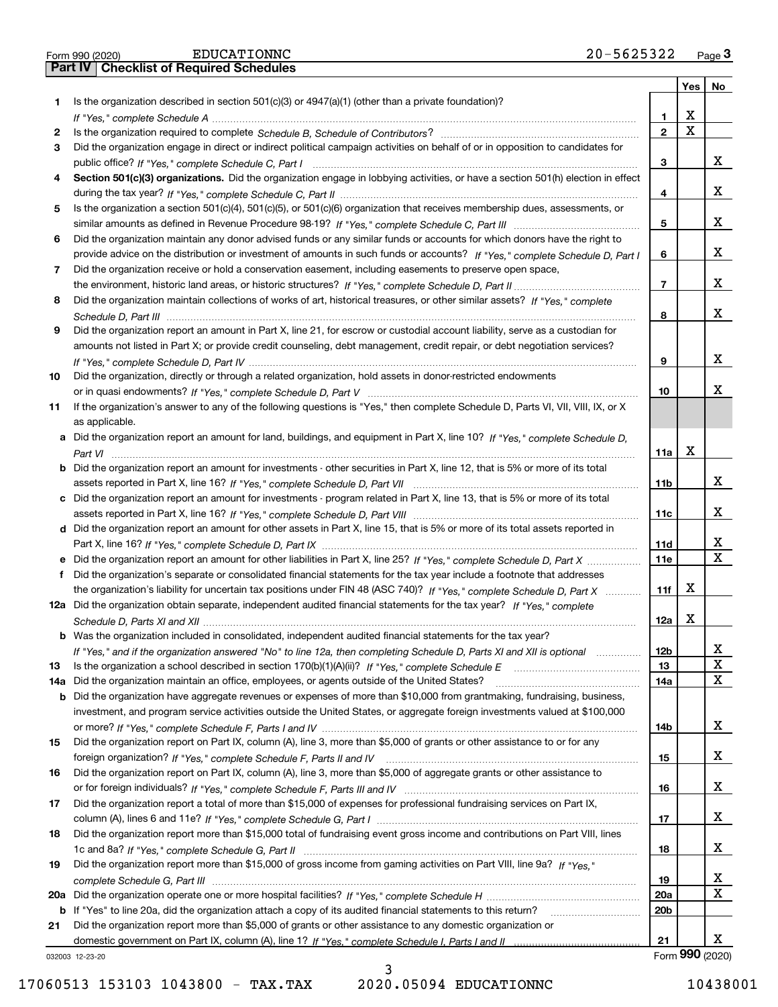|  | Form 990 (2020) |
|--|-----------------|
|  |                 |

**Part IV Checklist of Required Schedules** EDUCATIONNC 20‐5625322

Т

┱

|     |                                                                                                                                       |                 |             | Yes   No        |
|-----|---------------------------------------------------------------------------------------------------------------------------------------|-----------------|-------------|-----------------|
| 1   | Is the organization described in section $501(c)(3)$ or $4947(a)(1)$ (other than a private foundation)?                               |                 |             |                 |
|     |                                                                                                                                       | 1               | х           |                 |
| 2   |                                                                                                                                       | $\mathbf{2}$    | $\mathbf X$ |                 |
| 3   | Did the organization engage in direct or indirect political campaign activities on behalf of or in opposition to candidates for       |                 |             |                 |
|     |                                                                                                                                       | 3               |             | х               |
| 4   | Section 501(c)(3) organizations. Did the organization engage in lobbying activities, or have a section 501(h) election in effect      |                 |             |                 |
|     |                                                                                                                                       | 4               |             | х               |
| 5   | Is the organization a section 501(c)(4), 501(c)(5), or 501(c)(6) organization that receives membership dues, assessments, or          |                 |             |                 |
|     |                                                                                                                                       | 5               |             | х               |
| 6   | Did the organization maintain any donor advised funds or any similar funds or accounts for which donors have the right to             |                 |             |                 |
|     | provide advice on the distribution or investment of amounts in such funds or accounts? If "Yes," complete Schedule D, Part I          | 6               |             | х               |
| 7   | Did the organization receive or hold a conservation easement, including easements to preserve open space,                             |                 |             |                 |
|     |                                                                                                                                       | $\overline{7}$  |             | х               |
| 8   | Did the organization maintain collections of works of art, historical treasures, or other similar assets? If "Yes," complete          |                 |             |                 |
|     |                                                                                                                                       | 8               |             | х               |
|     | Did the organization report an amount in Part X, line 21, for escrow or custodial account liability, serve as a custodian for         |                 |             |                 |
| 9   |                                                                                                                                       |                 |             |                 |
|     | amounts not listed in Part X; or provide credit counseling, debt management, credit repair, or debt negotiation services?             |                 |             | х               |
|     |                                                                                                                                       | 9               |             |                 |
| 10  | Did the organization, directly or through a related organization, hold assets in donor-restricted endowments                          |                 |             |                 |
|     |                                                                                                                                       | 10              |             | x               |
| 11  | If the organization's answer to any of the following questions is "Yes," then complete Schedule D, Parts VI, VII, VIII, IX, or X      |                 |             |                 |
|     | as applicable.                                                                                                                        |                 |             |                 |
|     | a Did the organization report an amount for land, buildings, and equipment in Part X, line 10? If "Yes," complete Schedule D,         |                 |             |                 |
|     |                                                                                                                                       | 11a             | х           |                 |
|     | <b>b</b> Did the organization report an amount for investments - other securities in Part X, line 12, that is 5% or more of its total |                 |             |                 |
|     |                                                                                                                                       | 11b             |             | х               |
|     | c Did the organization report an amount for investments - program related in Part X, line 13, that is 5% or more of its total         |                 |             |                 |
|     |                                                                                                                                       | 11c             |             | х               |
|     | d Did the organization report an amount for other assets in Part X, line 15, that is 5% or more of its total assets reported in       |                 |             |                 |
|     |                                                                                                                                       | 11d             |             | x               |
|     |                                                                                                                                       | 11e             |             | $\mathbf X$     |
|     | f Did the organization's separate or consolidated financial statements for the tax year include a footnote that addresses             |                 |             |                 |
|     | the organization's liability for uncertain tax positions under FIN 48 (ASC 740)? If "Yes," complete Schedule D, Part X                | 11f             | х           |                 |
|     | 12a Did the organization obtain separate, independent audited financial statements for the tax year? If "Yes," complete               |                 |             |                 |
|     |                                                                                                                                       | 12a             | Х           |                 |
|     | <b>b</b> Was the organization included in consolidated, independent audited financial statements for the tax year?                    |                 |             |                 |
|     | If "Yes," and if the organization answered "No" to line 12a, then completing Schedule D, Parts XI and XII is optional                 | 12 <sub>b</sub> |             | x               |
| 13  |                                                                                                                                       | 13              |             | X               |
| 14a | Did the organization maintain an office, employees, or agents outside of the United States?                                           | 14a             |             | $\mathbf X$     |
|     | <b>b</b> Did the organization have aggregate revenues or expenses of more than \$10,000 from grantmaking, fundraising, business,      |                 |             |                 |
|     | investment, and program service activities outside the United States, or aggregate foreign investments valued at \$100,000            |                 |             |                 |
|     |                                                                                                                                       | 14b             |             | x               |
| 15  | Did the organization report on Part IX, column (A), line 3, more than \$5,000 of grants or other assistance to or for any             |                 |             |                 |
|     |                                                                                                                                       | 15              |             | x               |
|     |                                                                                                                                       |                 |             |                 |
| 16  | Did the organization report on Part IX, column (A), line 3, more than \$5,000 of aggregate grants or other assistance to              |                 |             | x               |
|     |                                                                                                                                       | 16              |             |                 |
| 17  | Did the organization report a total of more than \$15,000 of expenses for professional fundraising services on Part IX,               |                 |             |                 |
|     |                                                                                                                                       | 17              |             | x               |
| 18  | Did the organization report more than \$15,000 total of fundraising event gross income and contributions on Part VIII, lines          |                 |             |                 |
|     |                                                                                                                                       | 18              |             | x               |
| 19  | Did the organization report more than \$15,000 of gross income from gaming activities on Part VIII, line 9a? If "Yes."                |                 |             |                 |
|     |                                                                                                                                       | 19              |             | х               |
|     |                                                                                                                                       | 20a             |             | $\mathbf X$     |
|     | b If "Yes" to line 20a, did the organization attach a copy of its audited financial statements to this return?                        | 20 <sub>b</sub> |             |                 |
| 21  | Did the organization report more than \$5,000 of grants or other assistance to any domestic organization or                           |                 |             |                 |
|     |                                                                                                                                       | 21              |             | х               |
|     | 032003 12-23-20                                                                                                                       |                 |             | Form 990 (2020) |

17060513 153103 1043800 ‐ TAX.TAX 2020.05094 EDUCATIONNC 10438001

3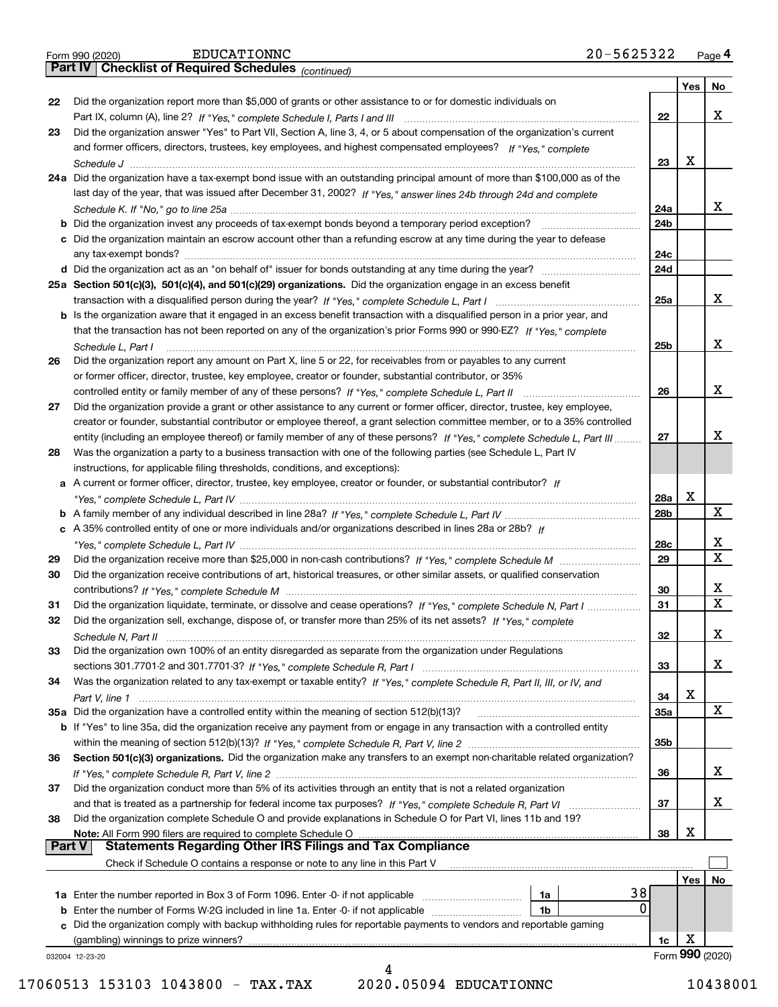| 29 |                                                                                                                                    |
|----|------------------------------------------------------------------------------------------------------------------------------------|
| 30 | Did the organization receive contributions of art, historical treasures, or other similar assets, or qualified conservation        |
|    |                                                                                                                                    |
| 31 | Did the organization liquidate, terminate, or dissolve and cease operations? If "Yes," complete Schedule N, Part I                 |
| 32 | Did the organization sell, exchange, dispose of, or transfer more than 25% of its net assets? If "Yes." complete                   |
|    |                                                                                                                                    |
| 33 | Did the organization own 100% of an entity disregarded as separate from the organization under Regulations                         |
|    |                                                                                                                                    |
| 34 | Was the organization related to any tax-exempt or taxable entity? If "Yes," complete Schedule R, Part II, III, or IV, and          |
|    | Part V, line 1                                                                                                                     |
|    | 35a Did the organization have a controlled entity within the meaning of section 512(b)(13)?                                        |
|    | <b>b</b> If "Yes" to line 35a, did the organization receive any payment from or engage in any transaction with a controlled entity |
|    | within the meaning of section 512(b)(13)? If "Yes," complete Schedule R, Part V, line 2                                            |
| 36 | Section 501(c)(3) organizations. Did the organization make any transfers to an exempt non-charitable related organization?         |
|    | If "Yes," complete Schedule R, Part V, line 2                                                                                      |
| 37 | Did the organization conduct more than 5% of its activities through an entity that is not a related organization                   |
|    | and that is treated as a partnership for federal income tax purposes? If "Yes," complete Schedule R, Part VI                       |
| 38 | Did the organization complete Schedule O and provide explanations in Schedule O for Part VI, lines 11b and 19?                     |
|    | Note: All Form 990 filers are required to complete Schedule O                                                                      |
|    | Statements Decepting Other IDS Eilings and Tay Compliance<br>Part VI                                                               |

| Did the organization answer "Yes" to Part VII, Section A, line 3, 4, or 5 about compensation of the organization's current |  |
|----------------------------------------------------------------------------------------------------------------------------|--|
| and former officers, directors, trustees, key employees, and highest compensated employees? If "Yes." complete             |  |
| Schedule J                                                                                                                 |  |

## **24 a** Did the organization have a tax‐exempt bond issue with an outstanding principal amount of more than \$100,000 as of the **b** Did the organization invest any proceeds of tax-exempt bonds beyond a temporary period exception? last day of the year, that was issued after December 31, 2002? If "Yes," answer lines 24b through 24d and complete *Schedule K. If "No," go to line 25a* ~~~~~~~~~~~~~~~~~~~~~~~~~~~~~~~~~~~~~~~~~~~~~

*(continued)*

Did the organization report more than \$5,000 of grants or other assistance to or for domestic individuals on

| c Did the organization maintain an escrow account other than a refunding escrow at any time during the year to defease |  |  |  |
|------------------------------------------------------------------------------------------------------------------------|--|--|--|
| any tax-exempt bonds?                                                                                                  |  |  |  |

| d Did the organization act as an "on behalf of" issuer for bonds outstanding at any time during the year?                           |
|-------------------------------------------------------------------------------------------------------------------------------------|
| 25a Section 501(c)(3), 501(c)(4), and 501(c)(29) organizations. Did the organization engage in an excess benefit                    |
|                                                                                                                                     |
| <b>b</b> Is the organization aware that it engaged in an excess benefit transaction with a disqualified person in a prior year, and |
| that the transaction has not been reported on any of the organization's prior Forms 990 or 990-EZ? If "Yes." complete               |
| Schedule L. Part I                                                                                                                  |

| 26 | Did the organization report any amount on Part X, line 5 or 22, for receivables from or payables to any current             |
|----|-----------------------------------------------------------------------------------------------------------------------------|
|    | or former officer, director, trustee, key employee, creator or founder, substantial contributor, or 35%                     |
|    |                                                                                                                             |
| 27 | Did the organization provide a grant or other assistance to any current or former officer, director, trustee, key employee, |

| creator or founder, substantial contributor or employee thereof, a grant selection committee member, or to a 35% controlled |
|-----------------------------------------------------------------------------------------------------------------------------|
| entity (including an employee thereof) or family member of any of these persons? If "Yes," complete Schedule L, Part III    |
| Was the organization a party to a business transaction with one of the following parties (see Schedule L, Part IV           |

| instructions, for applicable filing thresholds, conditions, and exceptions):                                       |
|--------------------------------------------------------------------------------------------------------------------|
| a A current or former officer, director, trustee, key employee, creator or founder, or substantial contributor? If |
|                                                                                                                    |
|                                                                                                                    |
| c A 35% controlled entity of one or more individuals and/or organizations described in lines 28a or 28b? If        |
|                                                                                                                    |

| Did the organization receive contributions of art, historical treasures, or other similar assets, or qualified conservation |
|-----------------------------------------------------------------------------------------------------------------------------|
|                                                                                                                             |
| Did the organization liquidate, terminate, or dissolve and cease operations? If "Yes," complete Schedule N, Part I          |
| Did the organization sell, exchange, dispose of, or transfer more than 25% of its net assets? If "Yes," complete            |
|                                                                                                                             |
| Did the organization own 100% of an entity disregarded as separate from the organization under Regulations                  |

| لمنصر المستحيل المستحيل المستحيل المستحيل المستحيل المستحيل والمستحيل والمستحيل والمستحيل والمستحيل والمستحيل والمستحيل       |
|-------------------------------------------------------------------------------------------------------------------------------|
|                                                                                                                               |
| Was the organization related to any tax-exempt or taxable entity? If "Yes," complete Schedule R, Part II, III, or IV, and     |
| sections 301.7701-2 and 301.7701-3? If "Yes," complete Schedule R, Part I manual communications 301.7701-2 and 301.7701-3? If |

|    | $\sim$ $\sim$ $\sim$ 0.9 $\sim$ 0.9 $\sim$ 0.0 $\sim$ 0.0 $\sim$ 0.0 $\sim$ 0.0 $\sim$ 0.0 $\sim$ 0.0 $\sim$ 0.0 $\sim$ 0.0 $\sim$ 0.0 $\sim$ 0.0 $\sim$ 0.0 $\sim$ 0.0 $\sim$ 0.0 $\sim$ 0.0 $\sim$ 0.0 $\sim$ 0.0 $\sim$ 0.0 $\sim$ 0.0 $\sim$ 0.0 $\sim$ 0.0 $\sim$ 0.0 $\sim$ |
|----|-----------------------------------------------------------------------------------------------------------------------------------------------------------------------------------------------------------------------------------------------------------------------------------|
|    | <b>b</b> If "Yes" to line 35a, did the organization receive any payment from or engage in any transaction with a controlled entity                                                                                                                                                |
|    |                                                                                                                                                                                                                                                                                   |
| 36 | Section 501(c)(3) organizations. Did the organization make any transfers to an exempt non-charitable related organization?                                                                                                                                                        |
|    |                                                                                                                                                                                                                                                                                   |

| <b>Part V</b> Statements Regarding Other IRS Filings and Tax Compliance                                           |  |  |  |
|-------------------------------------------------------------------------------------------------------------------|--|--|--|
|                                                                                                                   |  |  |  |
| 38 Did the organization complete Schedule O and provide explanations in Schedule O for Part VI, lines 11b and 19? |  |  |  |
|                                                                                                                   |  |  |  |
|                                                                                                                   |  |  |  |

### **Yes No 1a** Enter the number reported in Box 3 of Form 1096. Enter ‐0‐ if not applicable ~~~~~~~~~~~ **b** Enter the number of Forms W-2G included in line 1a. Enter -0- if not applicable  $\ldots$  $\ldots$  $\ldots$  $\ldots$  $\ldots$ **c** Did the organization comply with backup withholding rules for reportable payments to vendors and reportable gaming **1a 1b 1c** Check if Schedule O contains a response or note to any line in this Part V (gambling) winnings to prize winners?  $\boxed{\phantom{1}}$ 38 0 X

032004 12‐23‐20

**22**

**23**

**Part IV Checklist of Required Schedules**

**22**

**23**

X

**24a 24b**

**24c 24d**

**25a**

**25b**

**26**

**27**

**28a 28b** X

X

X X

X X

X

X

X

X

X

**28c 29**

**30 31**

**32**

**33**

**34 35a** X

**35b**

**36**

**37**

**38**

X

**Yes No**

X

X

X

X

X

X

Form (2020) **990**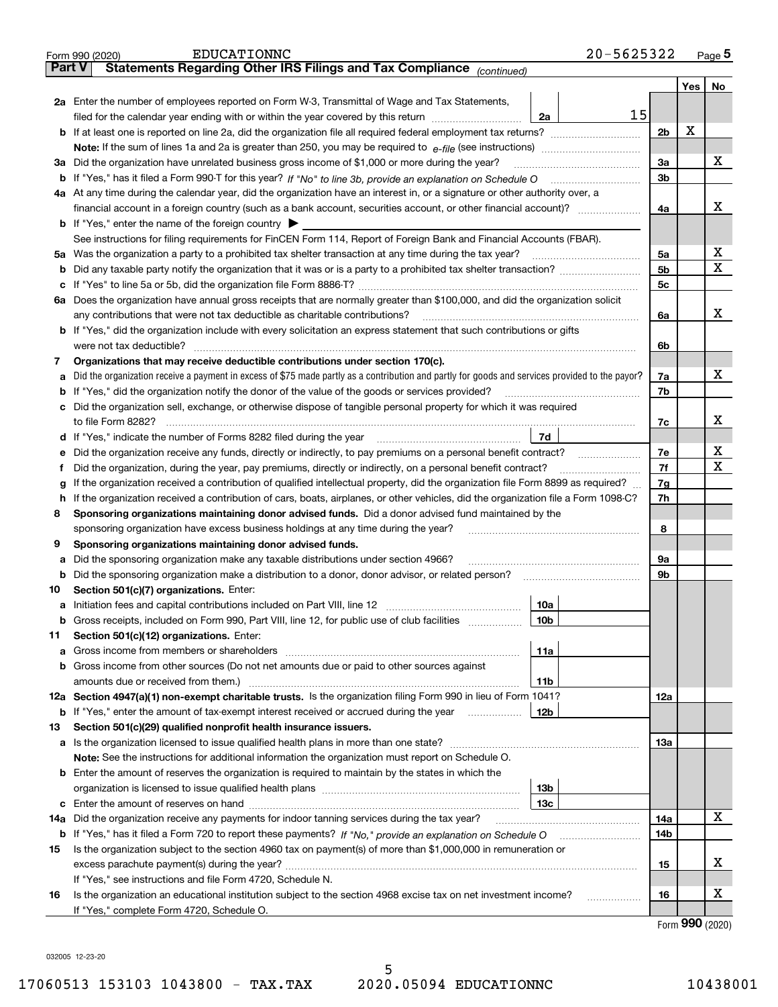|               | 20-5625322<br>EDUCATIONNC<br>Form 990 (2020)                                                                                                    |                |     | <u>Page</u> 5 |
|---------------|-------------------------------------------------------------------------------------------------------------------------------------------------|----------------|-----|---------------|
| <b>Part V</b> | Statements Regarding Other IRS Filings and Tax Compliance (continued)                                                                           |                |     |               |
|               |                                                                                                                                                 |                | Yes | No            |
|               | 2a Enter the number of employees reported on Form W-3, Transmittal of Wage and Tax Statements,                                                  |                |     |               |
|               | 15<br>filed for the calendar year ending with or within the year covered by this return<br>2a                                                   |                |     |               |
|               |                                                                                                                                                 | 2 <sub>b</sub> | X   |               |
|               |                                                                                                                                                 |                |     |               |
|               | 3a Did the organization have unrelated business gross income of \$1,000 or more during the year?                                                | 3a             |     | x             |
|               |                                                                                                                                                 | 3b             |     |               |
|               | 4a At any time during the calendar year, did the organization have an interest in, or a signature or other authority over, a                    |                |     |               |
|               | financial account in a foreign country (such as a bank account, securities account, or other financial account)?                                | 4a             |     | х             |
|               | <b>b</b> If "Yes," enter the name of the foreign country $\triangleright$                                                                       |                |     |               |
|               | See instructions for filing requirements for FinCEN Form 114, Report of Foreign Bank and Financial Accounts (FBAR).                             |                |     |               |
|               |                                                                                                                                                 | 5a             |     | х             |
| b             |                                                                                                                                                 | 5 <sub>b</sub> |     | х             |
| с             |                                                                                                                                                 | 5c             |     |               |
|               | 6a Does the organization have annual gross receipts that are normally greater than \$100,000, and did the organization solicit                  |                |     |               |
|               |                                                                                                                                                 | 6a             |     | х             |
|               | <b>b</b> If "Yes," did the organization include with every solicitation an express statement that such contributions or gifts                   |                |     |               |
|               |                                                                                                                                                 | 6b             |     |               |
| 7             | Organizations that may receive deductible contributions under section 170(c).                                                                   |                |     |               |
| а             | Did the organization receive a payment in excess of \$75 made partly as a contribution and partly for goods and services provided to the payor? | 7a             |     | x             |
| b             | If "Yes," did the organization notify the donor of the value of the goods or services provided?                                                 | 7b             |     |               |
|               | c Did the organization sell, exchange, or otherwise dispose of tangible personal property for which it was required                             |                |     |               |
|               |                                                                                                                                                 | 7c             |     | х             |
|               | 7d                                                                                                                                              |                |     |               |
| е             | Did the organization receive any funds, directly or indirectly, to pay premiums on a personal benefit contract?                                 | 7e             |     | х             |
| f             | Did the organization, during the year, pay premiums, directly or indirectly, on a personal benefit contract?                                    | 7f             |     | х             |
| g             | If the organization received a contribution of qualified intellectual property, did the organization file Form 8899 as required?                | 7g             |     |               |
| h             | If the organization received a contribution of cars, boats, airplanes, or other vehicles, did the organization file a Form 1098-C?              | 7h             |     |               |
| 8             | Sponsoring organizations maintaining donor advised funds. Did a donor advised fund maintained by the                                            |                |     |               |
|               | sponsoring organization have excess business holdings at any time during the year?                                                              | 8              |     |               |
| 9             | Sponsoring organizations maintaining donor advised funds.                                                                                       |                |     |               |
| а             | Did the sponsoring organization make any taxable distributions under section 4966?                                                              | 9а             |     |               |
| b             | Did the sponsoring organization make a distribution to a donor, donor advisor, or related person? [[[[[[[[[[[                                   | 9b             |     |               |
| 10            | Section 501(c)(7) organizations. Enter:                                                                                                         |                |     |               |
|               | 10a<br>a Initiation fees and capital contributions included on Part VIII, line 12 [111] [11] [11] [12] [11] [11] [12                            |                |     |               |
|               | 10b <br>Gross receipts, included on Form 990, Part VIII, line 12, for public use of club facilities                                             |                |     |               |
| 11            | Section 501(c)(12) organizations. Enter:                                                                                                        |                |     |               |
|               | <b>a</b> Gross income from members or shareholders<br>11a                                                                                       |                |     |               |
|               | b Gross income from other sources (Do not net amounts due or paid to other sources against                                                      |                |     |               |
|               | 11b                                                                                                                                             |                |     |               |
|               | 12a Section 4947(a)(1) non-exempt charitable trusts. Is the organization filing Form 990 in lieu of Form 1041?                                  | 12a            |     |               |
|               | 12b<br><b>b</b> If "Yes," enter the amount of tax-exempt interest received or accrued during the year                                           |                |     |               |
| 13            | Section 501(c)(29) qualified nonprofit health insurance issuers.                                                                                |                |     |               |
|               | a Is the organization licensed to issue qualified health plans in more than one state?                                                          | 13a            |     |               |
|               | Note: See the instructions for additional information the organization must report on Schedule O.                                               |                |     |               |
|               | <b>b</b> Enter the amount of reserves the organization is required to maintain by the states in which the                                       |                |     |               |
|               | 13b                                                                                                                                             |                |     |               |
|               | 13с                                                                                                                                             |                |     |               |
| 14a           | Did the organization receive any payments for indoor tanning services during the tax year?                                                      | 14a            |     | х             |
| b             |                                                                                                                                                 | 14b            |     |               |
| 15            | Is the organization subject to the section 4960 tax on payment(s) of more than \$1,000,000 in remuneration or                                   |                |     | х             |
|               |                                                                                                                                                 | 15             |     |               |
|               | If "Yes," see instructions and file Form 4720, Schedule N.                                                                                      |                |     | х             |
| 16            | Is the organization an educational institution subject to the section 4968 excise tax on net investment income?                                 | 16             |     |               |
|               | If "Yes," complete Form 4720, Schedule O.                                                                                                       |                |     |               |

Form (2020) **990**

032005 12‐23‐20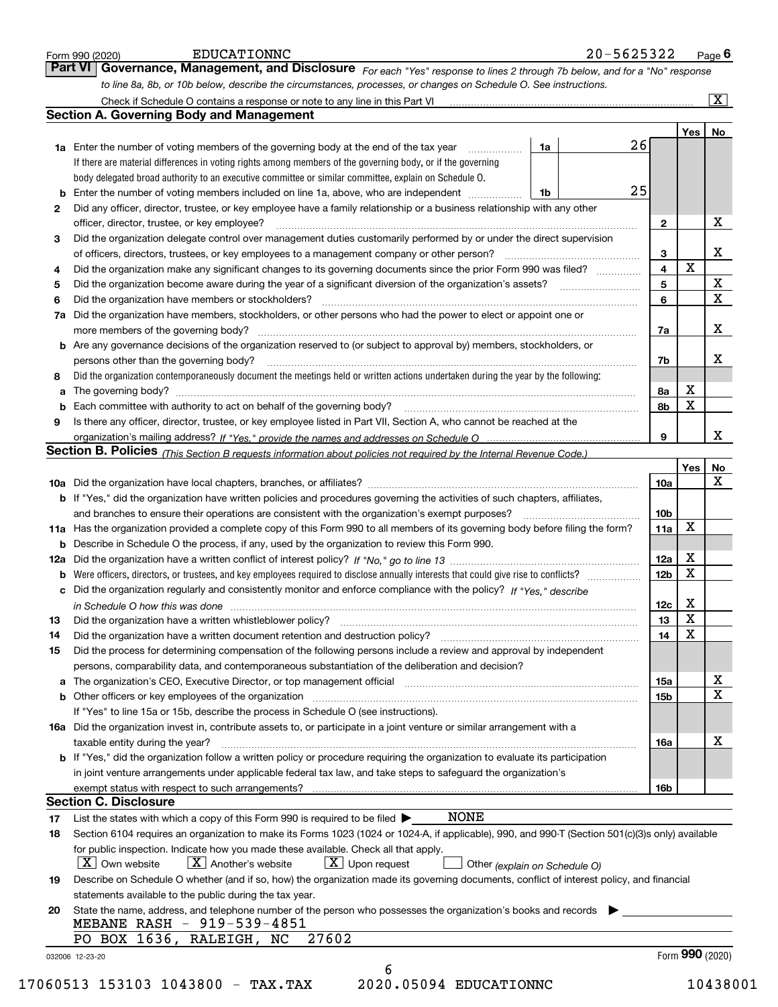|    | to line 8a, 8b, or 10b below, describe the circumstances, processes, or changes on Schedule O. See instructions.                                                         |                 |             |                              |
|----|--------------------------------------------------------------------------------------------------------------------------------------------------------------------------|-----------------|-------------|------------------------------|
|    | <b>Section A. Governing Body and Management</b>                                                                                                                          |                 |             | $\overline{\mathbf{x}}$      |
|    |                                                                                                                                                                          |                 |             |                              |
|    | 26<br>1a Enter the number of voting members of the governing body at the end of the tax year<br>1a                                                                       |                 | Yes         | No                           |
|    | If there are material differences in voting rights among members of the governing body, or if the governing                                                              |                 |             |                              |
|    | body delegated broad authority to an executive committee or similar committee, explain on Schedule O.                                                                    |                 |             |                              |
|    | 25<br>1b                                                                                                                                                                 |                 |             |                              |
| 2  | Did any officer, director, trustee, or key employee have a family relationship or a business relationship with any other                                                 |                 |             |                              |
|    | officer, director, trustee, or key employee?                                                                                                                             | $\mathbf{2}$    |             | х                            |
| з  | Did the organization delegate control over management duties customarily performed by or under the direct supervision                                                    |                 |             |                              |
|    | of officers, directors, trustees, or key employees to a management company or other person?                                                                              | 3               |             | X                            |
| 4  | Did the organization make any significant changes to its governing documents since the prior Form 990 was filed?                                                         | 4               | $\mathbf X$ |                              |
| 5  |                                                                                                                                                                          | 5               |             | X                            |
| 6  | Did the organization have members or stockholders?                                                                                                                       | 6               |             | X                            |
|    | 7a Did the organization have members, stockholders, or other persons who had the power to elect or appoint one or                                                        |                 |             |                              |
|    | more members of the governing body?                                                                                                                                      | 7a              |             | X                            |
|    | <b>b</b> Are any governance decisions of the organization reserved to (or subject to approval by) members, stockholders, or                                              |                 |             |                              |
|    | persons other than the governing body?                                                                                                                                   | 7b              |             | X                            |
| 8  | Did the organization contemporaneously document the meetings held or written actions undertaken during the year by the following:                                        |                 |             |                              |
| a  |                                                                                                                                                                          | 8а              | X           |                              |
|    |                                                                                                                                                                          | 8b              | $\mathbf X$ |                              |
| 9  | Is there any officer, director, trustee, or key employee listed in Part VII, Section A, who cannot be reached at the                                                     |                 |             |                              |
|    |                                                                                                                                                                          | 9               |             | X                            |
|    | Section B. Policies (This Section B requests information about policies not required by the Internal Revenue Code.)                                                      |                 |             |                              |
|    |                                                                                                                                                                          |                 | Yes         | No                           |
|    |                                                                                                                                                                          | 10a             |             | X                            |
|    | <b>b</b> If "Yes," did the organization have written policies and procedures governing the activities of such chapters, affiliates,                                      |                 |             |                              |
|    | and branches to ensure their operations are consistent with the organization's exempt purposes?                                                                          | 10 <sub>b</sub> |             |                              |
|    | 11a Has the organization provided a complete copy of this Form 990 to all members of its governing body before filing the form?                                          | 11a             | X           |                              |
|    | <b>b</b> Describe in Schedule O the process, if any, used by the organization to review this Form 990.                                                                   |                 |             |                              |
|    |                                                                                                                                                                          | 12a             | X           |                              |
|    | <b>b</b> Were officers, directors, or trustees, and key employees required to disclose annually interests that could give rise to conflicts?                             | 12 <sub>b</sub> | $\mathbf X$ |                              |
|    | c Did the organization regularly and consistently monitor and enforce compliance with the policy? If "Yes," describe                                                     |                 |             |                              |
|    | in Schedule O how this was done manufactured and continuum control of the state of the state of the state of t                                                           | 12c             | X           |                              |
| 13 | Did the organization have a written whistleblower policy?                                                                                                                | 13              | x           |                              |
| 14 | Did the organization have a written document retention and destruction policy? [11] manufaction policy?                                                                  | 14              | X           |                              |
| 15 | Did the process for determining compensation of the following persons include a review and approval by independent                                                       |                 |             |                              |
|    | persons, comparability data, and contemporaneous substantiation of the deliberation and decision?                                                                        |                 |             |                              |
|    | a The organization's CEO, Executive Director, or top management official [111] [11] manument material manument                                                           | 15a             |             | X<br>$\overline{\mathtt{x}}$ |
|    |                                                                                                                                                                          | 15b             |             |                              |
|    | If "Yes" to line 15a or 15b, describe the process in Schedule O (see instructions).                                                                                      |                 |             |                              |
|    | 16a Did the organization invest in, contribute assets to, or participate in a joint venture or similar arrangement with a                                                |                 |             | X                            |
|    | taxable entity during the year?<br><b>b</b> If "Yes," did the organization follow a written policy or procedure requiring the organization to evaluate its participation | 16a             |             |                              |
|    |                                                                                                                                                                          |                 |             |                              |
|    | in joint venture arrangements under applicable federal tax law, and take steps to safeguard the organization's                                                           | 16b             |             |                              |
|    | <b>Section C. Disclosure</b>                                                                                                                                             |                 |             |                              |
| 17 | <b>NONE</b><br>List the states with which a copy of this Form 990 is required to be filed $\blacktriangleright$                                                          |                 |             |                              |
| 18 | Section 6104 requires an organization to make its Forms 1023 (1024 or 1024-A, if applicable), 990, and 990-T (Section 501(c)(3)s only) available                         |                 |             |                              |
|    | for public inspection. Indicate how you made these available. Check all that apply.                                                                                      |                 |             |                              |
|    | $\lfloor x \rfloor$ Upon request<br>$\mid$ $\rm X\mid$ Own website<br>$X$ Another's website<br>Other (explain on Schedule O)                                             |                 |             |                              |
| 19 | Describe on Schedule O whether (and if so, how) the organization made its governing documents, conflict of interest policy, and financial                                |                 |             |                              |
|    | statements available to the public during the tax year.                                                                                                                  |                 |             |                              |
| 20 | State the name, address, and telephone number of the person who possesses the organization's books and records                                                           |                 |             |                              |
|    | MEBANE RASH - 919-539-4851                                                                                                                                               |                 |             |                              |
|    |                                                                                                                                                                          |                 |             |                              |
|    | 27602<br>PO BOX 1636, RALEIGH, NC                                                                                                                                        |                 |             |                              |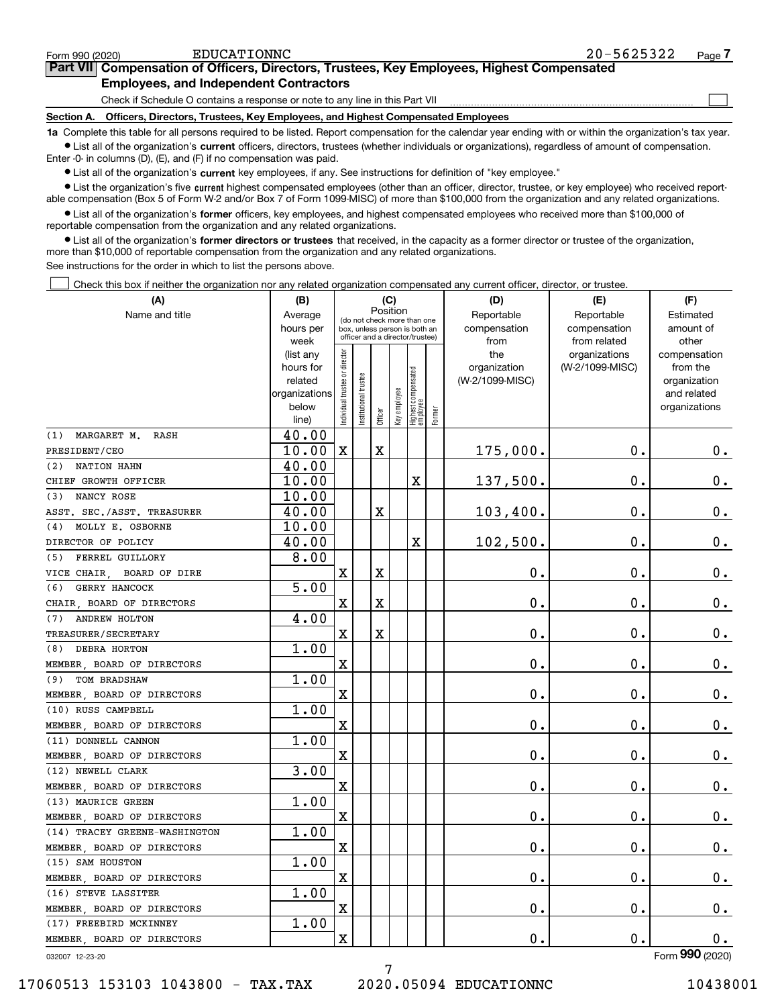## Check if Schedule O contains a response or note to any line in this Part VII **Part VII Compensation of Officers, Directors, Trustees, Key Employees, Highest Compensated Employees, and Independent Contractors**

**Section A. Officers, Directors, Trustees, Key Employees, and Highest Compensated Employees**

**1a**  Complete this table for all persons required to be listed. Report compensation for the calendar year ending with or within the organization's tax year.  $\bullet$  List all of the organization's current officers, directors, trustees (whether individuals or organizations), regardless of amount of compensation.

Enter ‐0‐ in columns (D), (E), and (F) if no compensation was paid.

**•** List all of the organization's current key employees, if any. See instructions for definition of "key employee."

● List the organization's five current highest compensated employees (other than an officer, director, trustee, or key employee) who received report‐ able compensation (Box 5 of Form W‐2 and/or Box 7 of Form 1099‐MISC) of more than \$100,000 from the organization and any related organizations.

 $\bullet$  List all of the organization's former officers, key employees, and highest compensated employees who received more than \$100,000 of reportable compensation from the organization and any related organizations.

**•** List all of the organization's former directors or trustees that received, in the capacity as a former director or trustee of the organization, more than \$10,000 of reportable compensation from the organization and any related organizations.

See instructions for the order in which to list the persons above.

Check this box if neither the organization nor any related organization compensated any current officer, director, or trustee.  $\Box$ 

| (A)                           | (B)               |                               |                                                                  |                         | (C)          |                                  |              | (D)             | (E)                           | (F)                   |
|-------------------------------|-------------------|-------------------------------|------------------------------------------------------------------|-------------------------|--------------|----------------------------------|--------------|-----------------|-------------------------------|-----------------------|
| Name and title                | Average           |                               | Position<br>(do not check more than one                          |                         | Reportable   | Reportable                       | Estimated    |                 |                               |                       |
|                               | hours per         |                               | box, unless person is both an<br>officer and a director/trustee) |                         |              | compensation                     | compensation | amount of       |                               |                       |
|                               | week<br>(list any |                               |                                                                  |                         |              |                                  |              | from<br>the     | from related<br>organizations | other<br>compensation |
|                               | hours for         | ndividual trustee or director |                                                                  |                         |              |                                  |              | organization    | (W-2/1099-MISC)               | from the              |
|                               | related           |                               |                                                                  |                         |              |                                  |              | (W-2/1099-MISC) |                               | organization          |
|                               | organizations     |                               |                                                                  |                         |              |                                  |              |                 |                               | and related           |
|                               | below             |                               | nstitutional trustee                                             |                         | Key employee |                                  | Former       |                 |                               | organizations         |
|                               | line)             |                               |                                                                  | Officer                 |              | Highest compensated<br> employee |              |                 |                               |                       |
| MARGARET M.<br>RASH<br>(1)    | 40.00             |                               |                                                                  |                         |              |                                  |              |                 |                               |                       |
| PRESIDENT/CEO                 | 10.00             | $\mathbf X$                   |                                                                  | $\mathbf X$             |              |                                  |              | 175,000.        | 0.                            | 0.                    |
| NATION HAHN<br>(2)            | 40.00             |                               |                                                                  |                         |              |                                  |              |                 |                               |                       |
| CHIEF GROWTH OFFICER          | 10.00             |                               |                                                                  |                         |              | $\mathbf X$                      |              | 137,500.        | $\mathbf 0$ .                 | 0.                    |
| NANCY ROSE<br>(3)             | 10.00             |                               |                                                                  |                         |              |                                  |              |                 |                               |                       |
| ASST. SEC./ASST. TREASURER    | 40.00             |                               |                                                                  | $\overline{\textbf{X}}$ |              |                                  |              | 103,400.        | 0.                            | 0.                    |
| MOLLY E. OSBORNE<br>(4)       | 10.00             |                               |                                                                  |                         |              |                                  |              |                 |                               |                       |
| DIRECTOR OF POLICY            | 40.00             |                               |                                                                  |                         |              | $\mathbf X$                      |              | 102,500.        | 0.                            | $\mathbf 0$ .         |
| FERREL GUILLORY<br>(5)        | 8.00              |                               |                                                                  |                         |              |                                  |              |                 |                               |                       |
| VICE CHAIR,<br>BOARD OF DIRE  |                   | $\mathbf X$                   |                                                                  | $\mathbf X$             |              |                                  |              | $\mathbf 0$ .   | 0.                            | $0_{.}$               |
| GERRY HANCOCK<br>(6)          | 5.00              |                               |                                                                  |                         |              |                                  |              |                 |                               |                       |
| CHAIR BOARD OF DIRECTORS      |                   | х                             |                                                                  | $\overline{\textbf{X}}$ |              |                                  |              | $\mathbf 0$ .   | 0.                            | 0.                    |
| ANDREW HOLTON<br>(7)          | 4.00              |                               |                                                                  |                         |              |                                  |              |                 |                               |                       |
| TREASURER/SECRETARY           |                   | $\mathbf x$                   |                                                                  | $\mathbf x$             |              |                                  |              | $\mathbf 0$ .   | 0.                            | $0_{.}$               |
| DEBRA HORTON<br>(8)           | 1.00              |                               |                                                                  |                         |              |                                  |              |                 |                               |                       |
| MEMBER, BOARD OF DIRECTORS    |                   | $\mathbf X$                   |                                                                  |                         |              |                                  |              | $\mathbf 0$ .   | 0.                            | 0.                    |
| TOM BRADSHAW<br>(9)           | 1.00              |                               |                                                                  |                         |              |                                  |              |                 |                               |                       |
| MEMBER, BOARD OF DIRECTORS    |                   | $\mathbf X$                   |                                                                  |                         |              |                                  |              | $\mathbf 0$ .   | 0.                            | 0.                    |
| (10) RUSS CAMPBELL            | 1.00              |                               |                                                                  |                         |              |                                  |              |                 |                               |                       |
| MEMBER, BOARD OF DIRECTORS    |                   | $\mathbf X$                   |                                                                  |                         |              |                                  |              | $\mathbf 0$ .   | 0.                            | 0.                    |
| (11) DONNELL CANNON           | 1.00              |                               |                                                                  |                         |              |                                  |              |                 |                               |                       |
| MEMBER, BOARD OF DIRECTORS    |                   | $\mathbf X$                   |                                                                  |                         |              |                                  |              | $\mathbf{0}$ .  | 0.                            | $\mathbf 0$ .         |
| (12) NEWELL CLARK             | 3.00              |                               |                                                                  |                         |              |                                  |              |                 |                               |                       |
| MEMBER, BOARD OF DIRECTORS    |                   | $\mathbf X$                   |                                                                  |                         |              |                                  |              | $\mathbf 0$ .   | 0.                            | $0_{.}$               |
| (13) MAURICE GREEN            | 1.00              |                               |                                                                  |                         |              |                                  |              |                 |                               |                       |
| MEMBER, BOARD OF DIRECTORS    |                   | $\mathbf X$                   |                                                                  |                         |              |                                  |              | $\mathbf 0$ .   | 0.                            | $0_{.}$               |
| (14) TRACEY GREENE-WASHINGTON | 1.00              |                               |                                                                  |                         |              |                                  |              |                 |                               |                       |
| MEMBER, BOARD OF DIRECTORS    |                   | $\mathbf X$                   |                                                                  |                         |              |                                  |              | $\mathbf 0$ .   | 0.                            | 0.                    |
| (15) SAM HOUSTON              | 1.00              |                               |                                                                  |                         |              |                                  |              |                 |                               |                       |
| MEMBER, BOARD OF DIRECTORS    |                   | $\mathbf X$                   |                                                                  |                         |              |                                  |              | $\mathbf 0$ .   | 0.                            | 0.                    |
| (16) STEVE LASSITER           | 1.00              |                               |                                                                  |                         |              |                                  |              |                 |                               |                       |
| MEMBER, BOARD OF DIRECTORS    |                   | $\mathbf X$                   |                                                                  |                         |              |                                  |              | $\mathbf 0$ .   | 0.                            | $\mathbf 0$ .         |
| (17) FREEBIRD MCKINNEY        | 1.00              |                               |                                                                  |                         |              |                                  |              |                 |                               |                       |
| MEMBER, BOARD OF DIRECTORS    |                   | $\mathbf X$                   |                                                                  |                         |              |                                  |              | 0.              | 0.                            | $0$ .                 |
| 032007 12-23-20               |                   |                               |                                                                  |                         |              |                                  |              |                 |                               | Form 990 (2020)       |

7

Form 990 (2020) Page EDUCATIONNC 20‐5625322 **7**

 $\begin{array}{c} \hline \end{array}$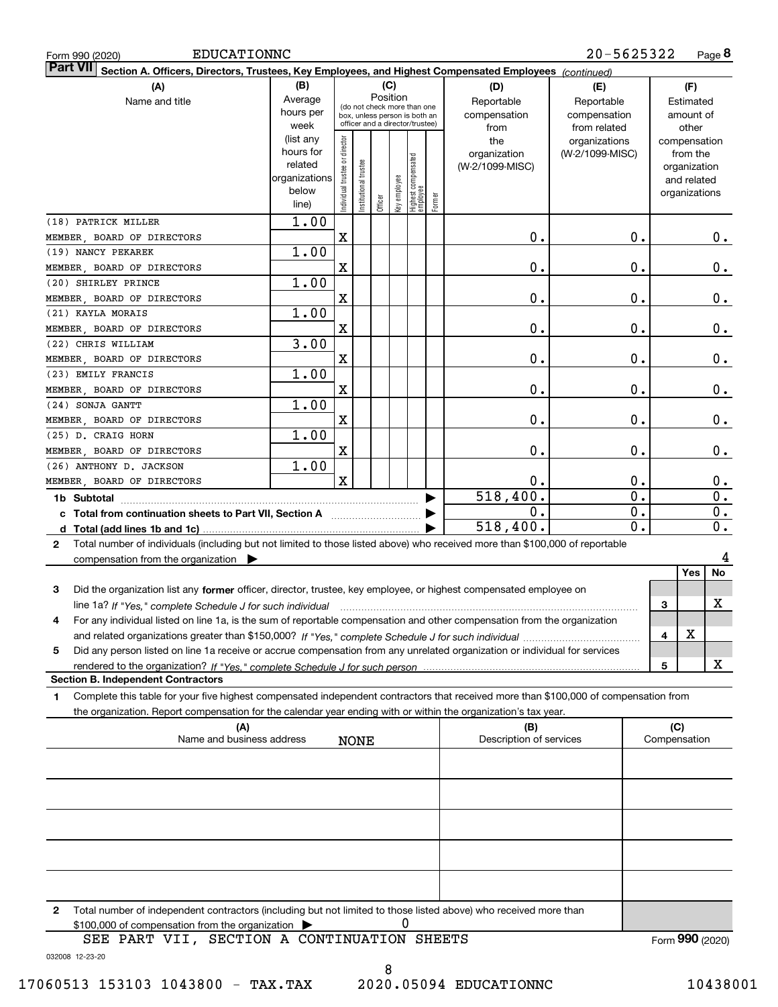| 20-5625322<br>EDUCATIONNC<br>Page 8<br>Form 990 (2020)                                                                                                                                        |                                                                      |                                |                            |                                                                                                                    |              |                                  |        |                                           |                                                   |              |                                                                          |                 |
|-----------------------------------------------------------------------------------------------------------------------------------------------------------------------------------------------|----------------------------------------------------------------------|--------------------------------|----------------------------|--------------------------------------------------------------------------------------------------------------------|--------------|----------------------------------|--------|-------------------------------------------|---------------------------------------------------|--------------|--------------------------------------------------------------------------|-----------------|
| Part VII<br>Section A. Officers, Directors, Trustees, Key Employees, and Highest Compensated Employees (continued)                                                                            |                                                                      |                                |                            |                                                                                                                    |              |                                  |        |                                           |                                                   |              |                                                                          |                 |
| (A)<br>Name and title                                                                                                                                                                         | (B)<br>Average<br>hours per<br>week                                  |                                |                            | (C)<br>Position<br>(do not check more than one<br>box, unless person is both an<br>officer and a director/trustee) |              |                                  |        | (D)<br>Reportable<br>compensation<br>from | (E)<br>Reportable<br>compensation<br>from related |              | (F)<br>Estimated<br>amount of<br>other                                   |                 |
|                                                                                                                                                                                               | (list any<br>hours for<br>related<br>organizations<br>below<br>line) | Individual trustee or director | trustee<br>Institutional t | Officer                                                                                                            | Key employee | Highest compensated<br> employee | Former | the<br>organization<br>(W-2/1099-MISC)    | organizations<br>(W-2/1099-MISC)                  |              | compensation<br>from the<br>organization<br>and related<br>organizations |                 |
| (18) PATRICK MILLER<br>MEMBER, BOARD OF DIRECTORS                                                                                                                                             | 1.00                                                                 | $\mathbf X$                    |                            |                                                                                                                    |              |                                  |        | $\mathbf 0$ .                             | 0.                                                |              |                                                                          | 0.              |
| (19) NANCY PEKAREK                                                                                                                                                                            | 1.00                                                                 |                                |                            |                                                                                                                    |              |                                  |        |                                           |                                                   |              |                                                                          |                 |
| MEMBER, BOARD OF DIRECTORS                                                                                                                                                                    |                                                                      | $\mathbf X$                    |                            |                                                                                                                    |              |                                  |        | $\mathbf 0$ .                             | 0.                                                |              |                                                                          | $0$ .           |
| (20) SHIRLEY PRINCE                                                                                                                                                                           | 1.00                                                                 |                                |                            |                                                                                                                    |              |                                  |        |                                           |                                                   |              |                                                                          |                 |
| MEMBER, BOARD OF DIRECTORS                                                                                                                                                                    |                                                                      | $\mathbf X$                    |                            |                                                                                                                    |              |                                  |        | $\mathbf 0$ .                             | 0.                                                |              |                                                                          | 0.              |
| (21) KAYLA MORAIS                                                                                                                                                                             | 1.00                                                                 |                                |                            |                                                                                                                    |              |                                  |        |                                           |                                                   |              |                                                                          |                 |
| MEMBER, BOARD OF DIRECTORS                                                                                                                                                                    |                                                                      | $\mathbf X$                    |                            |                                                                                                                    |              |                                  |        | $\mathbf 0$ .                             | 0.                                                |              |                                                                          | $0$ .           |
| (22) CHRIS WILLIAM<br>MEMBER, BOARD OF DIRECTORS                                                                                                                                              | 3.00                                                                 | $\mathbf X$                    |                            |                                                                                                                    |              |                                  |        | $\mathbf 0$ .                             | 0.                                                |              |                                                                          | $0$ .           |
| (23) EMILY FRANCIS                                                                                                                                                                            | 1.00                                                                 |                                |                            |                                                                                                                    |              |                                  |        |                                           |                                                   |              |                                                                          |                 |
| MEMBER, BOARD OF DIRECTORS                                                                                                                                                                    |                                                                      | $\mathbf X$                    |                            |                                                                                                                    |              |                                  |        | $\mathbf 0$ .                             | 0.                                                |              |                                                                          | $0$ .           |
| (24) SONJA GANTT                                                                                                                                                                              | 1.00                                                                 |                                |                            |                                                                                                                    |              |                                  |        |                                           |                                                   |              |                                                                          |                 |
| MEMBER BOARD OF DIRECTORS                                                                                                                                                                     |                                                                      | $\mathbf X$                    |                            |                                                                                                                    |              |                                  |        | $\mathfrak o$ .                           | 0.                                                |              |                                                                          | $0$ .           |
| (25) D. CRAIG HORN                                                                                                                                                                            | 1.00                                                                 |                                |                            |                                                                                                                    |              |                                  |        |                                           |                                                   |              |                                                                          |                 |
| MEMBER, BOARD OF DIRECTORS<br>(26) ANTHONY D. JACKSON                                                                                                                                         | 1.00                                                                 | $\mathbf X$                    |                            |                                                                                                                    |              |                                  |        | $\mathfrak o$ .                           | 0.                                                |              |                                                                          | $0$ .           |
| MEMBER, BOARD OF DIRECTORS                                                                                                                                                                    |                                                                      | $\mathbf x$                    |                            |                                                                                                                    |              |                                  |        | Ο.                                        | ο.                                                |              |                                                                          | $0$ .           |
|                                                                                                                                                                                               |                                                                      |                                |                            |                                                                                                                    |              |                                  |        | 518,400.                                  | $\mathbf 0$ .                                     |              |                                                                          | 0.              |
| c Total from continuation sheets to Part VII, Section A                                                                                                                                       |                                                                      |                                |                            |                                                                                                                    |              |                                  |        | Ο.                                        | 0.                                                |              |                                                                          | 0.              |
|                                                                                                                                                                                               |                                                                      |                                |                            |                                                                                                                    |              |                                  |        | $\overline{518}$ , 400.                   | 0.                                                |              |                                                                          | 0.              |
| Total number of individuals (including but not limited to those listed above) who received more than \$100,000 of reportable<br>2<br>compensation from the organization $\blacktriangleright$ |                                                                      |                                |                            |                                                                                                                    |              |                                  |        |                                           |                                                   |              |                                                                          | 4               |
|                                                                                                                                                                                               |                                                                      |                                |                            |                                                                                                                    |              |                                  |        |                                           |                                                   |              | Yes                                                                      | No              |
| Did the organization list any former officer, director, trustee, key employee, or highest compensated employee on<br>3                                                                        |                                                                      |                                |                            |                                                                                                                    |              |                                  |        |                                           |                                                   |              |                                                                          |                 |
| line 1a? If "Yes," complete Schedule J for such individual manufactured contained and the Ves," complete Schedule J for such individual                                                       |                                                                      |                                |                            |                                                                                                                    |              |                                  |        |                                           |                                                   | 3            |                                                                          | x               |
| For any individual listed on line 1a, is the sum of reportable compensation and other compensation from the organization<br>4                                                                 |                                                                      |                                |                            |                                                                                                                    |              |                                  |        |                                           |                                                   |              | х                                                                        |                 |
| Did any person listed on line 1a receive or accrue compensation from any unrelated organization or individual for services<br>5                                                               |                                                                      |                                |                            |                                                                                                                    |              |                                  |        |                                           |                                                   | 4            |                                                                          |                 |
|                                                                                                                                                                                               |                                                                      |                                |                            |                                                                                                                    |              |                                  |        |                                           |                                                   | 5            |                                                                          | x               |
| <b>Section B. Independent Contractors</b>                                                                                                                                                     |                                                                      |                                |                            |                                                                                                                    |              |                                  |        |                                           |                                                   |              |                                                                          |                 |
| Complete this table for your five highest compensated independent contractors that received more than \$100,000 of compensation from<br>1                                                     |                                                                      |                                |                            |                                                                                                                    |              |                                  |        |                                           |                                                   |              |                                                                          |                 |
| the organization. Report compensation for the calendar year ending with or within the organization's tax year.                                                                                |                                                                      |                                |                            |                                                                                                                    |              |                                  |        |                                           |                                                   |              |                                                                          |                 |
| (A)<br>Name and business address                                                                                                                                                              |                                                                      |                                | <b>NONE</b>                |                                                                                                                    |              |                                  |        | (B)<br>Description of services            |                                                   | Compensation | (C)                                                                      |                 |
|                                                                                                                                                                                               |                                                                      |                                |                            |                                                                                                                    |              |                                  |        |                                           |                                                   |              |                                                                          |                 |
|                                                                                                                                                                                               |                                                                      |                                |                            |                                                                                                                    |              |                                  |        |                                           |                                                   |              |                                                                          |                 |
|                                                                                                                                                                                               |                                                                      |                                |                            |                                                                                                                    |              |                                  |        |                                           |                                                   |              |                                                                          |                 |
|                                                                                                                                                                                               |                                                                      |                                |                            |                                                                                                                    |              |                                  |        |                                           |                                                   |              |                                                                          |                 |
|                                                                                                                                                                                               |                                                                      |                                |                            |                                                                                                                    |              |                                  |        |                                           |                                                   |              |                                                                          |                 |
|                                                                                                                                                                                               |                                                                      |                                |                            |                                                                                                                    |              |                                  |        |                                           |                                                   |              |                                                                          |                 |
|                                                                                                                                                                                               |                                                                      |                                |                            |                                                                                                                    |              |                                  |        |                                           |                                                   |              |                                                                          |                 |
|                                                                                                                                                                                               |                                                                      |                                |                            |                                                                                                                    |              |                                  |        |                                           |                                                   |              |                                                                          |                 |
|                                                                                                                                                                                               |                                                                      |                                |                            |                                                                                                                    |              |                                  |        |                                           |                                                   |              |                                                                          |                 |
| 2<br>Total number of independent contractors (including but not limited to those listed above) who received more than<br>\$100,000 of compensation from the organization                      |                                                                      |                                |                            |                                                                                                                    | 0            |                                  |        |                                           |                                                   |              |                                                                          |                 |
| SEE PART VII, SECTION A CONTINUATION SHEETS                                                                                                                                                   |                                                                      |                                |                            |                                                                                                                    |              |                                  |        |                                           |                                                   |              |                                                                          | Form 990 (2020) |
| 032008 12-23-20                                                                                                                                                                               |                                                                      |                                |                            |                                                                                                                    |              |                                  |        |                                           |                                                   |              |                                                                          |                 |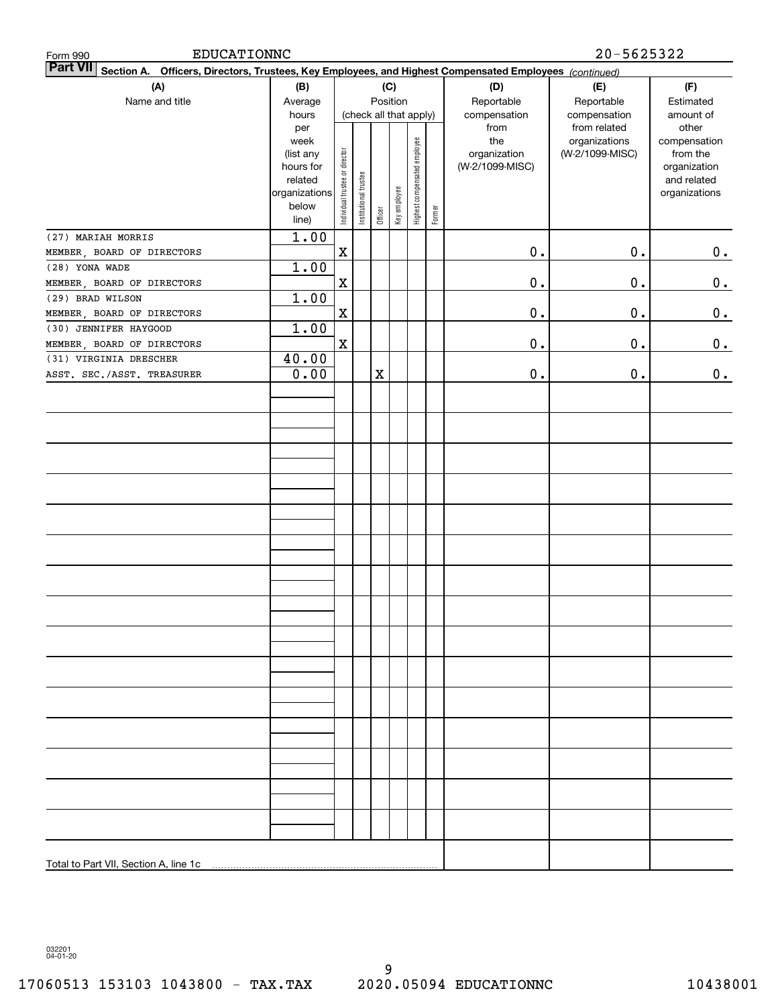| EDUCATIONNC<br>Form 990                                                                                                   | 20-5625322     |                                |                        |         |              |                              |           |                 |                               |                          |
|---------------------------------------------------------------------------------------------------------------------------|----------------|--------------------------------|------------------------|---------|--------------|------------------------------|-----------|-----------------|-------------------------------|--------------------------|
| <b>Part VII</b><br>Section A. Officers, Directors, Trustees, Key Employees, and Highest Compensated Employees (continued) |                |                                |                        |         |              |                              |           |                 |                               |                          |
| (A)                                                                                                                       | (B)            |                                |                        |         | (C)          |                              |           | (D)             | (E)                           | (F)                      |
| Name and title                                                                                                            | Average        |                                | Position               |         | Reportable   | Reportable                   | Estimated |                 |                               |                          |
|                                                                                                                           | hours          |                                | (check all that apply) |         |              |                              |           | compensation    | compensation                  | amount of                |
|                                                                                                                           | per<br>week    |                                |                        |         |              |                              |           | from<br>the     | from related<br>organizations | other                    |
|                                                                                                                           | (list any      |                                |                        |         |              |                              |           | organization    | (W-2/1099-MISC)               | compensation<br>from the |
|                                                                                                                           | hours for      |                                |                        |         |              |                              |           | (W-2/1099-MISC) |                               | organization             |
|                                                                                                                           | related        |                                |                        |         |              |                              |           |                 |                               | and related              |
|                                                                                                                           | organizations  |                                |                        |         |              |                              |           |                 |                               | organizations            |
|                                                                                                                           | below<br>line) | Individual trustee or director | Institutional trustee  | Officer | Key employee | Highest compensated employee | Former    |                 |                               |                          |
| (27) MARIAH MORRIS                                                                                                        | 1.00           |                                |                        |         |              |                              |           |                 |                               |                          |
| MEMBER, BOARD OF DIRECTORS                                                                                                |                | X                              |                        |         |              |                              |           | $\mathbf 0$ .   | $\mathbf 0$ .                 | 0.                       |
| (28) YONA WADE                                                                                                            | 1.00           |                                |                        |         |              |                              |           |                 |                               |                          |
| MEMBER, BOARD OF DIRECTORS                                                                                                |                | X                              |                        |         |              |                              |           | $\mathbf 0$ .   | 0.                            | $0_{.}$                  |
| (29) BRAD WILSON                                                                                                          | 1.00           |                                |                        |         |              |                              |           |                 |                               |                          |
| MEMBER, BOARD OF DIRECTORS                                                                                                |                | X                              |                        |         |              |                              |           | $\mathbf 0$ .   | 0.                            | $0_{.}$                  |
| (30) JENNIFER HAYGOOD                                                                                                     | 1.00           |                                |                        |         |              |                              |           |                 |                               |                          |
| MEMBER, BOARD OF DIRECTORS                                                                                                |                | $\mathbf X$                    |                        |         |              |                              |           | $\mathbf 0$ .   | 0.                            | $0_{.}$                  |
| (31) VIRGINIA DRESCHER                                                                                                    | 40.00          |                                |                        |         |              |                              |           |                 |                               |                          |
| ASST. SEC./ASST. TREASURER                                                                                                | 0.00           |                                |                        | X       |              |                              |           | $\mathbf 0$ .   | $\mathbf 0$ .                 | 0.                       |
|                                                                                                                           |                |                                |                        |         |              |                              |           |                 |                               |                          |
|                                                                                                                           |                |                                |                        |         |              |                              |           |                 |                               |                          |
|                                                                                                                           |                |                                |                        |         |              |                              |           |                 |                               |                          |
|                                                                                                                           |                |                                |                        |         |              |                              |           |                 |                               |                          |
|                                                                                                                           |                |                                |                        |         |              |                              |           |                 |                               |                          |
|                                                                                                                           |                |                                |                        |         |              |                              |           |                 |                               |                          |
|                                                                                                                           |                |                                |                        |         |              |                              |           |                 |                               |                          |
|                                                                                                                           |                |                                |                        |         |              |                              |           |                 |                               |                          |
|                                                                                                                           |                |                                |                        |         |              |                              |           |                 |                               |                          |
|                                                                                                                           |                |                                |                        |         |              |                              |           |                 |                               |                          |
|                                                                                                                           |                |                                |                        |         |              |                              |           |                 |                               |                          |
|                                                                                                                           |                |                                |                        |         |              |                              |           |                 |                               |                          |
|                                                                                                                           |                |                                |                        |         |              |                              |           |                 |                               |                          |
|                                                                                                                           |                |                                |                        |         |              |                              |           |                 |                               |                          |
|                                                                                                                           |                |                                |                        |         |              |                              |           |                 |                               |                          |
|                                                                                                                           |                |                                |                        |         |              |                              |           |                 |                               |                          |
|                                                                                                                           |                |                                |                        |         |              |                              |           |                 |                               |                          |
|                                                                                                                           |                |                                |                        |         |              |                              |           |                 |                               |                          |
|                                                                                                                           |                |                                |                        |         |              |                              |           |                 |                               |                          |
|                                                                                                                           |                |                                |                        |         |              |                              |           |                 |                               |                          |
|                                                                                                                           |                |                                |                        |         |              |                              |           |                 |                               |                          |
|                                                                                                                           |                |                                |                        |         |              |                              |           |                 |                               |                          |
|                                                                                                                           |                |                                |                        |         |              |                              |           |                 |                               |                          |
|                                                                                                                           |                |                                |                        |         |              |                              |           |                 |                               |                          |
|                                                                                                                           |                |                                |                        |         |              |                              |           |                 |                               |                          |
|                                                                                                                           |                |                                |                        |         |              |                              |           |                 |                               |                          |
|                                                                                                                           |                |                                |                        |         |              |                              |           |                 |                               |                          |
|                                                                                                                           |                |                                |                        |         |              |                              |           |                 |                               |                          |
|                                                                                                                           |                |                                |                        |         |              |                              |           |                 |                               |                          |
| Total to Part VII, Section A, line 1c                                                                                     |                |                                |                        |         |              |                              |           |                 |                               |                          |

032201 04‐01‐20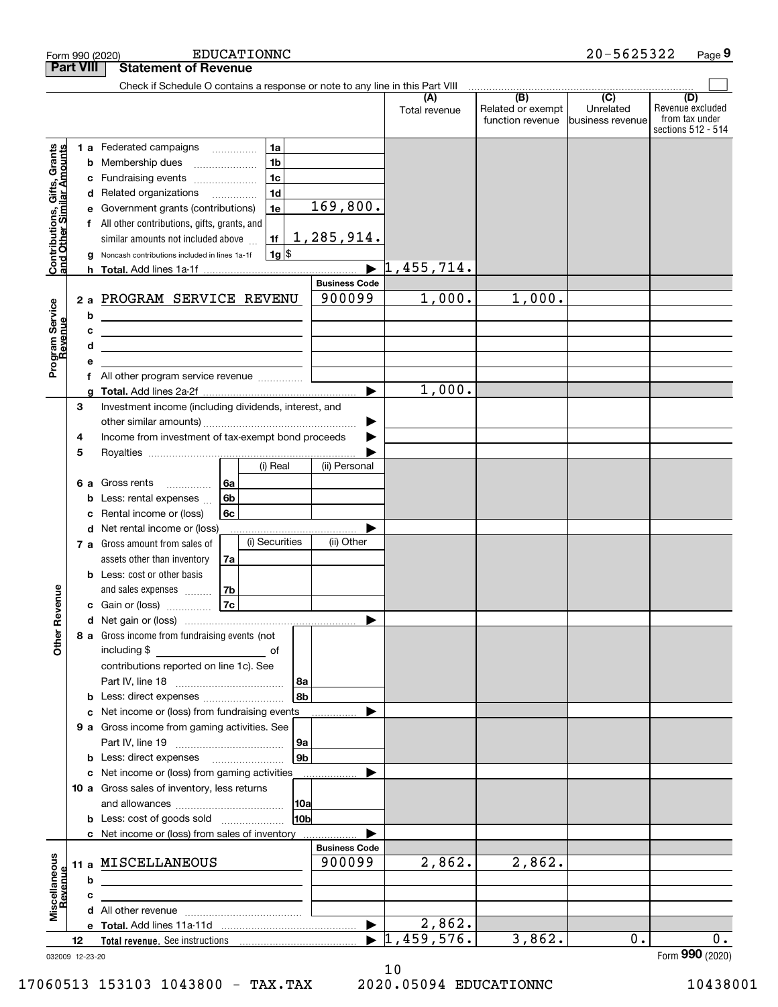|                                                                      |                        | <b>EDUCATIONNC</b><br>Form 990 (2020)                                                                                                                                                                                                                                                                                                                                                           |                                              |                    |                                                           | 20-5625322                                        | Page 9                                                          |
|----------------------------------------------------------------------|------------------------|-------------------------------------------------------------------------------------------------------------------------------------------------------------------------------------------------------------------------------------------------------------------------------------------------------------------------------------------------------------------------------------------------|----------------------------------------------|--------------------|-----------------------------------------------------------|---------------------------------------------------|-----------------------------------------------------------------|
|                                                                      | <b>Part VIII</b>       | <b>Statement of Revenue</b>                                                                                                                                                                                                                                                                                                                                                                     |                                              |                    |                                                           |                                                   |                                                                 |
|                                                                      |                        | Check if Schedule O contains a response or note to any line in this Part VIII                                                                                                                                                                                                                                                                                                                   | (A)<br>Total revenue                         |                    | $\overline{(B)}$<br>Related or exempt<br>function revenue | $\overline{(C)}$<br>Unrelated<br>business revenue | (D)<br>Revenue excluded<br>from tax under<br>sections 512 - 514 |
| Contributions, Gifts, Grants<br>and Other Similar Amounts<br>Amounts | b<br>с<br>d<br>f<br>g  | 1a<br>1 a Federated campaigns<br>1 <sub>b</sub><br>Membership dues<br>$\ldots \ldots \ldots \ldots \ldots$<br>1 <sub>c</sub><br>Fundraising events<br>1 <sub>d</sub><br>Related organizations<br>1e<br>Government grants (contributions)<br>All other contributions, gifts, grants, and<br>similar amounts not included above<br>1f<br>$1g$ \$<br>Noncash contributions included in lines 1a-1f | 169,800.<br>1,285,914.                       |                    |                                                           |                                                   |                                                                 |
| Program Service<br>evenue                                            | h<br>2a<br>b<br>c<br>d | PROGRAM SERVICE REVENU<br>the contract of the contract of the contract of the contract of the<br><u> 1989 - Johann Stein, mars an deus an deus Amerikaanse komme van de Fryske komme van de Fryske komme van de Fr</u>                                                                                                                                                                          | 1,455,714.<br><b>Business Code</b><br>900099 | 1,000.             | 1,000.                                                    |                                                   |                                                                 |
|                                                                      | е<br>f<br>3            | All other program service revenue<br>Investment income (including dividends, interest, and                                                                                                                                                                                                                                                                                                      | $\blacktriangleright$                        | 1,000.             |                                                           |                                                   |                                                                 |
|                                                                      | 4<br>5                 | Income from investment of tax-exempt bond proceeds<br>(i) Real                                                                                                                                                                                                                                                                                                                                  | (ii) Personal                                |                    |                                                           |                                                   |                                                                 |
|                                                                      | 6а<br>b<br>с<br>d      | Gross rents<br>l 6a<br>$\overline{\phantom{a}}$<br>6b<br>Less: rental expenses<br>6c<br>Rental income or (loss)<br>Net rental income or (loss)                                                                                                                                                                                                                                                  |                                              |                    |                                                           |                                                   |                                                                 |
| evenue                                                               |                        | (i) Securities<br>7 a Gross amount from sales of<br>assets other than inventory<br>7a<br><b>b</b> Less: cost or other basis<br>and sales expenses<br>7b<br>7c<br>c Gain or (loss)                                                                                                                                                                                                               | (ii) Other                                   |                    |                                                           |                                                   |                                                                 |
| Other R                                                              |                        | 8 a Gross income from fundraising events (not<br>including \$<br><u> 1990 - John Barn Barn, amerikansk politiker</u><br>of<br>contributions reported on line 1c). See<br>l 8a                                                                                                                                                                                                                   |                                              |                    |                                                           |                                                   |                                                                 |
|                                                                      |                        | 8b<br>Net income or (loss) from fundraising events<br>9 a Gross income from gaming activities. See<br> 9a                                                                                                                                                                                                                                                                                       |                                              |                    |                                                           |                                                   |                                                                 |
|                                                                      |                        | 9 <sub>b</sub><br><b>b</b> Less: direct expenses <b>manually</b><br>c Net income or (loss) from gaming activities<br>.<br>10 a Gross sales of inventory, less returns<br> 10a<br>10b<br><b>b</b> Less: cost of goods sold                                                                                                                                                                       |                                              |                    |                                                           |                                                   |                                                                 |
| Miscellaneous<br>Revenue                                             | 11 a<br>b              | MISCELLANEOUS                                                                                                                                                                                                                                                                                                                                                                                   | <b>Business Code</b><br>900099               | 2,862.             | 2,862.                                                    |                                                   |                                                                 |
|                                                                      | c<br>12                |                                                                                                                                                                                                                                                                                                                                                                                                 |                                              | 2,862.<br>459,576. | 3,862.                                                    | 0.                                                | $0$ .                                                           |
|                                                                      | 032009 12-23-20        |                                                                                                                                                                                                                                                                                                                                                                                                 |                                              |                    |                                                           |                                                   | Form 990 (2020)                                                 |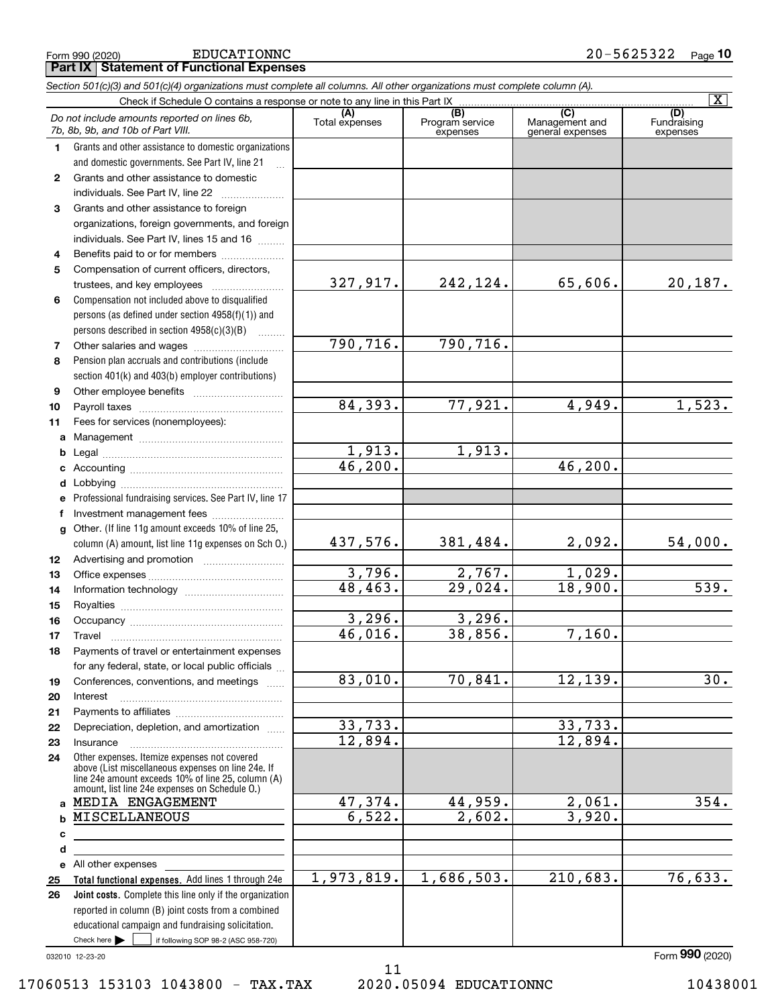Form 990 (2020) Page **Part IX Statement of Functional Expenses** EDUCATIONNC 20‐5625322

|                  | Section 501(c)(3) and 501(c)(4) organizations must complete all columns. All other organizations must complete column (A). |                |                                    |                                           |                                |
|------------------|----------------------------------------------------------------------------------------------------------------------------|----------------|------------------------------------|-------------------------------------------|--------------------------------|
|                  | Check if Schedule O contains a response or note to any line in this Part IX                                                |                |                                    |                                           | $\overline{\mathbf{x}}$        |
|                  | Do not include amounts reported on lines 6b,<br>7b, 8b, 9b, and 10b of Part VIII.                                          | Total expenses | (B)<br>Program service<br>expenses | (C)<br>Management and<br>general expenses | (D)<br>Fundraising<br>expenses |
| 1.               | Grants and other assistance to domestic organizations                                                                      |                |                                    |                                           |                                |
|                  | and domestic governments. See Part IV, line 21                                                                             |                |                                    |                                           |                                |
| $\mathbf{2}$     | Grants and other assistance to domestic                                                                                    |                |                                    |                                           |                                |
|                  | individuals. See Part IV, line 22                                                                                          |                |                                    |                                           |                                |
| 3                | Grants and other assistance to foreign                                                                                     |                |                                    |                                           |                                |
|                  | organizations, foreign governments, and foreign                                                                            |                |                                    |                                           |                                |
|                  | individuals. See Part IV, lines 15 and 16                                                                                  |                |                                    |                                           |                                |
| 4                | Benefits paid to or for members                                                                                            |                |                                    |                                           |                                |
| 5                | Compensation of current officers, directors,                                                                               |                |                                    |                                           |                                |
|                  | trustees, and key employees                                                                                                | 327,917.       | 242,124.                           | 65,606.                                   | 20,187.                        |
| 6                | Compensation not included above to disqualified                                                                            |                |                                    |                                           |                                |
|                  | persons (as defined under section 4958(f)(1)) and                                                                          |                |                                    |                                           |                                |
|                  | persons described in section 4958(c)(3)(B)                                                                                 |                |                                    |                                           |                                |
| 7                |                                                                                                                            | 790, 716.      | 790,716.                           |                                           |                                |
| 8                | Pension plan accruals and contributions (include                                                                           |                |                                    |                                           |                                |
|                  | section 401(k) and 403(b) employer contributions)                                                                          |                |                                    |                                           |                                |
| 9                |                                                                                                                            |                |                                    |                                           |                                |
| 10               |                                                                                                                            | 84,393.        | 77,921.                            | 4,949.                                    | 1,523.                         |
| 11               | Fees for services (nonemployees):                                                                                          |                |                                    |                                           |                                |
| a                |                                                                                                                            |                |                                    |                                           |                                |
| b                |                                                                                                                            | <u>1,913.</u>  | 1,913.                             |                                           |                                |
| c                |                                                                                                                            | 46,200.        |                                    | 46, 200.                                  |                                |
| d                |                                                                                                                            |                |                                    |                                           |                                |
| е                | Professional fundraising services. See Part IV, line 17                                                                    |                |                                    |                                           |                                |
| f                | Investment management fees                                                                                                 |                |                                    |                                           |                                |
| g                | Other. (If line 11g amount exceeds 10% of line 25,                                                                         |                |                                    |                                           |                                |
|                  | column (A) amount, list line 11g expenses on Sch 0.)                                                                       | 437,576.       | 381,484.                           | 2,092.                                    | 54,000.                        |
| 12 <sup>12</sup> |                                                                                                                            |                |                                    |                                           |                                |
| 13               |                                                                                                                            | 3,796.         | 2,767.                             | <u>1,029.</u>                             |                                |
| 14               |                                                                                                                            | 48,463.        | $\overline{29,024}$ .              | 18,900.                                   | $\overline{539}$ .             |
| 15               |                                                                                                                            |                |                                    |                                           |                                |
| 16               |                                                                                                                            | 3,296.         | 3,296.                             |                                           |                                |
| 17               |                                                                                                                            | 46,016.        | 38,856.                            | 7,160.                                    |                                |
| 18               | Payments of travel or entertainment expenses                                                                               |                |                                    |                                           |                                |
|                  | for any federal, state, or local public officials                                                                          | 83,010.        |                                    |                                           |                                |
| 19               | Conferences, conventions, and meetings                                                                                     |                | 70,841.                            | 12, 139.                                  | 30.                            |
| 20               | Interest                                                                                                                   |                |                                    |                                           |                                |
| 21               |                                                                                                                            | 33,733.        |                                    | 33,733.                                   |                                |
| 22<br>23         | Depreciation, depletion, and amortization<br>Insurance                                                                     | 12,894.        |                                    | 12,894.                                   |                                |
|                  | Other expenses. Itemize expenses not covered                                                                               |                |                                    |                                           |                                |
| 24               | above (List miscellaneous expenses on line 24e. If                                                                         |                |                                    |                                           |                                |
|                  | line 24e amount exceeds 10% of line 25, column (A)<br>amount, list line 24e expenses on Schedule O.)                       |                |                                    |                                           |                                |
| a                | MEDIA ENGAGEMENT                                                                                                           | 47,374.        | 44,959.                            | 2,061.                                    | 354.                           |
|                  | <b>MISCELLANEOUS</b>                                                                                                       | 6,522.         | 2,602.                             | 3,920.                                    |                                |
| c                |                                                                                                                            |                |                                    |                                           |                                |
| d                |                                                                                                                            |                |                                    |                                           |                                |
|                  | e All other expenses                                                                                                       |                |                                    |                                           |                                |
| 25               | Total functional expenses. Add lines 1 through 24e                                                                         | 1,973,819.     | 1,686,503.                         | 210,683.                                  | 76,633.                        |
| 26               | Joint costs. Complete this line only if the organization                                                                   |                |                                    |                                           |                                |
|                  | reported in column (B) joint costs from a combined                                                                         |                |                                    |                                           |                                |
|                  | educational campaign and fundraising solicitation.                                                                         |                |                                    |                                           |                                |
|                  | Check here $\blacktriangleright$<br>if following SOP 98-2 (ASC 958-720)                                                    |                |                                    |                                           |                                |

032010 12‐23‐20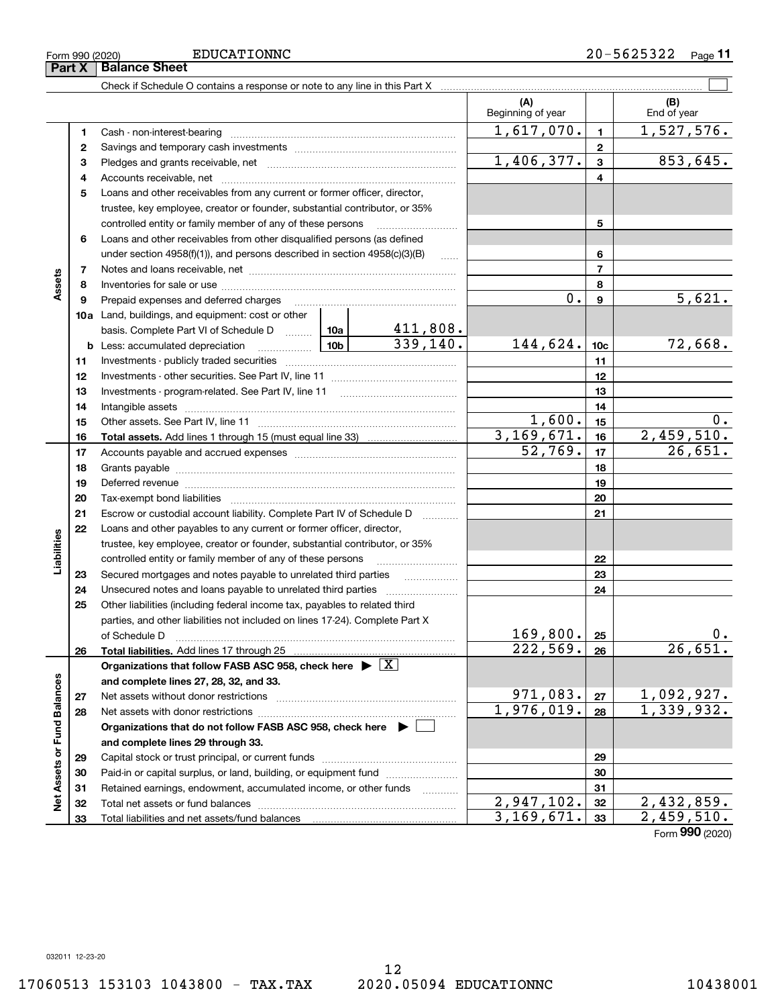$\boxed{\phantom{1}}$ 

**(A) (B)**

**Part X Balance Sheet**<br>**Part X Balance Sheet** EDUCATIONNC

Check if Schedule O contains a response or note to any line in this Part X

|                            |    |                                                                                                                                                                                                                                |                 |                             | Beginning of year    |                 | End of year                     |
|----------------------------|----|--------------------------------------------------------------------------------------------------------------------------------------------------------------------------------------------------------------------------------|-----------------|-----------------------------|----------------------|-----------------|---------------------------------|
|                            | 1  | Cash - non-interest-bearing                                                                                                                                                                                                    |                 |                             | 1,617,070.           | $\mathbf{1}$    | 1,527,576.                      |
|                            | 2  |                                                                                                                                                                                                                                |                 |                             |                      | $\mathbf{2}$    |                                 |
|                            | з  |                                                                                                                                                                                                                                | 1,406,377.      | $\mathbf{3}$                | 853,645.             |                 |                                 |
|                            | 4  |                                                                                                                                                                                                                                |                 | 4                           |                      |                 |                                 |
|                            | 5  | Loans and other receivables from any current or former officer, director,                                                                                                                                                      |                 |                             |                      |                 |                                 |
|                            |    | trustee, key employee, creator or founder, substantial contributor, or 35%                                                                                                                                                     |                 |                             |                      |                 |                                 |
|                            |    | controlled entity or family member of any of these persons                                                                                                                                                                     |                 | 5                           |                      |                 |                                 |
|                            | 6  | Loans and other receivables from other disqualified persons (as defined                                                                                                                                                        |                 |                             |                      |                 |                                 |
|                            |    | under section $4958(f)(1)$ , and persons described in section $4958(c)(3)(B)$                                                                                                                                                  |                 | 6                           |                      |                 |                                 |
|                            | 7  |                                                                                                                                                                                                                                |                 | $\ldots$                    |                      | $\overline{7}$  |                                 |
| Assets                     | 8  |                                                                                                                                                                                                                                |                 |                             |                      | 8               |                                 |
|                            | 9  | Prepaid expenses and deferred charges                                                                                                                                                                                          |                 |                             | $0$ .                | 9               | 5,621.                          |
|                            |    | <b>10a</b> Land, buildings, and equipment: cost or other                                                                                                                                                                       |                 |                             |                      |                 |                                 |
|                            |    | basis. Complete Part VI of Schedule D  10a                                                                                                                                                                                     |                 |                             |                      |                 |                                 |
|                            |    | <b>b</b> Less: accumulated depreciation                                                                                                                                                                                        | 10 <sub>b</sub> | $\frac{411,808.}{339,140.}$ | 144,624.             | 10 <sub>c</sub> | 72,668.                         |
|                            | 11 |                                                                                                                                                                                                                                |                 |                             |                      | 11              |                                 |
|                            | 12 |                                                                                                                                                                                                                                |                 |                             |                      | 12              |                                 |
|                            | 13 |                                                                                                                                                                                                                                |                 | 13                          |                      |                 |                                 |
|                            | 14 |                                                                                                                                                                                                                                |                 | 14                          |                      |                 |                                 |
|                            | 15 |                                                                                                                                                                                                                                | 1,600.          | 15                          | 0.                   |                 |                                 |
|                            | 16 |                                                                                                                                                                                                                                | 3,169,671.      | 16                          | 2,459,510.           |                 |                                 |
|                            | 17 |                                                                                                                                                                                                                                | 52,769.         | 17                          | 26,651.              |                 |                                 |
|                            | 18 |                                                                                                                                                                                                                                |                 | 18                          |                      |                 |                                 |
|                            | 19 | Deferred revenue manual contracts and contracts are contracted and contract and contract are contracted and contract are contracted and contract are contracted and contract are contracted and contract are contracted and co |                 | 19                          |                      |                 |                                 |
|                            | 20 |                                                                                                                                                                                                                                |                 |                             | 20                   |                 |                                 |
|                            | 21 | Escrow or custodial account liability. Complete Part IV of Schedule D                                                                                                                                                          |                 | .                           |                      | 21              |                                 |
|                            | 22 | Loans and other payables to any current or former officer, director,                                                                                                                                                           |                 |                             |                      |                 |                                 |
|                            |    | trustee, key employee, creator or founder, substantial contributor, or 35%                                                                                                                                                     |                 |                             |                      |                 |                                 |
| Liabilities                |    | controlled entity or family member of any of these persons                                                                                                                                                                     |                 |                             |                      | 22              |                                 |
|                            | 23 | Secured mortgages and notes payable to unrelated third parties                                                                                                                                                                 |                 |                             |                      | 23              |                                 |
|                            | 24 |                                                                                                                                                                                                                                |                 |                             |                      | 24              |                                 |
|                            | 25 | Other liabilities (including federal income tax, payables to related third                                                                                                                                                     |                 |                             |                      |                 |                                 |
|                            |    | parties, and other liabilities not included on lines 17-24). Complete Part X                                                                                                                                                   |                 |                             |                      |                 |                                 |
|                            |    | of Schedule D                                                                                                                                                                                                                  |                 |                             | 169,800.             | 25              |                                 |
|                            | 26 |                                                                                                                                                                                                                                |                 |                             | 222,569.             | 26              | 26,651.                         |
|                            |    | Organizations that follow FASB ASC 958, check here $\triangleright \lfloor X \rfloor$                                                                                                                                          |                 |                             |                      |                 |                                 |
| w                          |    | and complete lines 27, 28, 32, and 33.                                                                                                                                                                                         |                 |                             |                      |                 |                                 |
|                            | 27 | Net assets without donor restrictions                                                                                                                                                                                          |                 |                             | 971,083.             | 27              |                                 |
|                            | 28 | Net assets with donor restrictions                                                                                                                                                                                             |                 |                             | 1,976,019.           | 28              | $\frac{1,092,927.}{1,339,932.}$ |
|                            |    | Organizations that do not follow FASB ASC 958, check here ▶ [                                                                                                                                                                  |                 |                             |                      |                 |                                 |
|                            |    | and complete lines 29 through 33.                                                                                                                                                                                              |                 |                             |                      |                 |                                 |
|                            | 29 |                                                                                                                                                                                                                                |                 |                             | 29                   |                 |                                 |
|                            | 30 | Paid-in or capital surplus, or land, building, or equipment fund                                                                                                                                                               |                 |                             | 30                   |                 |                                 |
|                            | 31 | Retained earnings, endowment, accumulated income, or other funds                                                                                                                                                               |                 |                             |                      | 31              |                                 |
| Net Assets or Fund Balance | 32 |                                                                                                                                                                                                                                |                 |                             | $\sqrt{2,947,102}$ . | 32              | 2,432,859.                      |
|                            | 33 |                                                                                                                                                                                                                                |                 |                             | 3, 169, 671.         | 33              | 2,459,510.                      |
|                            |    |                                                                                                                                                                                                                                |                 |                             |                      |                 | Form 990 (2020)                 |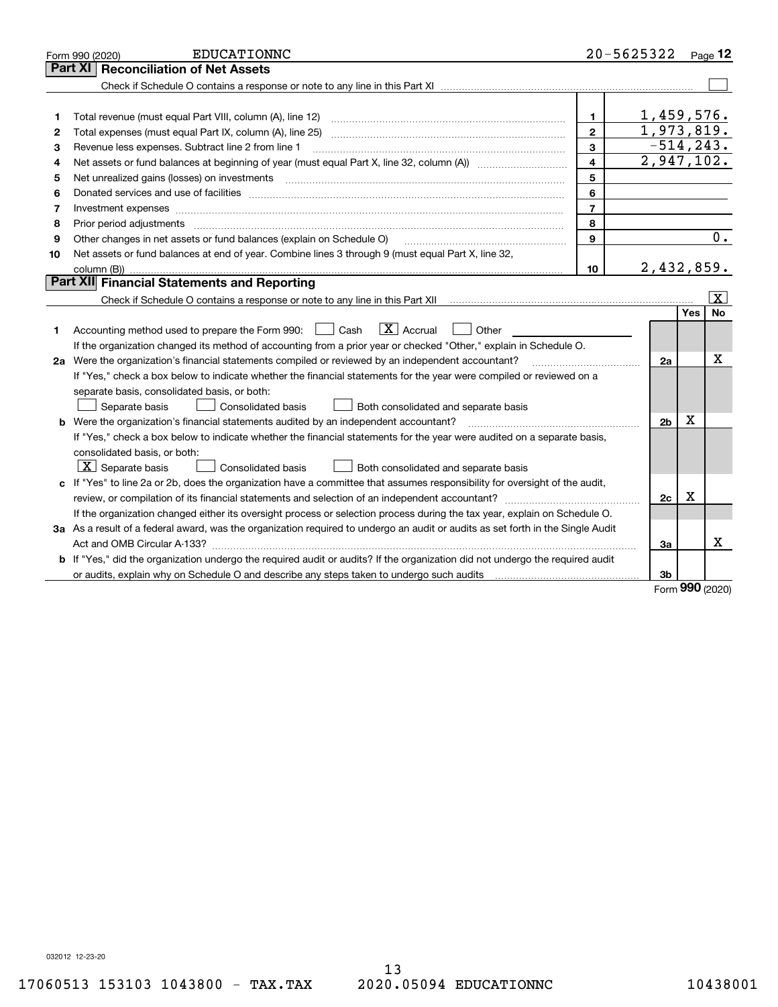|    | <b>EDUCATIONNC</b><br>Form 990 (2020)                                                                                                                                                                                         |                | 20-5625322     |     | Page 12                 |
|----|-------------------------------------------------------------------------------------------------------------------------------------------------------------------------------------------------------------------------------|----------------|----------------|-----|-------------------------|
|    | <b>Reconciliation of Net Assets</b><br>Part XI                                                                                                                                                                                |                |                |     |                         |
|    |                                                                                                                                                                                                                               |                |                |     |                         |
|    |                                                                                                                                                                                                                               |                |                |     |                         |
| 1  | Total revenue (must equal Part VIII, column (A), line 12)                                                                                                                                                                     | 1.             | 1,459,576.     |     |                         |
| 2  |                                                                                                                                                                                                                               | $\overline{2}$ | 1,973,819.     |     |                         |
| 3  | Revenue less expenses. Subtract line 2 from line 1                                                                                                                                                                            | 3              | $-514, 243.$   |     |                         |
| 4  |                                                                                                                                                                                                                               | $\overline{4}$ | 2,947,102.     |     |                         |
| 5  |                                                                                                                                                                                                                               | 5              |                |     |                         |
| 6  |                                                                                                                                                                                                                               | 6              |                |     |                         |
| 7  | Investment expenses www.communication.com/www.communication.com/www.communication.com/www.communication.com/ww                                                                                                                | $\overline{7}$ |                |     |                         |
| 8  | Prior period adjustments [11, 2010] www.communications.communications.communications.communications.communications.com                                                                                                        | 8              |                |     |                         |
| 9  | Other changes in net assets or fund balances (explain on Schedule O)                                                                                                                                                          | 9              |                |     | 0.                      |
| 10 | Net assets or fund balances at end of year. Combine lines 3 through 9 (must equal Part X, line 32,                                                                                                                            |                |                |     |                         |
|    |                                                                                                                                                                                                                               | 10             | 2,432,859.     |     |                         |
|    | Part XII Financial Statements and Reporting                                                                                                                                                                                   |                |                |     |                         |
|    |                                                                                                                                                                                                                               |                |                |     | $\overline{\mathbf{X}}$ |
|    |                                                                                                                                                                                                                               |                |                | Yes | <b>No</b>               |
| 1  | $\boxed{\mathbf{X}}$ Accrual<br>Accounting method used to prepare the Form 990: <u>II</u> Cash<br>Other                                                                                                                       |                |                |     |                         |
|    | If the organization changed its method of accounting from a prior year or checked "Other," explain in Schedule O.                                                                                                             |                |                |     |                         |
|    | 2a Were the organization's financial statements compiled or reviewed by an independent accountant?                                                                                                                            |                | 2a             |     | x                       |
|    | If "Yes," check a box below to indicate whether the financial statements for the year were compiled or reviewed on a                                                                                                          |                |                |     |                         |
|    | separate basis, consolidated basis, or both:                                                                                                                                                                                  |                |                |     |                         |
|    | Consolidated basis<br>Separate basis<br>Both consolidated and separate basis                                                                                                                                                  |                |                |     |                         |
|    | <b>b</b> Were the organization's financial statements audited by an independent accountant?                                                                                                                                   |                | 2 <sub>b</sub> | х   |                         |
|    | If "Yes," check a box below to indicate whether the financial statements for the year were audited on a separate basis,                                                                                                       |                |                |     |                         |
|    | consolidated basis, or both:                                                                                                                                                                                                  |                |                |     |                         |
|    | $ \mathbf{X} $ Separate basis<br><b>Consolidated basis</b><br>Both consolidated and separate basis                                                                                                                            |                |                |     |                         |
|    | c If "Yes" to line 2a or 2b, does the organization have a committee that assumes responsibility for oversight of the audit,                                                                                                   |                |                |     |                         |
|    | review, or compilation of its financial statements and selection of an independent accountant?                                                                                                                                |                | 2c             | х   |                         |
|    | If the organization changed either its oversight process or selection process during the tax year, explain on Schedule O.                                                                                                     |                |                |     |                         |
|    | 3a As a result of a federal award, was the organization required to undergo an audit or audits as set forth in the Single Audit                                                                                               |                |                |     |                         |
|    |                                                                                                                                                                                                                               |                | 3a             |     | x                       |
|    | b If "Yes," did the organization undergo the required audit or audits? If the organization did not undergo the required audit                                                                                                 |                |                |     |                         |
|    | or audits, explain why on Schedule O and describe any steps taken to undergo such audits [11] contains the school of audits [11] or audits [11] or audits [11] or audits [11] or audits [11] or audits [11] or audits [11] or |                | 3 <sub>b</sub> | nnn |                         |

Form (2020) **990**

032012 12‐23‐20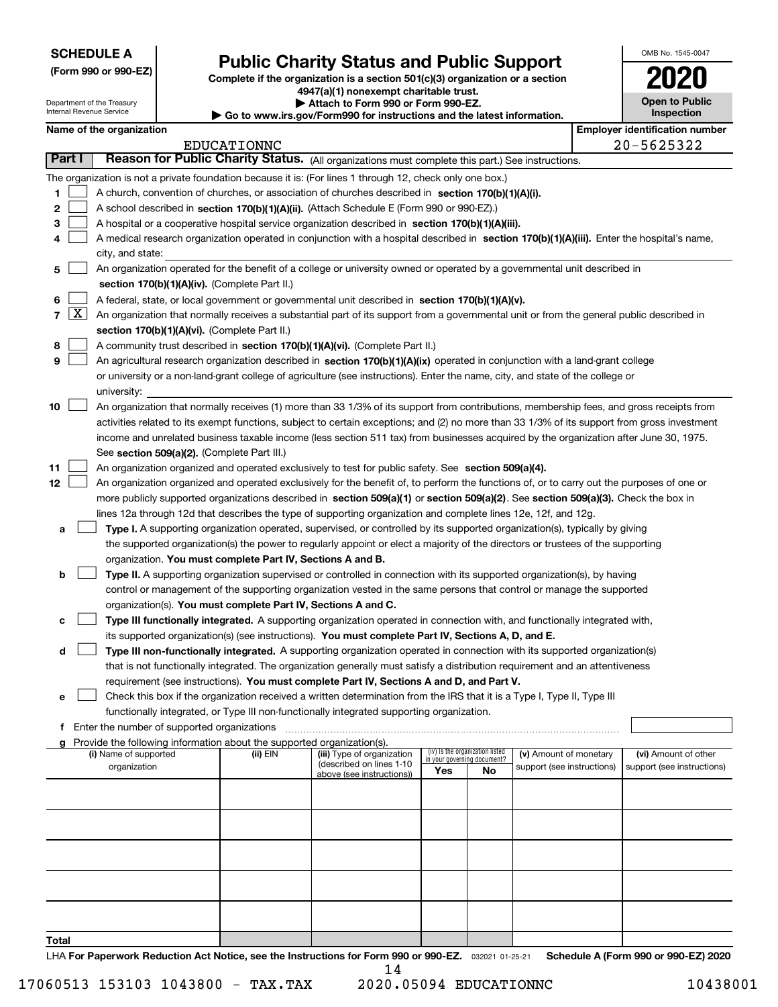| <b>SCHEDULE A</b> |
|-------------------|
|-------------------|

# **Public Charity Status and Public Support 2020**

**(Form 990 or 990‐EZ) Complete if the organization is a section 501(c)(3) organization or a section 4947(a)(1) nonexempt charitable trust. | Attach to Form 990 or Form 990‐EZ.** 

| OMB No. 1545-0047                   |
|-------------------------------------|
| 2020                                |
| <b>Open to Public</b><br>Inspection |
|                                     |

| Department of the Treasury<br>Internal Revenue Service |            |                          |                                             | Attach to Form 990 or Form 990-EZ.<br>$\blacktriangleright$ Go to www.irs.gov/Form990 for instructions and the latest information. |                                                                                                                                                                                                                                                                                                              |                                                                |    |                            | <b>Open to Public</b><br>Inspection |                                                     |  |
|--------------------------------------------------------|------------|--------------------------|---------------------------------------------|------------------------------------------------------------------------------------------------------------------------------------|--------------------------------------------------------------------------------------------------------------------------------------------------------------------------------------------------------------------------------------------------------------------------------------------------------------|----------------------------------------------------------------|----|----------------------------|-------------------------------------|-----------------------------------------------------|--|
|                                                        |            | Name of the organization |                                             |                                                                                                                                    |                                                                                                                                                                                                                                                                                                              |                                                                |    |                            |                                     | <b>Employer identification number</b><br>20-5625322 |  |
| Part I                                                 |            |                          |                                             | EDUCATIONNC                                                                                                                        | Reason for Public Charity Status. (All organizations must complete this part.) See instructions.                                                                                                                                                                                                             |                                                                |    |                            |                                     |                                                     |  |
| 1.<br>2                                                |            |                          |                                             |                                                                                                                                    | The organization is not a private foundation because it is: (For lines 1 through 12, check only one box.)<br>A church, convention of churches, or association of churches described in section 170(b)(1)(A)(i).<br>A school described in section 170(b)(1)(A)(ii). (Attach Schedule E (Form 990 or 990-EZ).) |                                                                |    |                            |                                     |                                                     |  |
| з<br>4                                                 |            | city, and state:         |                                             |                                                                                                                                    | A hospital or a cooperative hospital service organization described in section 170(b)(1)(A)(iii).<br>A medical research organization operated in conjunction with a hospital described in section 170(b)(1)(A)(iii). Enter the hospital's name,                                                              |                                                                |    |                            |                                     |                                                     |  |
| 5                                                      |            |                          |                                             | section 170(b)(1)(A)(iv). (Complete Part II.)                                                                                      | An organization operated for the benefit of a college or university owned or operated by a governmental unit described in                                                                                                                                                                                    |                                                                |    |                            |                                     |                                                     |  |
| 6                                                      |            |                          |                                             |                                                                                                                                    | A federal, state, or local government or governmental unit described in section 170(b)(1)(A)(v).                                                                                                                                                                                                             |                                                                |    |                            |                                     |                                                     |  |
|                                                        | $7 \times$ |                          |                                             |                                                                                                                                    | An organization that normally receives a substantial part of its support from a governmental unit or from the general public described in                                                                                                                                                                    |                                                                |    |                            |                                     |                                                     |  |
|                                                        |            |                          |                                             | section 170(b)(1)(A)(vi). (Complete Part II.)                                                                                      |                                                                                                                                                                                                                                                                                                              |                                                                |    |                            |                                     |                                                     |  |
| 8                                                      |            |                          |                                             |                                                                                                                                    | A community trust described in section 170(b)(1)(A)(vi). (Complete Part II.)                                                                                                                                                                                                                                 |                                                                |    |                            |                                     |                                                     |  |
| 9                                                      |            |                          |                                             |                                                                                                                                    | An agricultural research organization described in section 170(b)(1)(A)(ix) operated in conjunction with a land-grant college                                                                                                                                                                                |                                                                |    |                            |                                     |                                                     |  |
|                                                        |            | university:              |                                             |                                                                                                                                    | or university or a non-land-grant college of agriculture (see instructions). Enter the name, city, and state of the college or                                                                                                                                                                               |                                                                |    |                            |                                     |                                                     |  |
| 10                                                     |            |                          |                                             |                                                                                                                                    | An organization that normally receives (1) more than 33 1/3% of its support from contributions, membership fees, and gross receipts from                                                                                                                                                                     |                                                                |    |                            |                                     |                                                     |  |
|                                                        |            |                          |                                             |                                                                                                                                    | activities related to its exempt functions, subject to certain exceptions; and (2) no more than 33 1/3% of its support from gross investment                                                                                                                                                                 |                                                                |    |                            |                                     |                                                     |  |
|                                                        |            |                          |                                             |                                                                                                                                    | income and unrelated business taxable income (less section 511 tax) from businesses acquired by the organization after June 30, 1975.                                                                                                                                                                        |                                                                |    |                            |                                     |                                                     |  |
|                                                        |            |                          |                                             | See section 509(a)(2). (Complete Part III.)                                                                                        |                                                                                                                                                                                                                                                                                                              |                                                                |    |                            |                                     |                                                     |  |
| 11                                                     |            |                          |                                             |                                                                                                                                    | An organization organized and operated exclusively to test for public safety. See section 509(a)(4).                                                                                                                                                                                                         |                                                                |    |                            |                                     |                                                     |  |
| 12                                                     |            |                          |                                             |                                                                                                                                    | An organization organized and operated exclusively for the benefit of, to perform the functions of, or to carry out the purposes of one or                                                                                                                                                                   |                                                                |    |                            |                                     |                                                     |  |
|                                                        |            |                          |                                             |                                                                                                                                    | more publicly supported organizations described in section 509(a)(1) or section 509(a)(2). See section 509(a)(3). Check the box in                                                                                                                                                                           |                                                                |    |                            |                                     |                                                     |  |
|                                                        |            |                          |                                             |                                                                                                                                    | lines 12a through 12d that describes the type of supporting organization and complete lines 12e, 12f, and 12g.                                                                                                                                                                                               |                                                                |    |                            |                                     |                                                     |  |
| а                                                      |            |                          |                                             |                                                                                                                                    | Type I. A supporting organization operated, supervised, or controlled by its supported organization(s), typically by giving                                                                                                                                                                                  |                                                                |    |                            |                                     |                                                     |  |
|                                                        |            |                          |                                             |                                                                                                                                    | the supported organization(s) the power to regularly appoint or elect a majority of the directors or trustees of the supporting                                                                                                                                                                              |                                                                |    |                            |                                     |                                                     |  |
| b                                                      |            |                          |                                             | organization. You must complete Part IV, Sections A and B.                                                                         | Type II. A supporting organization supervised or controlled in connection with its supported organization(s), by having                                                                                                                                                                                      |                                                                |    |                            |                                     |                                                     |  |
|                                                        |            |                          |                                             |                                                                                                                                    | control or management of the supporting organization vested in the same persons that control or manage the supported                                                                                                                                                                                         |                                                                |    |                            |                                     |                                                     |  |
|                                                        |            |                          |                                             | organization(s). You must complete Part IV, Sections A and C.                                                                      |                                                                                                                                                                                                                                                                                                              |                                                                |    |                            |                                     |                                                     |  |
| с                                                      |            |                          |                                             |                                                                                                                                    | Type III functionally integrated. A supporting organization operated in connection with, and functionally integrated with,                                                                                                                                                                                   |                                                                |    |                            |                                     |                                                     |  |
|                                                        |            |                          |                                             |                                                                                                                                    | its supported organization(s) (see instructions). You must complete Part IV, Sections A, D, and E.                                                                                                                                                                                                           |                                                                |    |                            |                                     |                                                     |  |
| d                                                      |            |                          |                                             |                                                                                                                                    | Type III non-functionally integrated. A supporting organization operated in connection with its supported organization(s)                                                                                                                                                                                    |                                                                |    |                            |                                     |                                                     |  |
|                                                        |            |                          |                                             |                                                                                                                                    | that is not functionally integrated. The organization generally must satisfy a distribution requirement and an attentiveness                                                                                                                                                                                 |                                                                |    |                            |                                     |                                                     |  |
|                                                        |            |                          |                                             |                                                                                                                                    | requirement (see instructions). You must complete Part IV, Sections A and D, and Part V.                                                                                                                                                                                                                     |                                                                |    |                            |                                     |                                                     |  |
| е                                                      |            |                          |                                             |                                                                                                                                    | Check this box if the organization received a written determination from the IRS that it is a Type I, Type II, Type III                                                                                                                                                                                      |                                                                |    |                            |                                     |                                                     |  |
|                                                        |            |                          |                                             |                                                                                                                                    | functionally integrated, or Type III non-functionally integrated supporting organization.                                                                                                                                                                                                                    |                                                                |    |                            |                                     |                                                     |  |
| f                                                      |            |                          | Enter the number of supported organizations | Provide the following information about the supported organization(s).                                                             |                                                                                                                                                                                                                                                                                                              |                                                                |    |                            |                                     |                                                     |  |
|                                                        |            | (i) Name of supported    |                                             | (ii) EIN                                                                                                                           | (iii) Type of organization                                                                                                                                                                                                                                                                                   | (iv) Is the organization listed<br>in your governing document? |    | (v) Amount of monetary     |                                     | (vi) Amount of other                                |  |
|                                                        |            | organization             |                                             |                                                                                                                                    | (described on lines 1-10<br>above (see instructions))                                                                                                                                                                                                                                                        | Yes                                                            | No | support (see instructions) |                                     | support (see instructions)                          |  |
|                                                        |            |                          |                                             |                                                                                                                                    |                                                                                                                                                                                                                                                                                                              |                                                                |    |                            |                                     |                                                     |  |
|                                                        |            |                          |                                             |                                                                                                                                    |                                                                                                                                                                                                                                                                                                              |                                                                |    |                            |                                     |                                                     |  |
|                                                        |            |                          |                                             |                                                                                                                                    |                                                                                                                                                                                                                                                                                                              |                                                                |    |                            |                                     |                                                     |  |
|                                                        |            |                          |                                             |                                                                                                                                    |                                                                                                                                                                                                                                                                                                              |                                                                |    |                            |                                     |                                                     |  |
|                                                        |            |                          |                                             |                                                                                                                                    |                                                                                                                                                                                                                                                                                                              |                                                                |    |                            |                                     |                                                     |  |
|                                                        |            |                          |                                             |                                                                                                                                    |                                                                                                                                                                                                                                                                                                              |                                                                |    |                            |                                     |                                                     |  |
|                                                        |            |                          |                                             |                                                                                                                                    |                                                                                                                                                                                                                                                                                                              |                                                                |    |                            |                                     |                                                     |  |
|                                                        |            |                          |                                             |                                                                                                                                    |                                                                                                                                                                                                                                                                                                              |                                                                |    |                            |                                     |                                                     |  |
| Total                                                  |            |                          |                                             |                                                                                                                                    |                                                                                                                                                                                                                                                                                                              |                                                                |    |                            |                                     |                                                     |  |

032021 01‐25‐21 **For Paperwork Reduction Act Notice, see the Instructions for Form 990 or 990‐EZ. Schedule A (Form 990 or 990‐EZ) 2020** LHA 14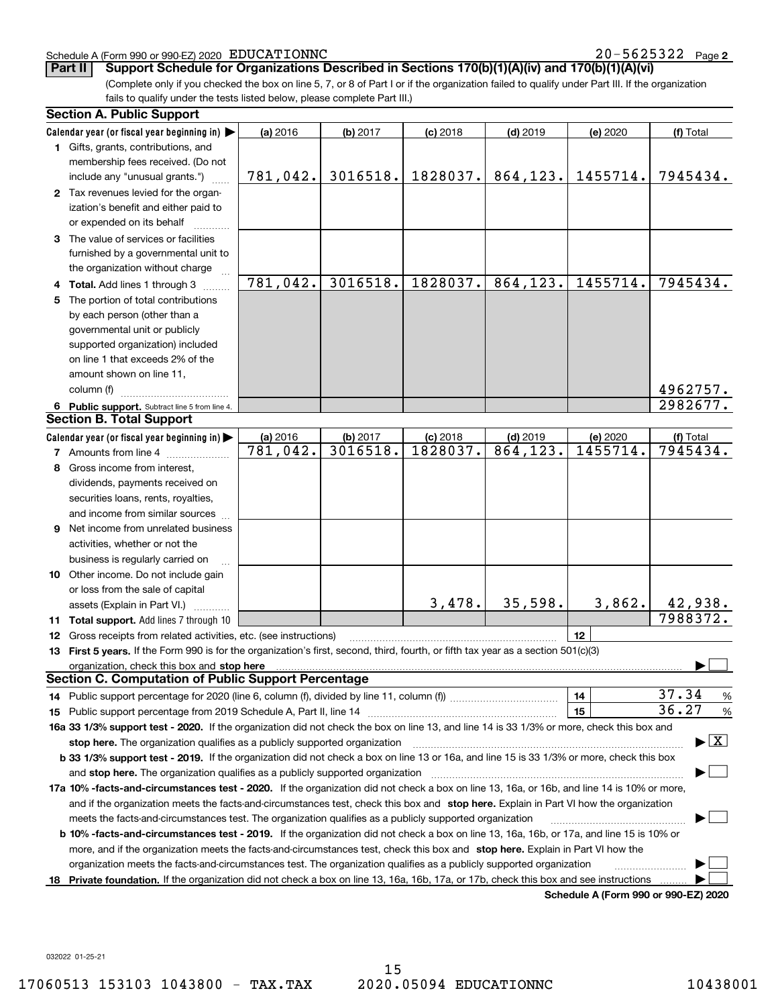## Schedule A (Form 990 or 990‐EZ) 2020 Page EDUCATIONNC 20‐5625322

20-5625322 Page 2

(Complete only if you checked the box on line 5, 7, or 8 of Part I or if the organization failed to qualify under Part III. If the organization **Part II** Support Schedule for Organizations Described in Sections 170(b)(1)(A)(iv) and 170(b)(1)(A)(vi)

fails to qualify under the tests listed below, please complete Part III.)

|    | <b>Section A. Public Support</b>                                                                                                                                                                                               |          |          |            |            |                                      |                                |
|----|--------------------------------------------------------------------------------------------------------------------------------------------------------------------------------------------------------------------------------|----------|----------|------------|------------|--------------------------------------|--------------------------------|
|    | Calendar year (or fiscal year beginning in)                                                                                                                                                                                    | (a) 2016 | (b) 2017 | $(c)$ 2018 | $(d)$ 2019 | (e) 2020                             | (f) Total                      |
|    | 1 Gifts, grants, contributions, and                                                                                                                                                                                            |          |          |            |            |                                      |                                |
|    | membership fees received. (Do not                                                                                                                                                                                              |          |          |            |            |                                      |                                |
|    | include any "unusual grants.")                                                                                                                                                                                                 | 781,042. | 3016518. | 1828037.   | 864,123.   | 1455714.                             | 7945434.                       |
|    | 2 Tax revenues levied for the organ-                                                                                                                                                                                           |          |          |            |            |                                      |                                |
|    | ization's benefit and either paid to                                                                                                                                                                                           |          |          |            |            |                                      |                                |
|    | or expended on its behalf                                                                                                                                                                                                      |          |          |            |            |                                      |                                |
|    | 3 The value of services or facilities                                                                                                                                                                                          |          |          |            |            |                                      |                                |
|    | furnished by a governmental unit to                                                                                                                                                                                            |          |          |            |            |                                      |                                |
|    | the organization without charge                                                                                                                                                                                                |          |          |            |            |                                      |                                |
|    | 4 Total. Add lines 1 through 3                                                                                                                                                                                                 | 781,042. | 3016518. | 1828037.   | 864, 123.  | 1455714.                             | 7945434.                       |
| 5  | The portion of total contributions                                                                                                                                                                                             |          |          |            |            |                                      |                                |
|    | by each person (other than a                                                                                                                                                                                                   |          |          |            |            |                                      |                                |
|    | governmental unit or publicly                                                                                                                                                                                                  |          |          |            |            |                                      |                                |
|    | supported organization) included                                                                                                                                                                                               |          |          |            |            |                                      |                                |
|    | on line 1 that exceeds 2% of the                                                                                                                                                                                               |          |          |            |            |                                      |                                |
|    | amount shown on line 11,                                                                                                                                                                                                       |          |          |            |            |                                      |                                |
|    | column (f)                                                                                                                                                                                                                     |          |          |            |            |                                      | 4962757.                       |
|    | 6 Public support. Subtract line 5 from line 4.                                                                                                                                                                                 |          |          |            |            |                                      | 2982677.                       |
|    | <b>Section B. Total Support</b>                                                                                                                                                                                                |          |          |            |            |                                      |                                |
|    | Calendar year (or fiscal year beginning in)                                                                                                                                                                                    | (a) 2016 | (b) 2017 | $(c)$ 2018 | $(d)$ 2019 | (e) 2020                             | (f) Total                      |
|    | <b>7</b> Amounts from line 4                                                                                                                                                                                                   | 781,042. | 3016518. | 1828037.   | 864,123.   | 1455714.                             | 7945434.                       |
| 8  | Gross income from interest,                                                                                                                                                                                                    |          |          |            |            |                                      |                                |
|    | dividends, payments received on                                                                                                                                                                                                |          |          |            |            |                                      |                                |
|    | securities loans, rents, royalties,                                                                                                                                                                                            |          |          |            |            |                                      |                                |
|    | and income from similar sources                                                                                                                                                                                                |          |          |            |            |                                      |                                |
| 9  | Net income from unrelated business                                                                                                                                                                                             |          |          |            |            |                                      |                                |
|    | activities, whether or not the                                                                                                                                                                                                 |          |          |            |            |                                      |                                |
|    | business is regularly carried on                                                                                                                                                                                               |          |          |            |            |                                      |                                |
|    | <b>10</b> Other income. Do not include gain                                                                                                                                                                                    |          |          |            |            |                                      |                                |
|    | or loss from the sale of capital                                                                                                                                                                                               |          |          |            |            |                                      |                                |
|    | assets (Explain in Part VI.)                                                                                                                                                                                                   |          |          | 3,478.     | 35,598.    | 3,862.                               | 42,938.                        |
|    | 11 Total support. Add lines 7 through 10                                                                                                                                                                                       |          |          |            |            |                                      | 7988372.                       |
| 12 | Gross receipts from related activities, etc. (see instructions)                                                                                                                                                                |          |          |            |            | 12                                   |                                |
|    | 13 First 5 years. If the Form 990 is for the organization's first, second, third, fourth, or fifth tax year as a section 501(c)(3)                                                                                             |          |          |            |            |                                      |                                |
|    | organization, check this box and stop here manufactured and according to the state of the state of the state of the state of the state of the state of the state of the state of the state of the state of the state of the st |          |          |            |            |                                      |                                |
|    | <b>Section C. Computation of Public Support Percentage</b>                                                                                                                                                                     |          |          |            |            |                                      |                                |
|    |                                                                                                                                                                                                                                |          |          |            |            | 14                                   | 37.34<br>$\frac{9}{6}$         |
|    | <b>15</b> Public support percentage from 2019 Schedule A, Part II, line 14                                                                                                                                                     |          |          |            |            | 15                                   | 36.27<br>%                     |
|    | 16a 33 1/3% support test - 2020. If the organization did not check the box on line 13, and line 14 is 33 1/3% or more, check this box and                                                                                      |          |          |            |            |                                      |                                |
|    | stop here. The organization qualifies as a publicly supported organization                                                                                                                                                     |          |          |            |            |                                      | $\blacktriangleright$ $\mid$ X |
|    | b 33 1/3% support test - 2019. If the organization did not check a box on line 13 or 16a, and line 15 is 33 1/3% or more, check this box                                                                                       |          |          |            |            |                                      |                                |
|    | and stop here. The organization qualifies as a publicly supported organization                                                                                                                                                 |          |          |            |            |                                      |                                |
|    | 17a 10% -facts-and-circumstances test - 2020. If the organization did not check a box on line 13, 16a, or 16b, and line 14 is 10% or more,                                                                                     |          |          |            |            |                                      |                                |
|    | and if the organization meets the facts-and-circumstances test, check this box and stop here. Explain in Part VI how the organization                                                                                          |          |          |            |            |                                      |                                |
|    | meets the facts-and-circumstances test. The organization qualifies as a publicly supported organization                                                                                                                        |          |          |            |            |                                      |                                |
|    | <b>b 10% -facts-and-circumstances test - 2019.</b> If the organization did not check a box on line 13, 16a, 16b, or 17a, and line 15 is 10% or                                                                                 |          |          |            |            |                                      |                                |
|    | more, and if the organization meets the facts-and-circumstances test, check this box and stop here. Explain in Part VI how the                                                                                                 |          |          |            |            |                                      |                                |
|    | organization meets the facts-and-circumstances test. The organization qualifies as a publicly supported organization                                                                                                           |          |          |            |            |                                      |                                |
|    | Private foundation. If the organization did not check a box on line 13, 16a, 16b, 17a, or 17b, check this box and see instructions                                                                                             |          |          |            |            |                                      |                                |
|    |                                                                                                                                                                                                                                |          |          |            |            | Schedule A (Form 990 or 990-F7) 2020 |                                |

**Schedule A (Form 990 or 990‐EZ) 2020**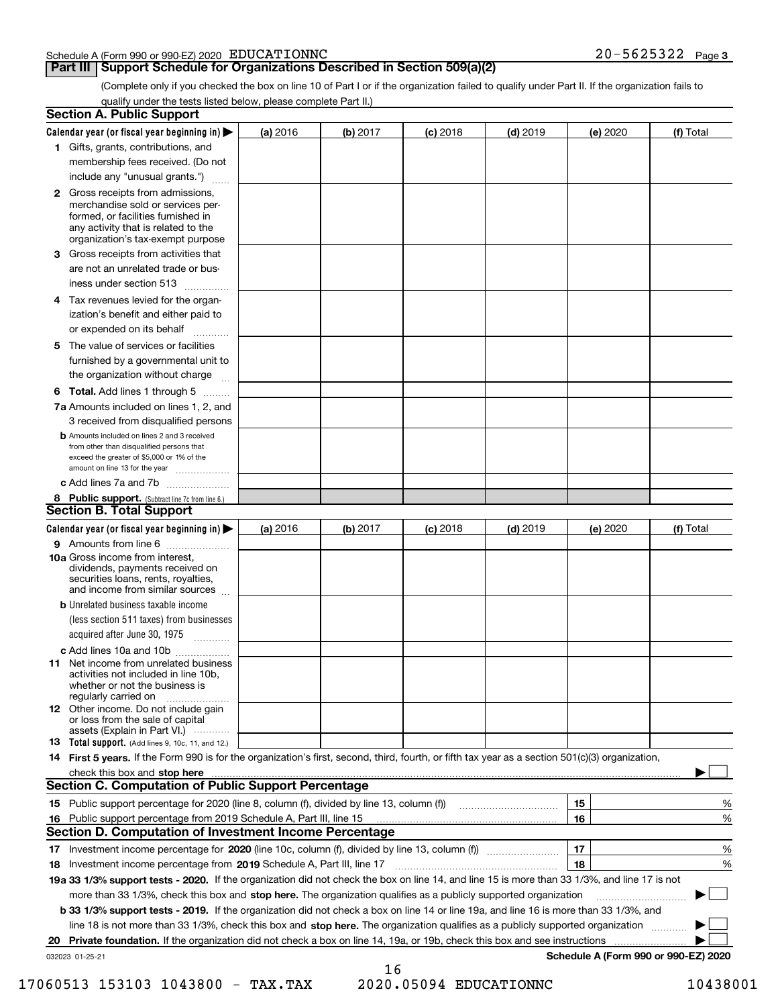## Schedule A (Form 990 or 990‐EZ) 2020 Page EDUCATIONNC 20‐5625322

## **Part III | Support Schedule for Organizations Described in Section 509(a)(2)**

(Complete only if you checked the box on line 10 of Part I or if the organization failed to qualify under Part II. If the organization fails to qualify under the tests listed below, please complete Part II.)

|    | <b>Section A. Public Support</b>                                                                                                                                                                                               |          |          |            |            |          |                                      |
|----|--------------------------------------------------------------------------------------------------------------------------------------------------------------------------------------------------------------------------------|----------|----------|------------|------------|----------|--------------------------------------|
|    | Calendar year (or fiscal year beginning in) $\blacktriangleright$                                                                                                                                                              | (a) 2016 | (b) 2017 | $(c)$ 2018 | $(d)$ 2019 | (e) 2020 | (f) Total                            |
|    | 1 Gifts, grants, contributions, and                                                                                                                                                                                            |          |          |            |            |          |                                      |
|    | membership fees received. (Do not                                                                                                                                                                                              |          |          |            |            |          |                                      |
|    | include any "unusual grants.")                                                                                                                                                                                                 |          |          |            |            |          |                                      |
|    | 2 Gross receipts from admissions,<br>merchandise sold or services per-<br>formed, or facilities furnished in<br>any activity that is related to the<br>organization's tax-exempt purpose                                       |          |          |            |            |          |                                      |
| З  | Gross receipts from activities that<br>are not an unrelated trade or bus-                                                                                                                                                      |          |          |            |            |          |                                      |
|    | iness under section 513                                                                                                                                                                                                        |          |          |            |            |          |                                      |
|    | 4 Tax revenues levied for the organ-                                                                                                                                                                                           |          |          |            |            |          |                                      |
|    | ization's benefit and either paid to<br>or expended on its behalf                                                                                                                                                              |          |          |            |            |          |                                      |
| 5. | The value of services or facilities                                                                                                                                                                                            |          |          |            |            |          |                                      |
|    | furnished by a governmental unit to                                                                                                                                                                                            |          |          |            |            |          |                                      |
|    | the organization without charge                                                                                                                                                                                                |          |          |            |            |          |                                      |
|    | <b>6 Total.</b> Add lines 1 through 5                                                                                                                                                                                          |          |          |            |            |          |                                      |
|    | 7a Amounts included on lines 1, 2, and<br>3 received from disqualified persons                                                                                                                                                 |          |          |            |            |          |                                      |
|    | <b>b</b> Amounts included on lines 2 and 3 received<br>from other than disqualified persons that<br>exceed the greater of \$5,000 or 1% of the<br>amount on line 13 for the year                                               |          |          |            |            |          |                                      |
|    | c Add lines 7a and 7b                                                                                                                                                                                                          |          |          |            |            |          |                                      |
|    | 8 Public support. (Subtract line 7c from line 6.)                                                                                                                                                                              |          |          |            |            |          |                                      |
|    | <b>Section B. Total Support</b>                                                                                                                                                                                                |          |          |            |            |          |                                      |
|    | Calendar year (or fiscal year beginning in) $\blacktriangleright$                                                                                                                                                              | (a) 2016 | (b) 2017 | $(c)$ 2018 | $(d)$ 2019 | (e) 2020 | (f) Total                            |
|    | 9 Amounts from line 6                                                                                                                                                                                                          |          |          |            |            |          |                                      |
|    | 10a Gross income from interest.<br>dividends, payments received on<br>securities loans, rents, royalties,<br>and income from similar sources                                                                                   |          |          |            |            |          |                                      |
|    | <b>b</b> Unrelated business taxable income                                                                                                                                                                                     |          |          |            |            |          |                                      |
|    | (less section 511 taxes) from businesses                                                                                                                                                                                       |          |          |            |            |          |                                      |
|    | acquired after June 30, 1975<br>$\overline{\phantom{a}}$                                                                                                                                                                       |          |          |            |            |          |                                      |
|    | c Add lines 10a and 10b<br><b>11</b> Net income from unrelated business<br>activities not included in line 10b,<br>whether or not the business is<br>regularly carried on                                                      |          |          |            |            |          |                                      |
|    | <b>12</b> Other income. Do not include gain<br>or loss from the sale of capital<br>assets (Explain in Part VI.)                                                                                                                |          |          |            |            |          |                                      |
|    | <b>13</b> Total support. (Add lines 9, 10c, 11, and 12.)                                                                                                                                                                       |          |          |            |            |          |                                      |
|    | 14 First 5 years. If the Form 990 is for the organization's first, second, third, fourth, or fifth tax year as a section 501(c)(3) organization,                                                                               |          |          |            |            |          |                                      |
|    | check this box and stop here manufactured and content to the state of the state of the state of the state of the state of the state of the state of the state of the state of the state of the state of the state of the state |          |          |            |            |          |                                      |
|    | <b>Section C. Computation of Public Support Percentage</b>                                                                                                                                                                     |          |          |            |            |          |                                      |
|    | 15 Public support percentage for 2020 (line 8, column (f), divided by line 13, column (f))                                                                                                                                     |          |          |            |            | 15       | %                                    |
| 16 | Public support percentage from 2019 Schedule A, Part III, line 15                                                                                                                                                              |          |          |            |            | 16       | %                                    |
|    | Section D. Computation of Investment Income Percentage                                                                                                                                                                         |          |          |            |            |          |                                      |
|    |                                                                                                                                                                                                                                |          |          |            |            | 17       | %                                    |
|    | 18 Investment income percentage from 2019 Schedule A, Part III, line 17                                                                                                                                                        |          |          |            |            | 18       | %                                    |
|    | 19a 33 1/3% support tests - 2020. If the organization did not check the box on line 14, and line 15 is more than 33 1/3%, and line 17 is not                                                                                   |          |          |            |            |          |                                      |
|    | more than 33 1/3%, check this box and stop here. The organization qualifies as a publicly supported organization                                                                                                               |          |          |            |            |          |                                      |
|    | b 33 1/3% support tests - 2019. If the organization did not check a box on line 14 or line 19a, and line 16 is more than 33 1/3%, and                                                                                          |          |          |            |            |          |                                      |
|    | line 18 is not more than 33 1/3%, check this box and stop here. The organization qualifies as a publicly supported organization                                                                                                |          |          |            |            |          |                                      |
| 20 | Private foundation. If the organization did not check a box on line 14, 19a, or 19b, check this box and see instructions                                                                                                       |          |          |            |            |          | .                                    |
|    | 032023 01-25-21                                                                                                                                                                                                                |          | 16       |            |            |          | Schedule A (Form 990 or 990-EZ) 2020 |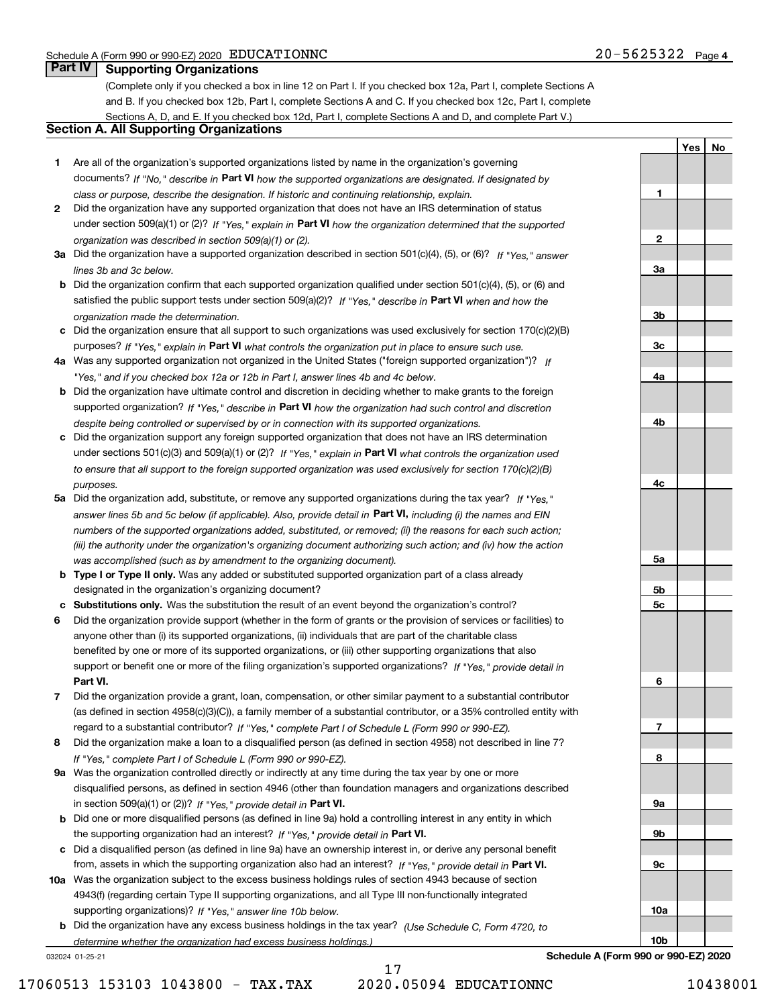**1**

Yes | No

## **Part IV Supporting Organizations**

(Complete only if you checked a box in line 12 on Part I. If you checked box 12a, Part I, complete Sections A and B. If you checked box 12b, Part I, complete Sections A and C. If you checked box 12c, Part I, complete Sections A, D, and E. If you checked box 12d, Part I, complete Sections A and D, and complete Part V.)

## **Section A. All Supporting Organizations**

- **1** Are all of the organization's supported organizations listed by name in the organization's governing documents? If "No," describe in Part VI how the supported organizations are designated. If designated by *class or purpose, describe the designation. If historic and continuing relationship, explain.*
- **2** Did the organization have any supported organization that does not have an IRS determination of status under section 509(a)(1) or (2)? If "Yes," explain in Part VI how the organization determined that the supported *organization was described in section 509(a)(1) or (2).*
- **3a** Did the organization have a supported organization described in section 501(c)(4), (5), or (6)? If "Yes," answer *lines 3b and 3c below.*
- **b** Did the organization confirm that each supported organization qualified under section 501(c)(4), (5), or (6) and satisfied the public support tests under section 509(a)(2)? If "Yes," describe in **Part VI** when and how the *organization made the determination.*
- **c** Did the organization ensure that all support to such organizations was used exclusively for section 170(c)(2)(B) purposes? If "Yes," explain in Part VI what controls the organization put in place to ensure such use.
- **4 a** *If* Was any supported organization not organized in the United States ("foreign supported organization")? *"Yes," and if you checked box 12a or 12b in Part I, answer lines 4b and 4c below.*
- **b** Did the organization have ultimate control and discretion in deciding whether to make grants to the foreign supported organization? If "Yes," describe in Part VI how the organization had such control and discretion *despite being controlled or supervised by or in connection with its supported organizations.*
- **c** Did the organization support any foreign supported organization that does not have an IRS determination under sections 501(c)(3) and 509(a)(1) or (2)? If "Yes," explain in Part VI what controls the organization used *to ensure that all support to the foreign supported organization was used exclusively for section 170(c)(2)(B) purposes.*
- **5a** Did the organization add, substitute, or remove any supported organizations during the tax year? If "Yes," answer lines 5b and 5c below (if applicable). Also, provide detail in Part VI, including (i) the names and EIN *numbers of the supported organizations added, substituted, or removed; (ii) the reasons for each such action; (iii) the authority under the organization's organizing document authorizing such action; and (iv) how the action was accomplished (such as by amendment to the organizing document).*
- **b** Type I or Type II only. Was any added or substituted supported organization part of a class already designated in the organization's organizing document?
- **c Substitutions only.**  Was the substitution the result of an event beyond the organization's control?
- **6** Did the organization provide support (whether in the form of grants or the provision of services or facilities) to **Part VI.** *If "Yes," provide detail in* support or benefit one or more of the filing organization's supported organizations? anyone other than (i) its supported organizations, (ii) individuals that are part of the charitable class benefited by one or more of its supported organizations, or (iii) other supporting organizations that also
- **7** Did the organization provide a grant, loan, compensation, or other similar payment to a substantial contributor regard to a substantial contributor? If "Yes," complete Part I of Schedule L (Form 990 or 990-EZ). (as defined in section 4958(c)(3)(C)), a family member of a substantial contributor, or a 35% controlled entity with
- **8** Did the organization make a loan to a disqualified person (as defined in section 4958) not described in line 7? *If "Yes," complete Part I of Schedule L (Form 990 or 990-EZ).*
- **9 a** Was the organization controlled directly or indirectly at any time during the tax year by one or more in section 509(a)(1) or (2))? If "Yes," provide detail in Part VI. disqualified persons, as defined in section 4946 (other than foundation managers and organizations described
- **b** Did one or more disqualified persons (as defined in line 9a) hold a controlling interest in any entity in which the supporting organization had an interest? If "Yes," provide detail in Part VI.
- **c** Did a disqualified person (as defined in line 9a) have an ownership interest in, or derive any personal benefit from, assets in which the supporting organization also had an interest? If "Yes," provide detail in Part VI.
- **10 a** Was the organization subject to the excess business holdings rules of section 4943 because of section supporting organizations)? If "Yes," answer line 10b below. 4943(f) (regarding certain Type II supporting organizations, and all Type III non-functionally integrated
	- **b** Did the organization have any excess business holdings in the tax year? (Use Schedule C, Form 4720, to *determine whether the organization had excess business holdings.)*

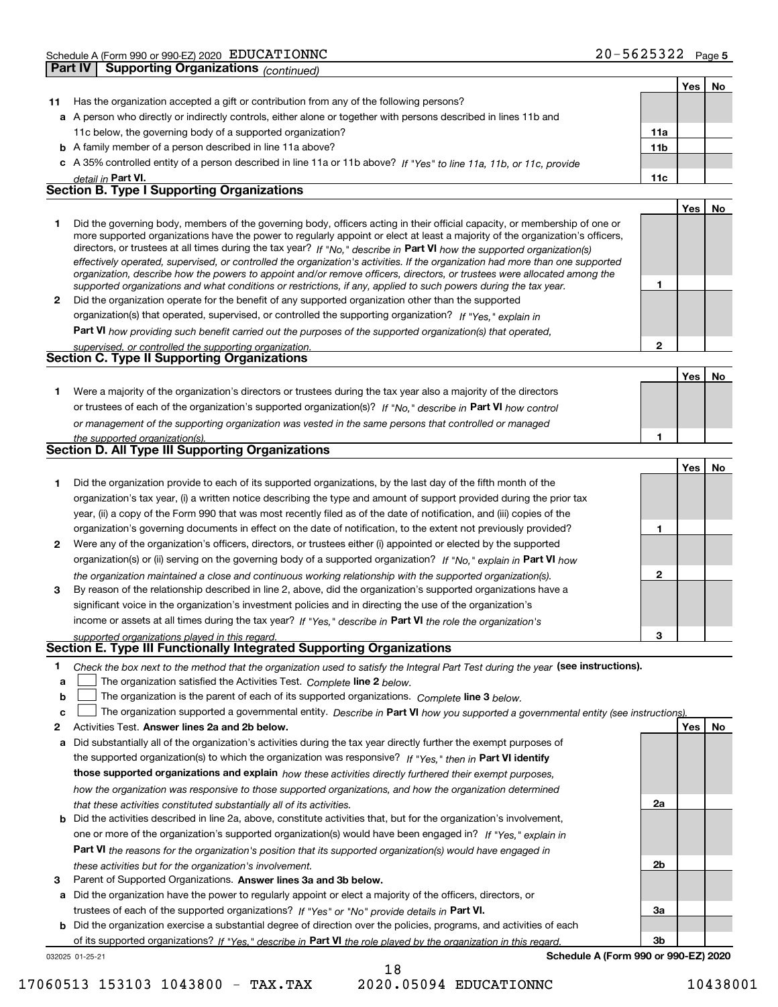|              |                                                                                                                                   |                | Yes | No |
|--------------|-----------------------------------------------------------------------------------------------------------------------------------|----------------|-----|----|
| 11           | Has the organization accepted a gift or contribution from any of the following persons?                                           |                |     |    |
|              | a A person who directly or indirectly controls, either alone or together with persons described in lines 11b and                  |                |     |    |
|              | 11c below, the governing body of a supported organization?                                                                        | 11a            |     |    |
| b            | A family member of a person described in line 11a above?                                                                          | 11b            |     |    |
|              | c A 35% controlled entity of a person described in line 11a or 11b above? If "Yes" to line 11a, 11b, or 11c, provide              |                |     |    |
|              | detail in Part VI.                                                                                                                | 11c            |     |    |
|              | <b>Section B. Type I Supporting Organizations</b>                                                                                 |                |     |    |
|              |                                                                                                                                   |                | Yes | No |
| 1            | Did the governing body, members of the governing body, officers acting in their official capacity, or membership of one or        |                |     |    |
|              | more supported organizations have the power to regularly appoint or elect at least a majority of the organization's officers,     |                |     |    |
|              | directors, or trustees at all times during the tax year? If "No," describe in Part VI how the supported organization(s)           |                |     |    |
|              | effectively operated, supervised, or controlled the organization's activities. If the organization had more than one supported    |                |     |    |
|              | organization, describe how the powers to appoint and/or remove officers, directors, or trustees were allocated among the          | 1              |     |    |
|              | supported organizations and what conditions or restrictions, if any, applied to such powers during the tax year.                  |                |     |    |
| $\mathbf{2}$ | Did the organization operate for the benefit of any supported organization other than the supported                               |                |     |    |
|              | organization(s) that operated, supervised, or controlled the supporting organization? If "Yes," explain in                        |                |     |    |
|              | Part VI how providing such benefit carried out the purposes of the supported organization(s) that operated,                       |                |     |    |
|              | supervised, or controlled the supporting organization.<br>Section C. Type II Supporting Organizations                             | $\mathbf{2}$   |     |    |
|              |                                                                                                                                   |                |     |    |
|              |                                                                                                                                   |                | Yes | No |
| 1            | Were a majority of the organization's directors or trustees during the tax year also a majority of the directors                  |                |     |    |
|              | or trustees of each of the organization's supported organization(s)? If "No," describe in Part VI how control                     |                |     |    |
|              | or management of the supporting organization was vested in the same persons that controlled or managed                            |                |     |    |
|              | the supported organization(s).<br><b>Section D. All Type III Supporting Organizations</b>                                         | 1              |     |    |
|              |                                                                                                                                   |                |     |    |
|              |                                                                                                                                   |                | Yes | No |
| 1            | Did the organization provide to each of its supported organizations, by the last day of the fifth month of the                    |                |     |    |
|              | organization's tax year, (i) a written notice describing the type and amount of support provided during the prior tax             |                |     |    |
|              | year, (ii) a copy of the Form 990 that was most recently filed as of the date of notification, and (iii) copies of the            |                |     |    |
|              | organization's governing documents in effect on the date of notification, to the extent not previously provided?                  | 1              |     |    |
| 2            | Were any of the organization's officers, directors, or trustees either (i) appointed or elected by the supported                  |                |     |    |
|              | organization(s) or (ii) serving on the governing body of a supported organization? If "No," explain in Part VI how                |                |     |    |
|              | the organization maintained a close and continuous working relationship with the supported organization(s).                       | $\mathbf{2}$   |     |    |
| 3            | By reason of the relationship described in line 2, above, did the organization's supported organizations have a                   |                |     |    |
|              | significant voice in the organization's investment policies and in directing the use of the organization's                        |                |     |    |
|              | income or assets at all times during the tax year? If "Yes," describe in Part VI the role the organization's                      |                |     |    |
|              | supported organizations played in this regard.<br>Section E. Type III Functionally Integrated Supporting Organizations            | 3              |     |    |
|              |                                                                                                                                   |                |     |    |
| 1            | Check the box next to the method that the organization used to satisfy the Integral Part Test during the year (see instructions). |                |     |    |
| а            | The organization satisfied the Activities Test. Complete line 2 below.                                                            |                |     |    |
| b            | The organization is the parent of each of its supported organizations. Complete line 3 below.                                     |                |     |    |
| c            | The organization supported a governmental entity. Describe in Part VI how you supported a governmental entity (see instructions)  |                |     |    |
| 2            | Activities Test. Answer lines 2a and 2b below.                                                                                    |                | Yes | No |
| а            | Did substantially all of the organization's activities during the tax year directly further the exempt purposes of                |                |     |    |
|              | the supported organization(s) to which the organization was responsive? If "Yes," then in Part VI identify                        |                |     |    |
|              | those supported organizations and explain how these activities directly furthered their exempt purposes,                          |                |     |    |
|              | how the organization was responsive to those supported organizations, and how the organization determined                         |                |     |    |
|              | that these activities constituted substantially all of its activities.                                                            | 2a             |     |    |
| b            | Did the activities described in line 2a, above, constitute activities that, but for the organization's involvement,               |                |     |    |
|              | one or more of the organization's supported organization(s) would have been engaged in? If "Yes," explain in                      |                |     |    |
|              | Part VI the reasons for the organization's position that its supported organization(s) would have engaged in                      |                |     |    |
|              | these activities but for the organization's involvement.                                                                          | 2 <sub>b</sub> |     |    |
| 3            | Parent of Supported Organizations. Answer lines 3a and 3b below.                                                                  |                |     |    |
| а            | Did the organization have the power to regularly appoint or elect a majority of the officers, directors, or                       |                |     |    |
|              | trustees of each of the supported organizations? If "Yes" or "No" provide details in Part VI.                                     | За             |     |    |
|              | <b>b</b> Did the organization exercise a substantial degree of direction over the policies, programs, and activities of each      |                |     |    |

of its supported organizations? If "Yes," describe in Part VI the role played by the organization in this regard.

18

**3b**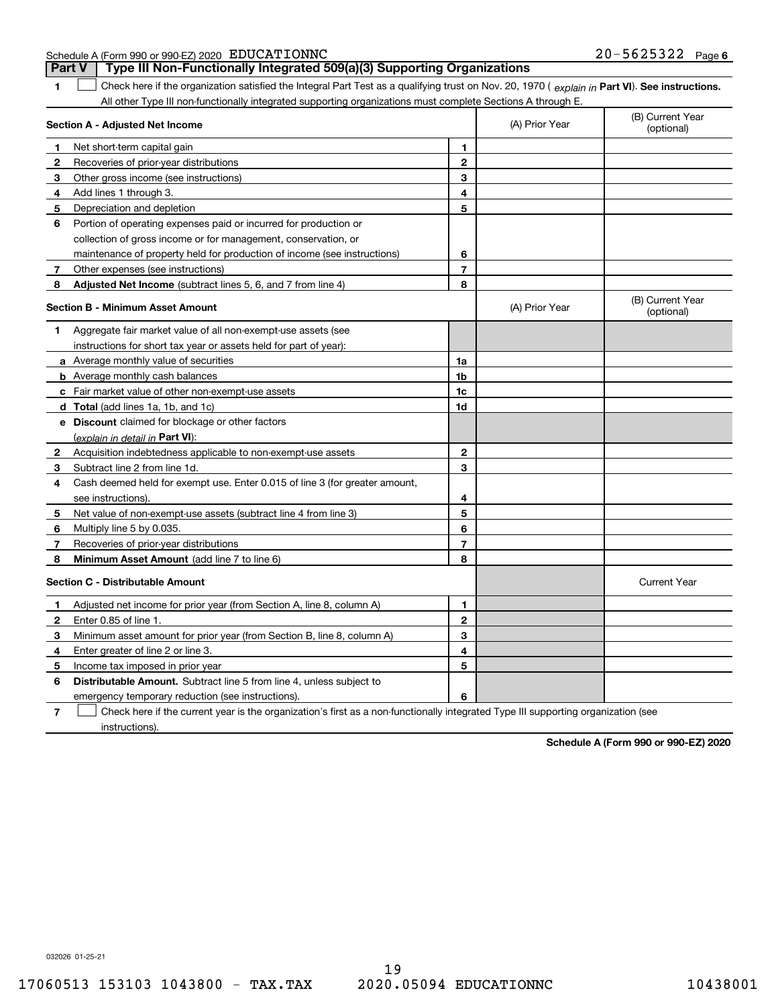| Schedule A (Form 990 or 990-EZ) 2020 EDUCATIONNC | $20 - 5625322$ Page 6 |
|--------------------------------------------------|-----------------------|
|--------------------------------------------------|-----------------------|

|              | Part V<br>Type III Non-Functionally Integrated 509(a)(3) Supporting Organizations                                                              |                |                                |                                |
|--------------|------------------------------------------------------------------------------------------------------------------------------------------------|----------------|--------------------------------|--------------------------------|
| 1            | Check here if the organization satisfied the Integral Part Test as a qualifying trust on Nov. 20, 1970 (explain in Part VI). See instructions. |                |                                |                                |
|              | All other Type III non-functionally integrated supporting organizations must complete Sections A through E.                                    |                |                                |                                |
|              | Section A - Adjusted Net Income                                                                                                                | (A) Prior Year | (B) Current Year<br>(optional) |                                |
| 1            | Net short-term capital gain                                                                                                                    | 1              |                                |                                |
| $\mathbf{2}$ | Recoveries of prior-year distributions                                                                                                         | $\mathbf{2}$   |                                |                                |
| 3            | Other gross income (see instructions)                                                                                                          | 3              |                                |                                |
| 4            | Add lines 1 through 3.                                                                                                                         | 4              |                                |                                |
| 5            | Depreciation and depletion                                                                                                                     | 5              |                                |                                |
| 6            | Portion of operating expenses paid or incurred for production or                                                                               |                |                                |                                |
|              | collection of gross income or for management, conservation, or                                                                                 |                |                                |                                |
|              | maintenance of property held for production of income (see instructions)                                                                       | 6              |                                |                                |
| 7            | Other expenses (see instructions)                                                                                                              | $\overline{7}$ |                                |                                |
| 8            | <b>Adjusted Net Income</b> (subtract lines 5, 6, and 7 from line 4)                                                                            | 8              |                                |                                |
|              | <b>Section B - Minimum Asset Amount</b>                                                                                                        |                | (A) Prior Year                 | (B) Current Year<br>(optional) |
| 1            | Aggregate fair market value of all non-exempt-use assets (see                                                                                  |                |                                |                                |
|              | instructions for short tax year or assets held for part of year):                                                                              |                |                                |                                |
|              | a Average monthly value of securities                                                                                                          | 1a             |                                |                                |
|              | <b>b</b> Average monthly cash balances                                                                                                         | 1 <sub>b</sub> |                                |                                |
|              | c Fair market value of other non-exempt-use assets                                                                                             | 1c             |                                |                                |
|              | <b>d</b> Total (add lines 1a, 1b, and 1c)                                                                                                      | 1d             |                                |                                |
|              | e Discount claimed for blockage or other factors                                                                                               |                |                                |                                |
|              | (explain in detail in Part VI):                                                                                                                |                |                                |                                |
| $\mathbf{2}$ | Acquisition indebtedness applicable to non-exempt-use assets                                                                                   | $\mathbf 2$    |                                |                                |
| 3            | Subtract line 2 from line 1d.                                                                                                                  | 3              |                                |                                |
| 4            | Cash deemed held for exempt use. Enter 0.015 of line 3 (for greater amount,                                                                    |                |                                |                                |
|              | see instructions).                                                                                                                             | 4              |                                |                                |
| 5            | Net value of non-exempt-use assets (subtract line 4 from line 3)                                                                               | 5              |                                |                                |
| 6            | Multiply line 5 by 0.035.                                                                                                                      | 6              |                                |                                |
| 7            | Recoveries of prior-year distributions                                                                                                         | $\overline{7}$ |                                |                                |
| 8            | Minimum Asset Amount (add line 7 to line 6)                                                                                                    | 8              |                                |                                |
|              | <b>Section C - Distributable Amount</b>                                                                                                        |                |                                | <b>Current Year</b>            |
| 1            | Adjusted net income for prior year (from Section A, line 8, column A)                                                                          | $\mathbf{1}$   |                                |                                |
| 2            | Enter 0.85 of line 1.                                                                                                                          | $\mathbf 2$    |                                |                                |
| 3            | Minimum asset amount for prior year (from Section B, line 8, column A)                                                                         | 3              |                                |                                |
| 4            | Enter greater of line 2 or line 3.                                                                                                             | 4              |                                |                                |
| 5            | Income tax imposed in prior year                                                                                                               | 5              |                                |                                |
| 6            | <b>Distributable Amount.</b> Subtract line 5 from line 4, unless subject to                                                                    |                |                                |                                |
|              | emergency temporary reduction (see instructions).                                                                                              | 6              |                                |                                |

**7** └ ○ Check here if the current year is the organization's first as a non-functionally integrated Type III supporting organization (see instructions).

**Schedule A (Form 990 or 990‐EZ) 2020**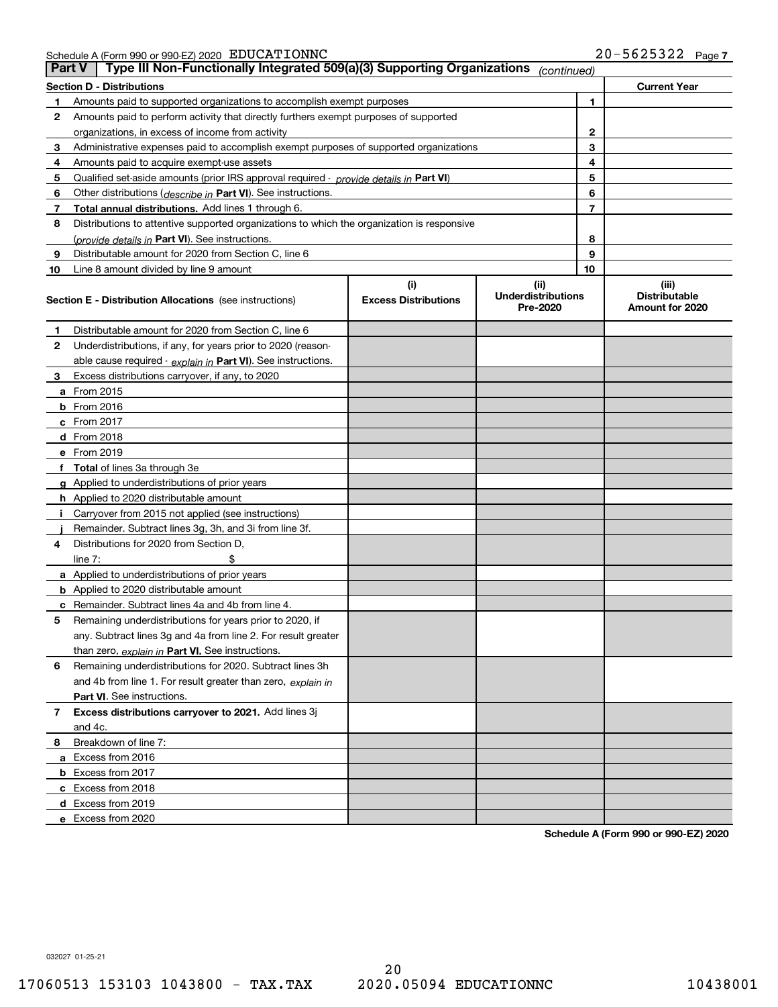|  | Schedule A (Form 990 or 990-EZ) 2020 EDUCATIONNC |  | $20 - 5625322$ Page |  |
|--|--------------------------------------------------|--|---------------------|--|
|--|--------------------------------------------------|--|---------------------|--|

| <b>Part V</b> | Type III Non-Functionally Integrated 509(a)(3) Supporting Organizations                    |                             | (continued)                           |                |                                         |
|---------------|--------------------------------------------------------------------------------------------|-----------------------------|---------------------------------------|----------------|-----------------------------------------|
|               | <b>Section D - Distributions</b>                                                           |                             |                                       |                | <b>Current Year</b>                     |
|               | Amounts paid to supported organizations to accomplish exempt purposes                      |                             |                                       | 1              |                                         |
| 2             | Amounts paid to perform activity that directly furthers exempt purposes of supported       |                             |                                       |                |                                         |
|               | organizations, in excess of income from activity                                           |                             |                                       | 2              |                                         |
| 3             | Administrative expenses paid to accomplish exempt purposes of supported organizations      |                             |                                       | 3              |                                         |
| 4             | Amounts paid to acquire exempt-use assets                                                  |                             |                                       | 4              |                                         |
| 5             | Qualified set-aside amounts (prior IRS approval required - provide details in Part VI)     |                             |                                       | 5              |                                         |
| 6             | Other distributions ( <i>describe in</i> Part VI). See instructions.                       |                             |                                       | 6              |                                         |
| 7             | Total annual distributions. Add lines 1 through 6.                                         |                             |                                       | $\overline{7}$ |                                         |
| 8             | Distributions to attentive supported organizations to which the organization is responsive |                             |                                       |                |                                         |
|               | (provide details in Part VI). See instructions.                                            |                             |                                       | 8              |                                         |
| 9             | Distributable amount for 2020 from Section C, line 6                                       |                             |                                       | 9              |                                         |
| 10            | Line 8 amount divided by line 9 amount                                                     |                             |                                       | 10             |                                         |
|               |                                                                                            | (i)                         | (ii)                                  |                | (iii)                                   |
|               | <b>Section E - Distribution Allocations</b> (see instructions)                             | <b>Excess Distributions</b> | <b>Underdistributions</b><br>Pre-2020 |                | <b>Distributable</b><br>Amount for 2020 |
| 1             | Distributable amount for 2020 from Section C, line 6                                       |                             |                                       |                |                                         |
| 2             | Underdistributions, if any, for years prior to 2020 (reason-                               |                             |                                       |                |                                         |
|               | able cause required - explain in Part VI). See instructions.                               |                             |                                       |                |                                         |
| з             | Excess distributions carryover, if any, to 2020                                            |                             |                                       |                |                                         |
|               | <b>a</b> From 2015                                                                         |                             |                                       |                |                                         |
|               | <b>b</b> From 2016                                                                         |                             |                                       |                |                                         |
|               | $c$ From 2017                                                                              |                             |                                       |                |                                         |
|               | <b>d</b> From 2018                                                                         |                             |                                       |                |                                         |
|               | e From 2019                                                                                |                             |                                       |                |                                         |
|               | <b>Total</b> of lines 3a through 3e                                                        |                             |                                       |                |                                         |
|               | <b>g</b> Applied to underdistributions of prior years                                      |                             |                                       |                |                                         |
|               | <b>h</b> Applied to 2020 distributable amount                                              |                             |                                       |                |                                         |
|               | Carryover from 2015 not applied (see instructions)                                         |                             |                                       |                |                                         |
|               | Remainder. Subtract lines 3g, 3h, and 3i from line 3f.                                     |                             |                                       |                |                                         |
| 4             | Distributions for 2020 from Section D,                                                     |                             |                                       |                |                                         |
|               | line $7:$                                                                                  |                             |                                       |                |                                         |
|               | <b>a</b> Applied to underdistributions of prior years                                      |                             |                                       |                |                                         |
|               | <b>b</b> Applied to 2020 distributable amount                                              |                             |                                       |                |                                         |
|               | Remainder. Subtract lines 4a and 4b from line 4.                                           |                             |                                       |                |                                         |
| 5             | Remaining underdistributions for years prior to 2020, if                                   |                             |                                       |                |                                         |
|               | any. Subtract lines 3g and 4a from line 2. For result greater                              |                             |                                       |                |                                         |
|               | than zero, explain in Part VI. See instructions.                                           |                             |                                       |                |                                         |
| 6             | Remaining underdistributions for 2020. Subtract lines 3h                                   |                             |                                       |                |                                         |
|               | and 4b from line 1. For result greater than zero, explain in                               |                             |                                       |                |                                         |
|               | Part VI. See instructions.                                                                 |                             |                                       |                |                                         |
| 7             | Excess distributions carryover to 2021. Add lines 3j                                       |                             |                                       |                |                                         |
|               | and 4c.                                                                                    |                             |                                       |                |                                         |
| 8             | Breakdown of line 7:                                                                       |                             |                                       |                |                                         |
|               | a Excess from 2016                                                                         |                             |                                       |                |                                         |
|               | <b>b</b> Excess from 2017                                                                  |                             |                                       |                |                                         |
|               | c Excess from 2018                                                                         |                             |                                       |                |                                         |
|               | d Excess from 2019                                                                         |                             |                                       |                |                                         |
|               | e Excess from 2020                                                                         |                             |                                       |                |                                         |
|               |                                                                                            |                             |                                       |                |                                         |

**Schedule A (Form 990 or 990‐EZ) 2020**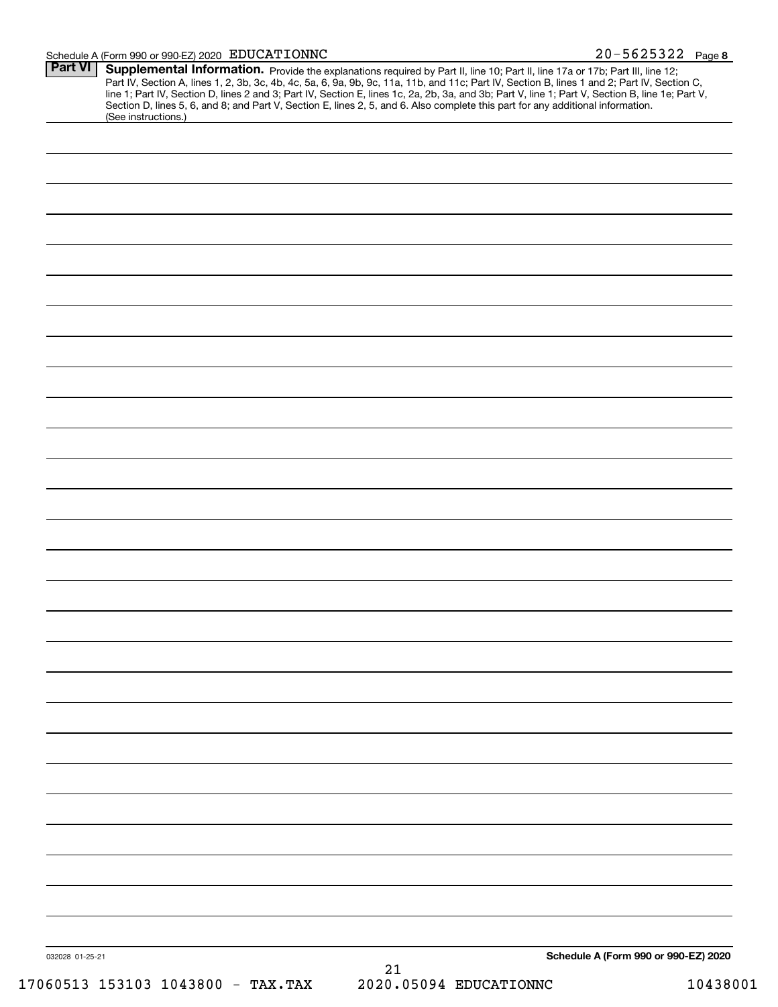## Schedule A (Form 990 or 990‐EZ) 2020 Page EDUCATIONNC 20‐5625322

| (See instructions.) |  |  | line 1; Part IV, Section D, lines 2 and 3; Part IV, Section E, lines 1c, 2a, 2b, 3a, and 3b; Part V, line 1; Part V, Section B, line 1e; Part V, Section B, line 1e; Part V, Section B, line 1e; Part V, Section B, line 1e; P |                                      |  |
|---------------------|--|--|--------------------------------------------------------------------------------------------------------------------------------------------------------------------------------------------------------------------------------|--------------------------------------|--|
|                     |  |  |                                                                                                                                                                                                                                |                                      |  |
|                     |  |  |                                                                                                                                                                                                                                |                                      |  |
|                     |  |  |                                                                                                                                                                                                                                |                                      |  |
|                     |  |  |                                                                                                                                                                                                                                |                                      |  |
|                     |  |  |                                                                                                                                                                                                                                |                                      |  |
|                     |  |  |                                                                                                                                                                                                                                |                                      |  |
|                     |  |  |                                                                                                                                                                                                                                |                                      |  |
|                     |  |  |                                                                                                                                                                                                                                |                                      |  |
|                     |  |  |                                                                                                                                                                                                                                |                                      |  |
|                     |  |  |                                                                                                                                                                                                                                |                                      |  |
|                     |  |  |                                                                                                                                                                                                                                |                                      |  |
|                     |  |  |                                                                                                                                                                                                                                |                                      |  |
|                     |  |  |                                                                                                                                                                                                                                |                                      |  |
|                     |  |  |                                                                                                                                                                                                                                |                                      |  |
|                     |  |  |                                                                                                                                                                                                                                |                                      |  |
|                     |  |  |                                                                                                                                                                                                                                |                                      |  |
|                     |  |  |                                                                                                                                                                                                                                |                                      |  |
|                     |  |  |                                                                                                                                                                                                                                |                                      |  |
|                     |  |  |                                                                                                                                                                                                                                |                                      |  |
|                     |  |  |                                                                                                                                                                                                                                |                                      |  |
|                     |  |  |                                                                                                                                                                                                                                |                                      |  |
|                     |  |  |                                                                                                                                                                                                                                |                                      |  |
|                     |  |  |                                                                                                                                                                                                                                |                                      |  |
|                     |  |  |                                                                                                                                                                                                                                |                                      |  |
|                     |  |  |                                                                                                                                                                                                                                |                                      |  |
|                     |  |  |                                                                                                                                                                                                                                |                                      |  |
|                     |  |  |                                                                                                                                                                                                                                |                                      |  |
|                     |  |  |                                                                                                                                                                                                                                |                                      |  |
|                     |  |  |                                                                                                                                                                                                                                |                                      |  |
|                     |  |  |                                                                                                                                                                                                                                |                                      |  |
|                     |  |  |                                                                                                                                                                                                                                |                                      |  |
|                     |  |  |                                                                                                                                                                                                                                |                                      |  |
|                     |  |  |                                                                                                                                                                                                                                |                                      |  |
|                     |  |  |                                                                                                                                                                                                                                |                                      |  |
|                     |  |  |                                                                                                                                                                                                                                |                                      |  |
| 032028 01-25-21     |  |  |                                                                                                                                                                                                                                | Schedule A (Form 990 or 990-EZ) 2020 |  |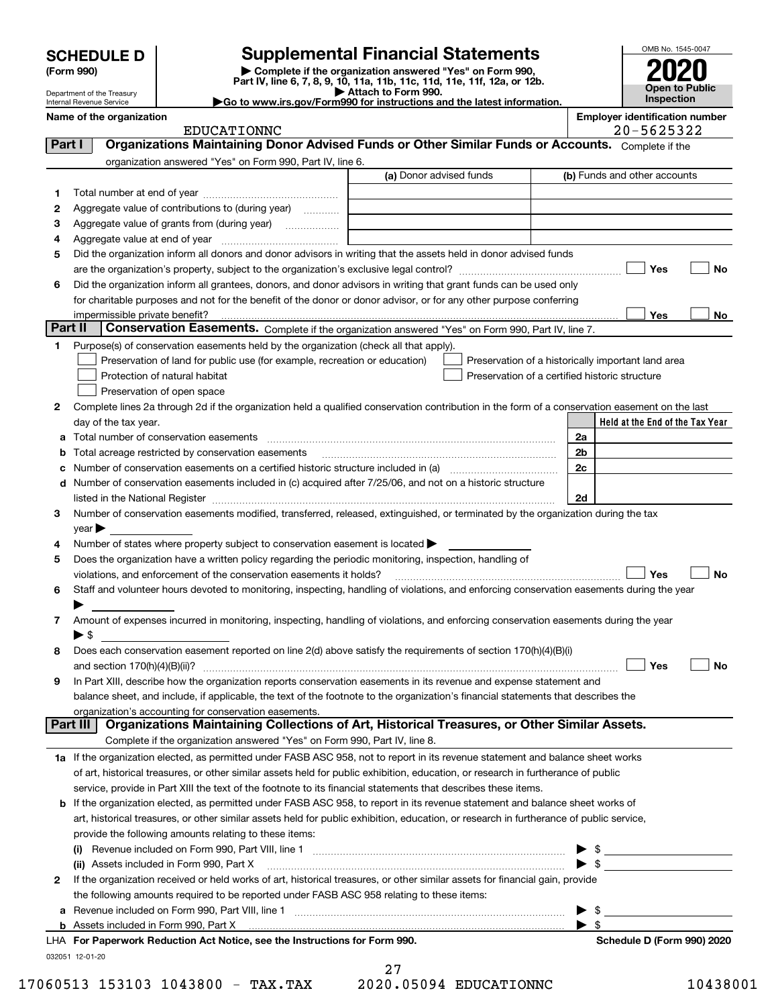Department of the Treasury Internal Revenue Service

**(Form 990) | Complete if the organization answered "Yes" on Form 990, Part IV, line 6, 7, 8, 9, 10, 11a, 11b, 11c, 11d, 11e, 11f, 12a, or 12b. SCHEDULE D Supplemental Financial Statements**<br> **Form 990**<br>
Part IV, line 6, 7, 8, 9, 10, 11a, 11b, 11c, 11d, 11e, 11f, 12a, or 12b.



**| Attach to Form 990. |Go to www.irs.gov/Form990 for instructions and the latest information.**

|  | Name of the organizatio |  |
|--|-------------------------|--|
|  |                         |  |

**Name of the oriental conducts of the oriental conducts of the oriental conducts of the oriental conducts of the oriental conducts of**  $\vert$  **Employer identification number** 

| Organizations Maintaining Donor Advised Funds or Other Similar Funds or Accounts. Complete if the<br>Part I<br>organization answered "Yes" on Form 990, Part IV, line 6.<br>(a) Donor advised funds<br>(b) Funds and other accounts<br>1.<br>Aggregate value of contributions to (during year)<br>2<br>Aggregate value of grants from (during year)<br>з<br>4<br>Did the organization inform all donors and donor advisors in writing that the assets held in donor advised funds<br>5<br>Yes<br>No<br>Did the organization inform all grantees, donors, and donor advisors in writing that grant funds can be used only<br>6<br>for charitable purposes and not for the benefit of the donor or donor advisor, or for any other purpose conferring<br>Yes<br>No<br>impermissible private benefit?<br>Part II<br>Conservation Easements. Complete if the organization answered "Yes" on Form 990, Part IV, line 7.<br>Purpose(s) of conservation easements held by the organization (check all that apply).<br>1.<br>Preservation of land for public use (for example, recreation or education)<br>Preservation of a historically important land area<br>Protection of natural habitat<br>Preservation of a certified historic structure<br>Preservation of open space<br>Complete lines 2a through 2d if the organization held a qualified conservation contribution in the form of a conservation easement on the last<br>2<br>day of the tax year.<br>Held at the End of the Tax Year<br>Total number of conservation easements<br>2a<br>а<br>Total acreage restricted by conservation easements<br>2b<br>b<br>2c<br>Number of conservation easements on a certified historic structure included in (a) manufacture included in (a)<br>c<br>Number of conservation easements included in (c) acquired after 7/25/06, and not on a historic structure<br>d<br>listed in the National Register [11, 1200] [12] The National Register [11, 1200] [12] The National Register [11, 1200] [12] The National Register [11, 1200] [12] The National Register [11, 1200] [12] The National Register<br>2d<br>Number of conservation easements modified, transferred, released, extinguished, or terminated by the organization during the tax<br>3<br>year<br>Number of states where property subject to conservation easement is located ><br>4<br>Does the organization have a written policy regarding the periodic monitoring, inspection, handling of<br>5<br>Yes<br>No<br>violations, and enforcement of the conservation easements it holds?<br>Staff and volunteer hours devoted to monitoring, inspecting, handling of violations, and enforcing conservation easements during the year<br>6<br>Amount of expenses incurred in monitoring, inspecting, handling of violations, and enforcing conservation easements during the year<br>7<br>$\blacktriangleright$ s<br>Does each conservation easement reported on line 2(d) above satisfy the requirements of section 170(h)(4)(B)(i)<br>8<br>Yes<br>No<br>In Part XIII, describe how the organization reports conservation easements in its revenue and expense statement and<br>9<br>balance sheet, and include, if applicable, the text of the footnote to the organization's financial statements that describes the<br>organization's accounting for conservation easements.<br>Organizations Maintaining Collections of Art, Historical Treasures, or Other Similar Assets.<br>Part III<br>Complete if the organization answered "Yes" on Form 990, Part IV, line 8.<br>1a If the organization elected, as permitted under FASB ASC 958, not to report in its revenue statement and balance sheet works<br>of art, historical treasures, or other similar assets held for public exhibition, education, or research in furtherance of public<br>service, provide in Part XIII the text of the footnote to its financial statements that describes these items.<br><b>b</b> If the organization elected, as permitted under FASB ASC 958, to report in its revenue statement and balance sheet works of<br>art, historical treasures, or other similar assets held for public exhibition, education, or research in furtherance of public service,<br>provide the following amounts relating to these items:<br>$\mathfrak{S}$ and $\mathfrak{S}$<br>(i)<br>$\blacktriangleright$ \$<br>(ii) Assets included in Form 990, Part X<br>If the organization received or held works of art, historical treasures, or other similar assets for financial gain, provide<br>2<br>the following amounts required to be reported under FASB ASC 958 relating to these items:<br>\$<br>а<br>\$ | <b>EDUCATIONNC</b>                                                         | 20-5625322                 |
|----------------------------------------------------------------------------------------------------------------------------------------------------------------------------------------------------------------------------------------------------------------------------------------------------------------------------------------------------------------------------------------------------------------------------------------------------------------------------------------------------------------------------------------------------------------------------------------------------------------------------------------------------------------------------------------------------------------------------------------------------------------------------------------------------------------------------------------------------------------------------------------------------------------------------------------------------------------------------------------------------------------------------------------------------------------------------------------------------------------------------------------------------------------------------------------------------------------------------------------------------------------------------------------------------------------------------------------------------------------------------------------------------------------------------------------------------------------------------------------------------------------------------------------------------------------------------------------------------------------------------------------------------------------------------------------------------------------------------------------------------------------------------------------------------------------------------------------------------------------------------------------------------------------------------------------------------------------------------------------------------------------------------------------------------------------------------------------------------------------------------------------------------------------------------------------------------------------------------------------------------------------------------------------------------------------------------------------------------------------------------------------------------------------------------------------------------------------------------------------------------------------------------------------------------------------------------------------------------------------------------------------------------------------------------------------------------------------------------------------------------------------------------------------------------------------------------------------------------------------------------------------------------------------------------------------------------------------------------------------------------------------------------------------------------------------------------------------------------------------------------------------------------------------------------------------------------------------------------------------------------------------------------------------------------------------------------------------------------------------------------------------------------------------------------------------------------------------------------------------------------------------------------------------------------------------------------------------------------------------------------------------------------------------------------------------------------------------------------------------------------------------------------------------------------------------------------------------------------------------------------------------------------------------------------------------------------------------------------------------------------------------------------------------------------------------------------------------------------------------------------------------------------------------------------------------------------------------------------------------------------------------------------------------------------------------------------------------------------------------------------------------------------------------------------------------------------------------------------------------------------------------------------------------------------------------------------------------------------------------------------------------------|----------------------------------------------------------------------------|----------------------------|
|                                                                                                                                                                                                                                                                                                                                                                                                                                                                                                                                                                                                                                                                                                                                                                                                                                                                                                                                                                                                                                                                                                                                                                                                                                                                                                                                                                                                                                                                                                                                                                                                                                                                                                                                                                                                                                                                                                                                                                                                                                                                                                                                                                                                                                                                                                                                                                                                                                                                                                                                                                                                                                                                                                                                                                                                                                                                                                                                                                                                                                                                                                                                                                                                                                                                                                                                                                                                                                                                                                                                                                                                                                                                                                                                                                                                                                                                                                                                                                                                                                                                                                                                                                                                                                                                                                                                                                                                                                                                                                                                                                                                                                              |                                                                            |                            |
|                                                                                                                                                                                                                                                                                                                                                                                                                                                                                                                                                                                                                                                                                                                                                                                                                                                                                                                                                                                                                                                                                                                                                                                                                                                                                                                                                                                                                                                                                                                                                                                                                                                                                                                                                                                                                                                                                                                                                                                                                                                                                                                                                                                                                                                                                                                                                                                                                                                                                                                                                                                                                                                                                                                                                                                                                                                                                                                                                                                                                                                                                                                                                                                                                                                                                                                                                                                                                                                                                                                                                                                                                                                                                                                                                                                                                                                                                                                                                                                                                                                                                                                                                                                                                                                                                                                                                                                                                                                                                                                                                                                                                                              |                                                                            |                            |
|                                                                                                                                                                                                                                                                                                                                                                                                                                                                                                                                                                                                                                                                                                                                                                                                                                                                                                                                                                                                                                                                                                                                                                                                                                                                                                                                                                                                                                                                                                                                                                                                                                                                                                                                                                                                                                                                                                                                                                                                                                                                                                                                                                                                                                                                                                                                                                                                                                                                                                                                                                                                                                                                                                                                                                                                                                                                                                                                                                                                                                                                                                                                                                                                                                                                                                                                                                                                                                                                                                                                                                                                                                                                                                                                                                                                                                                                                                                                                                                                                                                                                                                                                                                                                                                                                                                                                                                                                                                                                                                                                                                                                                              |                                                                            |                            |
|                                                                                                                                                                                                                                                                                                                                                                                                                                                                                                                                                                                                                                                                                                                                                                                                                                                                                                                                                                                                                                                                                                                                                                                                                                                                                                                                                                                                                                                                                                                                                                                                                                                                                                                                                                                                                                                                                                                                                                                                                                                                                                                                                                                                                                                                                                                                                                                                                                                                                                                                                                                                                                                                                                                                                                                                                                                                                                                                                                                                                                                                                                                                                                                                                                                                                                                                                                                                                                                                                                                                                                                                                                                                                                                                                                                                                                                                                                                                                                                                                                                                                                                                                                                                                                                                                                                                                                                                                                                                                                                                                                                                                                              |                                                                            |                            |
|                                                                                                                                                                                                                                                                                                                                                                                                                                                                                                                                                                                                                                                                                                                                                                                                                                                                                                                                                                                                                                                                                                                                                                                                                                                                                                                                                                                                                                                                                                                                                                                                                                                                                                                                                                                                                                                                                                                                                                                                                                                                                                                                                                                                                                                                                                                                                                                                                                                                                                                                                                                                                                                                                                                                                                                                                                                                                                                                                                                                                                                                                                                                                                                                                                                                                                                                                                                                                                                                                                                                                                                                                                                                                                                                                                                                                                                                                                                                                                                                                                                                                                                                                                                                                                                                                                                                                                                                                                                                                                                                                                                                                                              |                                                                            |                            |
|                                                                                                                                                                                                                                                                                                                                                                                                                                                                                                                                                                                                                                                                                                                                                                                                                                                                                                                                                                                                                                                                                                                                                                                                                                                                                                                                                                                                                                                                                                                                                                                                                                                                                                                                                                                                                                                                                                                                                                                                                                                                                                                                                                                                                                                                                                                                                                                                                                                                                                                                                                                                                                                                                                                                                                                                                                                                                                                                                                                                                                                                                                                                                                                                                                                                                                                                                                                                                                                                                                                                                                                                                                                                                                                                                                                                                                                                                                                                                                                                                                                                                                                                                                                                                                                                                                                                                                                                                                                                                                                                                                                                                                              |                                                                            |                            |
|                                                                                                                                                                                                                                                                                                                                                                                                                                                                                                                                                                                                                                                                                                                                                                                                                                                                                                                                                                                                                                                                                                                                                                                                                                                                                                                                                                                                                                                                                                                                                                                                                                                                                                                                                                                                                                                                                                                                                                                                                                                                                                                                                                                                                                                                                                                                                                                                                                                                                                                                                                                                                                                                                                                                                                                                                                                                                                                                                                                                                                                                                                                                                                                                                                                                                                                                                                                                                                                                                                                                                                                                                                                                                                                                                                                                                                                                                                                                                                                                                                                                                                                                                                                                                                                                                                                                                                                                                                                                                                                                                                                                                                              |                                                                            |                            |
|                                                                                                                                                                                                                                                                                                                                                                                                                                                                                                                                                                                                                                                                                                                                                                                                                                                                                                                                                                                                                                                                                                                                                                                                                                                                                                                                                                                                                                                                                                                                                                                                                                                                                                                                                                                                                                                                                                                                                                                                                                                                                                                                                                                                                                                                                                                                                                                                                                                                                                                                                                                                                                                                                                                                                                                                                                                                                                                                                                                                                                                                                                                                                                                                                                                                                                                                                                                                                                                                                                                                                                                                                                                                                                                                                                                                                                                                                                                                                                                                                                                                                                                                                                                                                                                                                                                                                                                                                                                                                                                                                                                                                                              |                                                                            |                            |
|                                                                                                                                                                                                                                                                                                                                                                                                                                                                                                                                                                                                                                                                                                                                                                                                                                                                                                                                                                                                                                                                                                                                                                                                                                                                                                                                                                                                                                                                                                                                                                                                                                                                                                                                                                                                                                                                                                                                                                                                                                                                                                                                                                                                                                                                                                                                                                                                                                                                                                                                                                                                                                                                                                                                                                                                                                                                                                                                                                                                                                                                                                                                                                                                                                                                                                                                                                                                                                                                                                                                                                                                                                                                                                                                                                                                                                                                                                                                                                                                                                                                                                                                                                                                                                                                                                                                                                                                                                                                                                                                                                                                                                              |                                                                            |                            |
|                                                                                                                                                                                                                                                                                                                                                                                                                                                                                                                                                                                                                                                                                                                                                                                                                                                                                                                                                                                                                                                                                                                                                                                                                                                                                                                                                                                                                                                                                                                                                                                                                                                                                                                                                                                                                                                                                                                                                                                                                                                                                                                                                                                                                                                                                                                                                                                                                                                                                                                                                                                                                                                                                                                                                                                                                                                                                                                                                                                                                                                                                                                                                                                                                                                                                                                                                                                                                                                                                                                                                                                                                                                                                                                                                                                                                                                                                                                                                                                                                                                                                                                                                                                                                                                                                                                                                                                                                                                                                                                                                                                                                                              |                                                                            |                            |
|                                                                                                                                                                                                                                                                                                                                                                                                                                                                                                                                                                                                                                                                                                                                                                                                                                                                                                                                                                                                                                                                                                                                                                                                                                                                                                                                                                                                                                                                                                                                                                                                                                                                                                                                                                                                                                                                                                                                                                                                                                                                                                                                                                                                                                                                                                                                                                                                                                                                                                                                                                                                                                                                                                                                                                                                                                                                                                                                                                                                                                                                                                                                                                                                                                                                                                                                                                                                                                                                                                                                                                                                                                                                                                                                                                                                                                                                                                                                                                                                                                                                                                                                                                                                                                                                                                                                                                                                                                                                                                                                                                                                                                              |                                                                            |                            |
|                                                                                                                                                                                                                                                                                                                                                                                                                                                                                                                                                                                                                                                                                                                                                                                                                                                                                                                                                                                                                                                                                                                                                                                                                                                                                                                                                                                                                                                                                                                                                                                                                                                                                                                                                                                                                                                                                                                                                                                                                                                                                                                                                                                                                                                                                                                                                                                                                                                                                                                                                                                                                                                                                                                                                                                                                                                                                                                                                                                                                                                                                                                                                                                                                                                                                                                                                                                                                                                                                                                                                                                                                                                                                                                                                                                                                                                                                                                                                                                                                                                                                                                                                                                                                                                                                                                                                                                                                                                                                                                                                                                                                                              |                                                                            |                            |
|                                                                                                                                                                                                                                                                                                                                                                                                                                                                                                                                                                                                                                                                                                                                                                                                                                                                                                                                                                                                                                                                                                                                                                                                                                                                                                                                                                                                                                                                                                                                                                                                                                                                                                                                                                                                                                                                                                                                                                                                                                                                                                                                                                                                                                                                                                                                                                                                                                                                                                                                                                                                                                                                                                                                                                                                                                                                                                                                                                                                                                                                                                                                                                                                                                                                                                                                                                                                                                                                                                                                                                                                                                                                                                                                                                                                                                                                                                                                                                                                                                                                                                                                                                                                                                                                                                                                                                                                                                                                                                                                                                                                                                              |                                                                            |                            |
|                                                                                                                                                                                                                                                                                                                                                                                                                                                                                                                                                                                                                                                                                                                                                                                                                                                                                                                                                                                                                                                                                                                                                                                                                                                                                                                                                                                                                                                                                                                                                                                                                                                                                                                                                                                                                                                                                                                                                                                                                                                                                                                                                                                                                                                                                                                                                                                                                                                                                                                                                                                                                                                                                                                                                                                                                                                                                                                                                                                                                                                                                                                                                                                                                                                                                                                                                                                                                                                                                                                                                                                                                                                                                                                                                                                                                                                                                                                                                                                                                                                                                                                                                                                                                                                                                                                                                                                                                                                                                                                                                                                                                                              |                                                                            |                            |
|                                                                                                                                                                                                                                                                                                                                                                                                                                                                                                                                                                                                                                                                                                                                                                                                                                                                                                                                                                                                                                                                                                                                                                                                                                                                                                                                                                                                                                                                                                                                                                                                                                                                                                                                                                                                                                                                                                                                                                                                                                                                                                                                                                                                                                                                                                                                                                                                                                                                                                                                                                                                                                                                                                                                                                                                                                                                                                                                                                                                                                                                                                                                                                                                                                                                                                                                                                                                                                                                                                                                                                                                                                                                                                                                                                                                                                                                                                                                                                                                                                                                                                                                                                                                                                                                                                                                                                                                                                                                                                                                                                                                                                              |                                                                            |                            |
|                                                                                                                                                                                                                                                                                                                                                                                                                                                                                                                                                                                                                                                                                                                                                                                                                                                                                                                                                                                                                                                                                                                                                                                                                                                                                                                                                                                                                                                                                                                                                                                                                                                                                                                                                                                                                                                                                                                                                                                                                                                                                                                                                                                                                                                                                                                                                                                                                                                                                                                                                                                                                                                                                                                                                                                                                                                                                                                                                                                                                                                                                                                                                                                                                                                                                                                                                                                                                                                                                                                                                                                                                                                                                                                                                                                                                                                                                                                                                                                                                                                                                                                                                                                                                                                                                                                                                                                                                                                                                                                                                                                                                                              |                                                                            |                            |
|                                                                                                                                                                                                                                                                                                                                                                                                                                                                                                                                                                                                                                                                                                                                                                                                                                                                                                                                                                                                                                                                                                                                                                                                                                                                                                                                                                                                                                                                                                                                                                                                                                                                                                                                                                                                                                                                                                                                                                                                                                                                                                                                                                                                                                                                                                                                                                                                                                                                                                                                                                                                                                                                                                                                                                                                                                                                                                                                                                                                                                                                                                                                                                                                                                                                                                                                                                                                                                                                                                                                                                                                                                                                                                                                                                                                                                                                                                                                                                                                                                                                                                                                                                                                                                                                                                                                                                                                                                                                                                                                                                                                                                              |                                                                            |                            |
|                                                                                                                                                                                                                                                                                                                                                                                                                                                                                                                                                                                                                                                                                                                                                                                                                                                                                                                                                                                                                                                                                                                                                                                                                                                                                                                                                                                                                                                                                                                                                                                                                                                                                                                                                                                                                                                                                                                                                                                                                                                                                                                                                                                                                                                                                                                                                                                                                                                                                                                                                                                                                                                                                                                                                                                                                                                                                                                                                                                                                                                                                                                                                                                                                                                                                                                                                                                                                                                                                                                                                                                                                                                                                                                                                                                                                                                                                                                                                                                                                                                                                                                                                                                                                                                                                                                                                                                                                                                                                                                                                                                                                                              |                                                                            |                            |
|                                                                                                                                                                                                                                                                                                                                                                                                                                                                                                                                                                                                                                                                                                                                                                                                                                                                                                                                                                                                                                                                                                                                                                                                                                                                                                                                                                                                                                                                                                                                                                                                                                                                                                                                                                                                                                                                                                                                                                                                                                                                                                                                                                                                                                                                                                                                                                                                                                                                                                                                                                                                                                                                                                                                                                                                                                                                                                                                                                                                                                                                                                                                                                                                                                                                                                                                                                                                                                                                                                                                                                                                                                                                                                                                                                                                                                                                                                                                                                                                                                                                                                                                                                                                                                                                                                                                                                                                                                                                                                                                                                                                                                              |                                                                            |                            |
|                                                                                                                                                                                                                                                                                                                                                                                                                                                                                                                                                                                                                                                                                                                                                                                                                                                                                                                                                                                                                                                                                                                                                                                                                                                                                                                                                                                                                                                                                                                                                                                                                                                                                                                                                                                                                                                                                                                                                                                                                                                                                                                                                                                                                                                                                                                                                                                                                                                                                                                                                                                                                                                                                                                                                                                                                                                                                                                                                                                                                                                                                                                                                                                                                                                                                                                                                                                                                                                                                                                                                                                                                                                                                                                                                                                                                                                                                                                                                                                                                                                                                                                                                                                                                                                                                                                                                                                                                                                                                                                                                                                                                                              |                                                                            |                            |
|                                                                                                                                                                                                                                                                                                                                                                                                                                                                                                                                                                                                                                                                                                                                                                                                                                                                                                                                                                                                                                                                                                                                                                                                                                                                                                                                                                                                                                                                                                                                                                                                                                                                                                                                                                                                                                                                                                                                                                                                                                                                                                                                                                                                                                                                                                                                                                                                                                                                                                                                                                                                                                                                                                                                                                                                                                                                                                                                                                                                                                                                                                                                                                                                                                                                                                                                                                                                                                                                                                                                                                                                                                                                                                                                                                                                                                                                                                                                                                                                                                                                                                                                                                                                                                                                                                                                                                                                                                                                                                                                                                                                                                              |                                                                            |                            |
|                                                                                                                                                                                                                                                                                                                                                                                                                                                                                                                                                                                                                                                                                                                                                                                                                                                                                                                                                                                                                                                                                                                                                                                                                                                                                                                                                                                                                                                                                                                                                                                                                                                                                                                                                                                                                                                                                                                                                                                                                                                                                                                                                                                                                                                                                                                                                                                                                                                                                                                                                                                                                                                                                                                                                                                                                                                                                                                                                                                                                                                                                                                                                                                                                                                                                                                                                                                                                                                                                                                                                                                                                                                                                                                                                                                                                                                                                                                                                                                                                                                                                                                                                                                                                                                                                                                                                                                                                                                                                                                                                                                                                                              |                                                                            |                            |
|                                                                                                                                                                                                                                                                                                                                                                                                                                                                                                                                                                                                                                                                                                                                                                                                                                                                                                                                                                                                                                                                                                                                                                                                                                                                                                                                                                                                                                                                                                                                                                                                                                                                                                                                                                                                                                                                                                                                                                                                                                                                                                                                                                                                                                                                                                                                                                                                                                                                                                                                                                                                                                                                                                                                                                                                                                                                                                                                                                                                                                                                                                                                                                                                                                                                                                                                                                                                                                                                                                                                                                                                                                                                                                                                                                                                                                                                                                                                                                                                                                                                                                                                                                                                                                                                                                                                                                                                                                                                                                                                                                                                                                              |                                                                            |                            |
|                                                                                                                                                                                                                                                                                                                                                                                                                                                                                                                                                                                                                                                                                                                                                                                                                                                                                                                                                                                                                                                                                                                                                                                                                                                                                                                                                                                                                                                                                                                                                                                                                                                                                                                                                                                                                                                                                                                                                                                                                                                                                                                                                                                                                                                                                                                                                                                                                                                                                                                                                                                                                                                                                                                                                                                                                                                                                                                                                                                                                                                                                                                                                                                                                                                                                                                                                                                                                                                                                                                                                                                                                                                                                                                                                                                                                                                                                                                                                                                                                                                                                                                                                                                                                                                                                                                                                                                                                                                                                                                                                                                                                                              |                                                                            |                            |
|                                                                                                                                                                                                                                                                                                                                                                                                                                                                                                                                                                                                                                                                                                                                                                                                                                                                                                                                                                                                                                                                                                                                                                                                                                                                                                                                                                                                                                                                                                                                                                                                                                                                                                                                                                                                                                                                                                                                                                                                                                                                                                                                                                                                                                                                                                                                                                                                                                                                                                                                                                                                                                                                                                                                                                                                                                                                                                                                                                                                                                                                                                                                                                                                                                                                                                                                                                                                                                                                                                                                                                                                                                                                                                                                                                                                                                                                                                                                                                                                                                                                                                                                                                                                                                                                                                                                                                                                                                                                                                                                                                                                                                              |                                                                            |                            |
|                                                                                                                                                                                                                                                                                                                                                                                                                                                                                                                                                                                                                                                                                                                                                                                                                                                                                                                                                                                                                                                                                                                                                                                                                                                                                                                                                                                                                                                                                                                                                                                                                                                                                                                                                                                                                                                                                                                                                                                                                                                                                                                                                                                                                                                                                                                                                                                                                                                                                                                                                                                                                                                                                                                                                                                                                                                                                                                                                                                                                                                                                                                                                                                                                                                                                                                                                                                                                                                                                                                                                                                                                                                                                                                                                                                                                                                                                                                                                                                                                                                                                                                                                                                                                                                                                                                                                                                                                                                                                                                                                                                                                                              |                                                                            |                            |
|                                                                                                                                                                                                                                                                                                                                                                                                                                                                                                                                                                                                                                                                                                                                                                                                                                                                                                                                                                                                                                                                                                                                                                                                                                                                                                                                                                                                                                                                                                                                                                                                                                                                                                                                                                                                                                                                                                                                                                                                                                                                                                                                                                                                                                                                                                                                                                                                                                                                                                                                                                                                                                                                                                                                                                                                                                                                                                                                                                                                                                                                                                                                                                                                                                                                                                                                                                                                                                                                                                                                                                                                                                                                                                                                                                                                                                                                                                                                                                                                                                                                                                                                                                                                                                                                                                                                                                                                                                                                                                                                                                                                                                              |                                                                            |                            |
|                                                                                                                                                                                                                                                                                                                                                                                                                                                                                                                                                                                                                                                                                                                                                                                                                                                                                                                                                                                                                                                                                                                                                                                                                                                                                                                                                                                                                                                                                                                                                                                                                                                                                                                                                                                                                                                                                                                                                                                                                                                                                                                                                                                                                                                                                                                                                                                                                                                                                                                                                                                                                                                                                                                                                                                                                                                                                                                                                                                                                                                                                                                                                                                                                                                                                                                                                                                                                                                                                                                                                                                                                                                                                                                                                                                                                                                                                                                                                                                                                                                                                                                                                                                                                                                                                                                                                                                                                                                                                                                                                                                                                                              |                                                                            |                            |
|                                                                                                                                                                                                                                                                                                                                                                                                                                                                                                                                                                                                                                                                                                                                                                                                                                                                                                                                                                                                                                                                                                                                                                                                                                                                                                                                                                                                                                                                                                                                                                                                                                                                                                                                                                                                                                                                                                                                                                                                                                                                                                                                                                                                                                                                                                                                                                                                                                                                                                                                                                                                                                                                                                                                                                                                                                                                                                                                                                                                                                                                                                                                                                                                                                                                                                                                                                                                                                                                                                                                                                                                                                                                                                                                                                                                                                                                                                                                                                                                                                                                                                                                                                                                                                                                                                                                                                                                                                                                                                                                                                                                                                              |                                                                            |                            |
|                                                                                                                                                                                                                                                                                                                                                                                                                                                                                                                                                                                                                                                                                                                                                                                                                                                                                                                                                                                                                                                                                                                                                                                                                                                                                                                                                                                                                                                                                                                                                                                                                                                                                                                                                                                                                                                                                                                                                                                                                                                                                                                                                                                                                                                                                                                                                                                                                                                                                                                                                                                                                                                                                                                                                                                                                                                                                                                                                                                                                                                                                                                                                                                                                                                                                                                                                                                                                                                                                                                                                                                                                                                                                                                                                                                                                                                                                                                                                                                                                                                                                                                                                                                                                                                                                                                                                                                                                                                                                                                                                                                                                                              |                                                                            |                            |
|                                                                                                                                                                                                                                                                                                                                                                                                                                                                                                                                                                                                                                                                                                                                                                                                                                                                                                                                                                                                                                                                                                                                                                                                                                                                                                                                                                                                                                                                                                                                                                                                                                                                                                                                                                                                                                                                                                                                                                                                                                                                                                                                                                                                                                                                                                                                                                                                                                                                                                                                                                                                                                                                                                                                                                                                                                                                                                                                                                                                                                                                                                                                                                                                                                                                                                                                                                                                                                                                                                                                                                                                                                                                                                                                                                                                                                                                                                                                                                                                                                                                                                                                                                                                                                                                                                                                                                                                                                                                                                                                                                                                                                              |                                                                            |                            |
|                                                                                                                                                                                                                                                                                                                                                                                                                                                                                                                                                                                                                                                                                                                                                                                                                                                                                                                                                                                                                                                                                                                                                                                                                                                                                                                                                                                                                                                                                                                                                                                                                                                                                                                                                                                                                                                                                                                                                                                                                                                                                                                                                                                                                                                                                                                                                                                                                                                                                                                                                                                                                                                                                                                                                                                                                                                                                                                                                                                                                                                                                                                                                                                                                                                                                                                                                                                                                                                                                                                                                                                                                                                                                                                                                                                                                                                                                                                                                                                                                                                                                                                                                                                                                                                                                                                                                                                                                                                                                                                                                                                                                                              |                                                                            |                            |
|                                                                                                                                                                                                                                                                                                                                                                                                                                                                                                                                                                                                                                                                                                                                                                                                                                                                                                                                                                                                                                                                                                                                                                                                                                                                                                                                                                                                                                                                                                                                                                                                                                                                                                                                                                                                                                                                                                                                                                                                                                                                                                                                                                                                                                                                                                                                                                                                                                                                                                                                                                                                                                                                                                                                                                                                                                                                                                                                                                                                                                                                                                                                                                                                                                                                                                                                                                                                                                                                                                                                                                                                                                                                                                                                                                                                                                                                                                                                                                                                                                                                                                                                                                                                                                                                                                                                                                                                                                                                                                                                                                                                                                              |                                                                            |                            |
|                                                                                                                                                                                                                                                                                                                                                                                                                                                                                                                                                                                                                                                                                                                                                                                                                                                                                                                                                                                                                                                                                                                                                                                                                                                                                                                                                                                                                                                                                                                                                                                                                                                                                                                                                                                                                                                                                                                                                                                                                                                                                                                                                                                                                                                                                                                                                                                                                                                                                                                                                                                                                                                                                                                                                                                                                                                                                                                                                                                                                                                                                                                                                                                                                                                                                                                                                                                                                                                                                                                                                                                                                                                                                                                                                                                                                                                                                                                                                                                                                                                                                                                                                                                                                                                                                                                                                                                                                                                                                                                                                                                                                                              |                                                                            |                            |
|                                                                                                                                                                                                                                                                                                                                                                                                                                                                                                                                                                                                                                                                                                                                                                                                                                                                                                                                                                                                                                                                                                                                                                                                                                                                                                                                                                                                                                                                                                                                                                                                                                                                                                                                                                                                                                                                                                                                                                                                                                                                                                                                                                                                                                                                                                                                                                                                                                                                                                                                                                                                                                                                                                                                                                                                                                                                                                                                                                                                                                                                                                                                                                                                                                                                                                                                                                                                                                                                                                                                                                                                                                                                                                                                                                                                                                                                                                                                                                                                                                                                                                                                                                                                                                                                                                                                                                                                                                                                                                                                                                                                                                              |                                                                            |                            |
|                                                                                                                                                                                                                                                                                                                                                                                                                                                                                                                                                                                                                                                                                                                                                                                                                                                                                                                                                                                                                                                                                                                                                                                                                                                                                                                                                                                                                                                                                                                                                                                                                                                                                                                                                                                                                                                                                                                                                                                                                                                                                                                                                                                                                                                                                                                                                                                                                                                                                                                                                                                                                                                                                                                                                                                                                                                                                                                                                                                                                                                                                                                                                                                                                                                                                                                                                                                                                                                                                                                                                                                                                                                                                                                                                                                                                                                                                                                                                                                                                                                                                                                                                                                                                                                                                                                                                                                                                                                                                                                                                                                                                                              |                                                                            |                            |
|                                                                                                                                                                                                                                                                                                                                                                                                                                                                                                                                                                                                                                                                                                                                                                                                                                                                                                                                                                                                                                                                                                                                                                                                                                                                                                                                                                                                                                                                                                                                                                                                                                                                                                                                                                                                                                                                                                                                                                                                                                                                                                                                                                                                                                                                                                                                                                                                                                                                                                                                                                                                                                                                                                                                                                                                                                                                                                                                                                                                                                                                                                                                                                                                                                                                                                                                                                                                                                                                                                                                                                                                                                                                                                                                                                                                                                                                                                                                                                                                                                                                                                                                                                                                                                                                                                                                                                                                                                                                                                                                                                                                                                              |                                                                            |                            |
|                                                                                                                                                                                                                                                                                                                                                                                                                                                                                                                                                                                                                                                                                                                                                                                                                                                                                                                                                                                                                                                                                                                                                                                                                                                                                                                                                                                                                                                                                                                                                                                                                                                                                                                                                                                                                                                                                                                                                                                                                                                                                                                                                                                                                                                                                                                                                                                                                                                                                                                                                                                                                                                                                                                                                                                                                                                                                                                                                                                                                                                                                                                                                                                                                                                                                                                                                                                                                                                                                                                                                                                                                                                                                                                                                                                                                                                                                                                                                                                                                                                                                                                                                                                                                                                                                                                                                                                                                                                                                                                                                                                                                                              |                                                                            |                            |
|                                                                                                                                                                                                                                                                                                                                                                                                                                                                                                                                                                                                                                                                                                                                                                                                                                                                                                                                                                                                                                                                                                                                                                                                                                                                                                                                                                                                                                                                                                                                                                                                                                                                                                                                                                                                                                                                                                                                                                                                                                                                                                                                                                                                                                                                                                                                                                                                                                                                                                                                                                                                                                                                                                                                                                                                                                                                                                                                                                                                                                                                                                                                                                                                                                                                                                                                                                                                                                                                                                                                                                                                                                                                                                                                                                                                                                                                                                                                                                                                                                                                                                                                                                                                                                                                                                                                                                                                                                                                                                                                                                                                                                              |                                                                            |                            |
|                                                                                                                                                                                                                                                                                                                                                                                                                                                                                                                                                                                                                                                                                                                                                                                                                                                                                                                                                                                                                                                                                                                                                                                                                                                                                                                                                                                                                                                                                                                                                                                                                                                                                                                                                                                                                                                                                                                                                                                                                                                                                                                                                                                                                                                                                                                                                                                                                                                                                                                                                                                                                                                                                                                                                                                                                                                                                                                                                                                                                                                                                                                                                                                                                                                                                                                                                                                                                                                                                                                                                                                                                                                                                                                                                                                                                                                                                                                                                                                                                                                                                                                                                                                                                                                                                                                                                                                                                                                                                                                                                                                                                                              |                                                                            |                            |
|                                                                                                                                                                                                                                                                                                                                                                                                                                                                                                                                                                                                                                                                                                                                                                                                                                                                                                                                                                                                                                                                                                                                                                                                                                                                                                                                                                                                                                                                                                                                                                                                                                                                                                                                                                                                                                                                                                                                                                                                                                                                                                                                                                                                                                                                                                                                                                                                                                                                                                                                                                                                                                                                                                                                                                                                                                                                                                                                                                                                                                                                                                                                                                                                                                                                                                                                                                                                                                                                                                                                                                                                                                                                                                                                                                                                                                                                                                                                                                                                                                                                                                                                                                                                                                                                                                                                                                                                                                                                                                                                                                                                                                              |                                                                            |                            |
|                                                                                                                                                                                                                                                                                                                                                                                                                                                                                                                                                                                                                                                                                                                                                                                                                                                                                                                                                                                                                                                                                                                                                                                                                                                                                                                                                                                                                                                                                                                                                                                                                                                                                                                                                                                                                                                                                                                                                                                                                                                                                                                                                                                                                                                                                                                                                                                                                                                                                                                                                                                                                                                                                                                                                                                                                                                                                                                                                                                                                                                                                                                                                                                                                                                                                                                                                                                                                                                                                                                                                                                                                                                                                                                                                                                                                                                                                                                                                                                                                                                                                                                                                                                                                                                                                                                                                                                                                                                                                                                                                                                                                                              |                                                                            |                            |
|                                                                                                                                                                                                                                                                                                                                                                                                                                                                                                                                                                                                                                                                                                                                                                                                                                                                                                                                                                                                                                                                                                                                                                                                                                                                                                                                                                                                                                                                                                                                                                                                                                                                                                                                                                                                                                                                                                                                                                                                                                                                                                                                                                                                                                                                                                                                                                                                                                                                                                                                                                                                                                                                                                                                                                                                                                                                                                                                                                                                                                                                                                                                                                                                                                                                                                                                                                                                                                                                                                                                                                                                                                                                                                                                                                                                                                                                                                                                                                                                                                                                                                                                                                                                                                                                                                                                                                                                                                                                                                                                                                                                                                              |                                                                            |                            |
|                                                                                                                                                                                                                                                                                                                                                                                                                                                                                                                                                                                                                                                                                                                                                                                                                                                                                                                                                                                                                                                                                                                                                                                                                                                                                                                                                                                                                                                                                                                                                                                                                                                                                                                                                                                                                                                                                                                                                                                                                                                                                                                                                                                                                                                                                                                                                                                                                                                                                                                                                                                                                                                                                                                                                                                                                                                                                                                                                                                                                                                                                                                                                                                                                                                                                                                                                                                                                                                                                                                                                                                                                                                                                                                                                                                                                                                                                                                                                                                                                                                                                                                                                                                                                                                                                                                                                                                                                                                                                                                                                                                                                                              |                                                                            |                            |
|                                                                                                                                                                                                                                                                                                                                                                                                                                                                                                                                                                                                                                                                                                                                                                                                                                                                                                                                                                                                                                                                                                                                                                                                                                                                                                                                                                                                                                                                                                                                                                                                                                                                                                                                                                                                                                                                                                                                                                                                                                                                                                                                                                                                                                                                                                                                                                                                                                                                                                                                                                                                                                                                                                                                                                                                                                                                                                                                                                                                                                                                                                                                                                                                                                                                                                                                                                                                                                                                                                                                                                                                                                                                                                                                                                                                                                                                                                                                                                                                                                                                                                                                                                                                                                                                                                                                                                                                                                                                                                                                                                                                                                              |                                                                            |                            |
|                                                                                                                                                                                                                                                                                                                                                                                                                                                                                                                                                                                                                                                                                                                                                                                                                                                                                                                                                                                                                                                                                                                                                                                                                                                                                                                                                                                                                                                                                                                                                                                                                                                                                                                                                                                                                                                                                                                                                                                                                                                                                                                                                                                                                                                                                                                                                                                                                                                                                                                                                                                                                                                                                                                                                                                                                                                                                                                                                                                                                                                                                                                                                                                                                                                                                                                                                                                                                                                                                                                                                                                                                                                                                                                                                                                                                                                                                                                                                                                                                                                                                                                                                                                                                                                                                                                                                                                                                                                                                                                                                                                                                                              |                                                                            |                            |
|                                                                                                                                                                                                                                                                                                                                                                                                                                                                                                                                                                                                                                                                                                                                                                                                                                                                                                                                                                                                                                                                                                                                                                                                                                                                                                                                                                                                                                                                                                                                                                                                                                                                                                                                                                                                                                                                                                                                                                                                                                                                                                                                                                                                                                                                                                                                                                                                                                                                                                                                                                                                                                                                                                                                                                                                                                                                                                                                                                                                                                                                                                                                                                                                                                                                                                                                                                                                                                                                                                                                                                                                                                                                                                                                                                                                                                                                                                                                                                                                                                                                                                                                                                                                                                                                                                                                                                                                                                                                                                                                                                                                                                              |                                                                            |                            |
|                                                                                                                                                                                                                                                                                                                                                                                                                                                                                                                                                                                                                                                                                                                                                                                                                                                                                                                                                                                                                                                                                                                                                                                                                                                                                                                                                                                                                                                                                                                                                                                                                                                                                                                                                                                                                                                                                                                                                                                                                                                                                                                                                                                                                                                                                                                                                                                                                                                                                                                                                                                                                                                                                                                                                                                                                                                                                                                                                                                                                                                                                                                                                                                                                                                                                                                                                                                                                                                                                                                                                                                                                                                                                                                                                                                                                                                                                                                                                                                                                                                                                                                                                                                                                                                                                                                                                                                                                                                                                                                                                                                                                                              |                                                                            |                            |
|                                                                                                                                                                                                                                                                                                                                                                                                                                                                                                                                                                                                                                                                                                                                                                                                                                                                                                                                                                                                                                                                                                                                                                                                                                                                                                                                                                                                                                                                                                                                                                                                                                                                                                                                                                                                                                                                                                                                                                                                                                                                                                                                                                                                                                                                                                                                                                                                                                                                                                                                                                                                                                                                                                                                                                                                                                                                                                                                                                                                                                                                                                                                                                                                                                                                                                                                                                                                                                                                                                                                                                                                                                                                                                                                                                                                                                                                                                                                                                                                                                                                                                                                                                                                                                                                                                                                                                                                                                                                                                                                                                                                                                              |                                                                            |                            |
|                                                                                                                                                                                                                                                                                                                                                                                                                                                                                                                                                                                                                                                                                                                                                                                                                                                                                                                                                                                                                                                                                                                                                                                                                                                                                                                                                                                                                                                                                                                                                                                                                                                                                                                                                                                                                                                                                                                                                                                                                                                                                                                                                                                                                                                                                                                                                                                                                                                                                                                                                                                                                                                                                                                                                                                                                                                                                                                                                                                                                                                                                                                                                                                                                                                                                                                                                                                                                                                                                                                                                                                                                                                                                                                                                                                                                                                                                                                                                                                                                                                                                                                                                                                                                                                                                                                                                                                                                                                                                                                                                                                                                                              |                                                                            |                            |
|                                                                                                                                                                                                                                                                                                                                                                                                                                                                                                                                                                                                                                                                                                                                                                                                                                                                                                                                                                                                                                                                                                                                                                                                                                                                                                                                                                                                                                                                                                                                                                                                                                                                                                                                                                                                                                                                                                                                                                                                                                                                                                                                                                                                                                                                                                                                                                                                                                                                                                                                                                                                                                                                                                                                                                                                                                                                                                                                                                                                                                                                                                                                                                                                                                                                                                                                                                                                                                                                                                                                                                                                                                                                                                                                                                                                                                                                                                                                                                                                                                                                                                                                                                                                                                                                                                                                                                                                                                                                                                                                                                                                                                              |                                                                            |                            |
|                                                                                                                                                                                                                                                                                                                                                                                                                                                                                                                                                                                                                                                                                                                                                                                                                                                                                                                                                                                                                                                                                                                                                                                                                                                                                                                                                                                                                                                                                                                                                                                                                                                                                                                                                                                                                                                                                                                                                                                                                                                                                                                                                                                                                                                                                                                                                                                                                                                                                                                                                                                                                                                                                                                                                                                                                                                                                                                                                                                                                                                                                                                                                                                                                                                                                                                                                                                                                                                                                                                                                                                                                                                                                                                                                                                                                                                                                                                                                                                                                                                                                                                                                                                                                                                                                                                                                                                                                                                                                                                                                                                                                                              | LHA For Paperwork Reduction Act Notice, see the Instructions for Form 990. | Schedule D (Form 990) 2020 |

17060513 153103 1043800 ‐ TAX.TAX 2020.05094 EDUCATIONNC 10438001

032051 12‐01‐20

27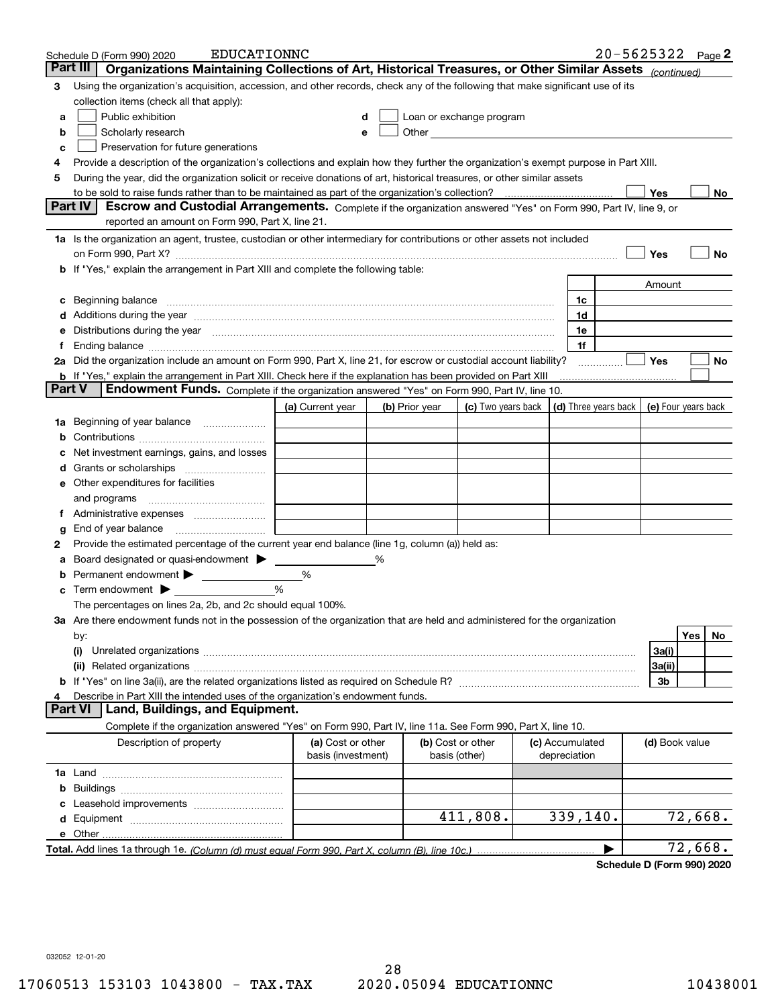|        | EDUCATIONNC<br>Schedule D (Form 990) 2020                                                                                                                                                                                      |                                         |   |                |                                                                                                                                                                                                                               |                                      | $20 - 5625322$ Page 2 |                     |            |     |
|--------|--------------------------------------------------------------------------------------------------------------------------------------------------------------------------------------------------------------------------------|-----------------------------------------|---|----------------|-------------------------------------------------------------------------------------------------------------------------------------------------------------------------------------------------------------------------------|--------------------------------------|-----------------------|---------------------|------------|-----|
|        | Part III<br>Organizations Maintaining Collections of Art, Historical Treasures, or Other Similar Assets (continued)                                                                                                            |                                         |   |                |                                                                                                                                                                                                                               |                                      |                       |                     |            |     |
| 3      | Using the organization's acquisition, accession, and other records, check any of the following that make significant use of its                                                                                                |                                         |   |                |                                                                                                                                                                                                                               |                                      |                       |                     |            |     |
|        | collection items (check all that apply):                                                                                                                                                                                       |                                         |   |                |                                                                                                                                                                                                                               |                                      |                       |                     |            |     |
| a      | Public exhibition                                                                                                                                                                                                              |                                         |   |                | Loan or exchange program                                                                                                                                                                                                      |                                      |                       |                     |            |     |
| b      | Scholarly research                                                                                                                                                                                                             |                                         |   |                | Other and the contract of the contract of the contract of the contract of the contract of the contract of the contract of the contract of the contract of the contract of the contract of the contract of the contract of the |                                      |                       |                     |            |     |
| с      | Preservation for future generations                                                                                                                                                                                            |                                         |   |                |                                                                                                                                                                                                                               |                                      |                       |                     |            |     |
| 4      | Provide a description of the organization's collections and explain how they further the organization's exempt purpose in Part XIII.                                                                                           |                                         |   |                |                                                                                                                                                                                                                               |                                      |                       |                     |            |     |
| 5      | During the year, did the organization solicit or receive donations of art, historical treasures, or other similar assets                                                                                                       |                                         |   |                |                                                                                                                                                                                                                               |                                      |                       |                     |            |     |
|        | to be sold to raise funds rather than to be maintained as part of the organization's collection?                                                                                                                               |                                         |   |                |                                                                                                                                                                                                                               |                                      |                       | Yes                 |            | No  |
|        | <b>Part IV</b><br>Escrow and Custodial Arrangements. Complete if the organization answered "Yes" on Form 990, Part IV, line 9, or                                                                                              |                                         |   |                |                                                                                                                                                                                                                               |                                      |                       |                     |            |     |
|        | reported an amount on Form 990, Part X, line 21.                                                                                                                                                                               |                                         |   |                |                                                                                                                                                                                                                               |                                      |                       |                     |            |     |
|        | 1a Is the organization an agent, trustee, custodian or other intermediary for contributions or other assets not included                                                                                                       |                                         |   |                |                                                                                                                                                                                                                               |                                      |                       |                     |            |     |
|        | on Form 990, Part X? [11] matter contracts and contracts and contracts are contracted as a form 990, Part X?                                                                                                                   |                                         |   |                |                                                                                                                                                                                                                               |                                      |                       | Yes                 |            | No  |
|        | b If "Yes," explain the arrangement in Part XIII and complete the following table:                                                                                                                                             |                                         |   |                |                                                                                                                                                                                                                               |                                      |                       |                     |            |     |
|        |                                                                                                                                                                                                                                |                                         |   |                |                                                                                                                                                                                                                               |                                      |                       | Amount              |            |     |
| c      | Beginning balance measurements and the contract of the contract of the contract of the contract of the contract of the contract of the contract of the contract of the contract of the contract of the contract of the contrac |                                         |   |                |                                                                                                                                                                                                                               | 1c                                   |                       |                     |            |     |
|        | Additions during the year manufactured and an account of the state of the state of the state of the state of the state of the state of the state of the state of the state of the state of the state of the state of the state |                                         |   |                |                                                                                                                                                                                                                               | 1d                                   |                       |                     |            |     |
|        | Distributions during the year manufactured and an extraordinary of the year manufactured and the year manufactured and the set of the set of the set of the set of the set of the set of the set of the set of the set of the  |                                         |   |                |                                                                                                                                                                                                                               | 1e                                   |                       |                     |            |     |
| Ť.     | 2a Did the organization include an amount on Form 990, Part X, line 21, for escrow or custodial account liability?                                                                                                             |                                         |   |                |                                                                                                                                                                                                                               | 1f                                   |                       | Yes                 |            | No  |
|        | <b>b</b> If "Yes," explain the arrangement in Part XIII. Check here if the explanation has been provided on Part XIII                                                                                                          |                                         |   |                |                                                                                                                                                                                                                               |                                      |                       |                     |            |     |
| Part V | Endowment Funds. Complete if the organization answered "Yes" on Form 990, Part IV, line 10.                                                                                                                                    |                                         |   |                |                                                                                                                                                                                                                               |                                      |                       |                     |            |     |
|        |                                                                                                                                                                                                                                | (a) Current year                        |   | (b) Prior year | (c) Two years back                                                                                                                                                                                                            | $\vert$ (d) Three years back $\vert$ |                       | (e) Four years back |            |     |
| 1a     | Beginning of year balance                                                                                                                                                                                                      |                                         |   |                |                                                                                                                                                                                                                               |                                      |                       |                     |            |     |
|        |                                                                                                                                                                                                                                |                                         |   |                |                                                                                                                                                                                                                               |                                      |                       |                     |            |     |
|        | Net investment earnings, gains, and losses                                                                                                                                                                                     |                                         |   |                |                                                                                                                                                                                                                               |                                      |                       |                     |            |     |
| d      |                                                                                                                                                                                                                                |                                         |   |                |                                                                                                                                                                                                                               |                                      |                       |                     |            |     |
|        | e Other expenditures for facilities                                                                                                                                                                                            |                                         |   |                |                                                                                                                                                                                                                               |                                      |                       |                     |            |     |
|        | and programs                                                                                                                                                                                                                   |                                         |   |                |                                                                                                                                                                                                                               |                                      |                       |                     |            |     |
|        |                                                                                                                                                                                                                                |                                         |   |                |                                                                                                                                                                                                                               |                                      |                       |                     |            |     |
| g      | End of year balance                                                                                                                                                                                                            |                                         |   |                |                                                                                                                                                                                                                               |                                      |                       |                     |            |     |
| 2      | Provide the estimated percentage of the current year end balance (line 1g, column (a)) held as:                                                                                                                                |                                         |   |                |                                                                                                                                                                                                                               |                                      |                       |                     |            |     |
| а      | Board designated or quasi-endowment                                                                                                                                                                                            |                                         | % |                |                                                                                                                                                                                                                               |                                      |                       |                     |            |     |
|        | Permanent endowment > <u>example</u>                                                                                                                                                                                           | %                                       |   |                |                                                                                                                                                                                                                               |                                      |                       |                     |            |     |
|        | Term endowment $\blacktriangleright$                                                                                                                                                                                           | %                                       |   |                |                                                                                                                                                                                                                               |                                      |                       |                     |            |     |
|        | The percentages on lines 2a, 2b, and 2c should equal 100%.                                                                                                                                                                     |                                         |   |                |                                                                                                                                                                                                                               |                                      |                       |                     |            |     |
|        | 3a Are there endowment funds not in the possession of the organization that are held and administered for the organization                                                                                                     |                                         |   |                |                                                                                                                                                                                                                               |                                      |                       |                     |            |     |
|        | by:                                                                                                                                                                                                                            |                                         |   |                |                                                                                                                                                                                                                               |                                      |                       |                     | <b>Yes</b> | No. |
|        | (i)                                                                                                                                                                                                                            |                                         |   |                |                                                                                                                                                                                                                               |                                      |                       | 3a(i)               |            |     |
|        |                                                                                                                                                                                                                                |                                         |   |                |                                                                                                                                                                                                                               |                                      |                       | 3a(ii)              |            |     |
|        |                                                                                                                                                                                                                                |                                         |   |                |                                                                                                                                                                                                                               |                                      |                       | 3b                  |            |     |
| 4      | Describe in Part XIII the intended uses of the organization's endowment funds.                                                                                                                                                 |                                         |   |                |                                                                                                                                                                                                                               |                                      |                       |                     |            |     |
|        | Land, Buildings, and Equipment.<br>Part VI                                                                                                                                                                                     |                                         |   |                |                                                                                                                                                                                                                               |                                      |                       |                     |            |     |
|        | Complete if the organization answered "Yes" on Form 990, Part IV, line 11a. See Form 990, Part X, line 10.                                                                                                                     |                                         |   |                |                                                                                                                                                                                                                               |                                      |                       |                     |            |     |
|        | Description of property                                                                                                                                                                                                        | (a) Cost or other<br>basis (investment) |   |                | (b) Cost or other<br>basis (other)                                                                                                                                                                                            | (c) Accumulated<br>depreciation      |                       | (d) Book value      |            |     |
|        |                                                                                                                                                                                                                                |                                         |   |                |                                                                                                                                                                                                                               |                                      |                       |                     |            |     |
| b      |                                                                                                                                                                                                                                |                                         |   |                |                                                                                                                                                                                                                               |                                      |                       |                     |            |     |
|        |                                                                                                                                                                                                                                |                                         |   |                |                                                                                                                                                                                                                               |                                      |                       |                     |            |     |
|        |                                                                                                                                                                                                                                |                                         |   |                | 411,808.                                                                                                                                                                                                                      | 339,140.                             |                       |                     | 72,668.    |     |
|        | e Other                                                                                                                                                                                                                        |                                         |   |                |                                                                                                                                                                                                                               |                                      |                       |                     |            |     |
|        |                                                                                                                                                                                                                                |                                         |   |                |                                                                                                                                                                                                                               |                                      |                       |                     | 72,668.    |     |

**Schedule D (Form 990) 2020**

032052 12‐01‐20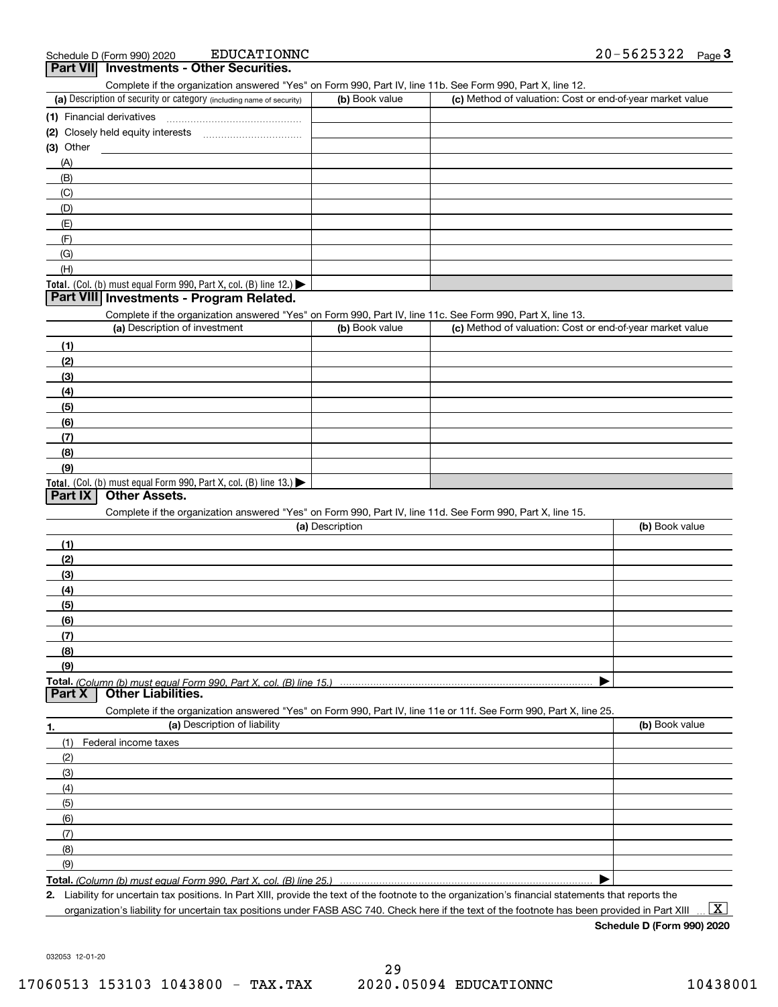EDUCATIONNC

|                | <b>Part VII</b> Investments - Other Securities.                                                                                                                                    |                 |                                                                                                                                                      |                |
|----------------|------------------------------------------------------------------------------------------------------------------------------------------------------------------------------------|-----------------|------------------------------------------------------------------------------------------------------------------------------------------------------|----------------|
|                | Complete if the organization answered "Yes" on Form 990, Part IV, line 11b. See Form 990, Part X, line 12.<br>(a) Description of security or category (including name of security) | (b) Book value  | (c) Method of valuation: Cost or end-of-year market value                                                                                            |                |
|                | (1) Financial derivatives                                                                                                                                                          |                 |                                                                                                                                                      |                |
|                |                                                                                                                                                                                    |                 |                                                                                                                                                      |                |
| $(3)$ Other    |                                                                                                                                                                                    |                 |                                                                                                                                                      |                |
| (A)            |                                                                                                                                                                                    |                 |                                                                                                                                                      |                |
| (B)            |                                                                                                                                                                                    |                 |                                                                                                                                                      |                |
| (C)            |                                                                                                                                                                                    |                 |                                                                                                                                                      |                |
| (D)            |                                                                                                                                                                                    |                 |                                                                                                                                                      |                |
| (E)            |                                                                                                                                                                                    |                 |                                                                                                                                                      |                |
| (F)            |                                                                                                                                                                                    |                 |                                                                                                                                                      |                |
| (G)            |                                                                                                                                                                                    |                 |                                                                                                                                                      |                |
| (H)            |                                                                                                                                                                                    |                 |                                                                                                                                                      |                |
|                | Total. (Col. (b) must equal Form 990, Part X, col. (B) line 12.)                                                                                                                   |                 |                                                                                                                                                      |                |
|                | Part VIII Investments - Program Related.                                                                                                                                           |                 |                                                                                                                                                      |                |
|                | Complete if the organization answered "Yes" on Form 990, Part IV, line 11c. See Form 990, Part X, line 13.                                                                         |                 |                                                                                                                                                      |                |
|                | (a) Description of investment                                                                                                                                                      | (b) Book value  | (c) Method of valuation: Cost or end-of-year market value                                                                                            |                |
| (1)            |                                                                                                                                                                                    |                 |                                                                                                                                                      |                |
| (2)            |                                                                                                                                                                                    |                 |                                                                                                                                                      |                |
| (3)            |                                                                                                                                                                                    |                 |                                                                                                                                                      |                |
| (4)            |                                                                                                                                                                                    |                 |                                                                                                                                                      |                |
| (5)            |                                                                                                                                                                                    |                 |                                                                                                                                                      |                |
| (6)            |                                                                                                                                                                                    |                 |                                                                                                                                                      |                |
| (7)            |                                                                                                                                                                                    |                 |                                                                                                                                                      |                |
| (8)            |                                                                                                                                                                                    |                 |                                                                                                                                                      |                |
| (9)            |                                                                                                                                                                                    |                 |                                                                                                                                                      |                |
| <b>Part IX</b> | Total. (Col. (b) must equal Form 990, Part X, col. (B) line 13.)<br><b>Other Assets.</b>                                                                                           |                 |                                                                                                                                                      |                |
|                |                                                                                                                                                                                    |                 |                                                                                                                                                      |                |
|                | Complete if the organization answered "Yes" on Form 990, Part IV, line 11d. See Form 990, Part X, line 15.                                                                         |                 |                                                                                                                                                      |                |
|                |                                                                                                                                                                                    | (a) Description |                                                                                                                                                      | (b) Book value |
| (1)            |                                                                                                                                                                                    |                 |                                                                                                                                                      |                |
| (2)            |                                                                                                                                                                                    |                 |                                                                                                                                                      |                |
| (3)            |                                                                                                                                                                                    |                 |                                                                                                                                                      |                |
| (4)            |                                                                                                                                                                                    |                 |                                                                                                                                                      |                |
| (5)            |                                                                                                                                                                                    |                 |                                                                                                                                                      |                |
| (6)            |                                                                                                                                                                                    |                 |                                                                                                                                                      |                |
| (7)            |                                                                                                                                                                                    |                 |                                                                                                                                                      |                |
| (8)            |                                                                                                                                                                                    |                 |                                                                                                                                                      |                |
| (9)            |                                                                                                                                                                                    |                 |                                                                                                                                                      |                |
| <b>Part X</b>  | <b>Other Liabilities.</b>                                                                                                                                                          |                 |                                                                                                                                                      |                |
|                | Complete if the organization answered "Yes" on Form 990, Part IV, line 11e or 11f. See Form 990, Part X, line 25.                                                                  |                 |                                                                                                                                                      |                |
| 1.             | (a) Description of liability                                                                                                                                                       |                 |                                                                                                                                                      | (b) Book value |
| (1)            | Federal income taxes                                                                                                                                                               |                 |                                                                                                                                                      |                |
| (2)            |                                                                                                                                                                                    |                 |                                                                                                                                                      |                |
| (3)            |                                                                                                                                                                                    |                 |                                                                                                                                                      |                |
| (4)            |                                                                                                                                                                                    |                 |                                                                                                                                                      |                |
| (5)            |                                                                                                                                                                                    |                 |                                                                                                                                                      |                |
| (6)            |                                                                                                                                                                                    |                 |                                                                                                                                                      |                |
| (7)            |                                                                                                                                                                                    |                 |                                                                                                                                                      |                |
| (8)            |                                                                                                                                                                                    |                 |                                                                                                                                                      |                |
| (9)            |                                                                                                                                                                                    |                 |                                                                                                                                                      |                |
|                |                                                                                                                                                                                    |                 |                                                                                                                                                      |                |
|                | Total. (Column (b) must equal Form 990, Part X, col. (B) line 25.) ………………………………………………………                                                                                           |                 | 2. Liability for uncertain tax positions. In Part XIII, provide the text of the footnote to the organization's financial statements that reports the |                |
|                |                                                                                                                                                                                    |                 |                                                                                                                                                      |                |

organization's liability for uncertain tax positions under FASB ASC 740. Check here if the text of the footnote has been provided in Part XIII.

**Schedule D (Form 990) 2020**

032053 12‐01‐20

 $\boxed{\text{X}}$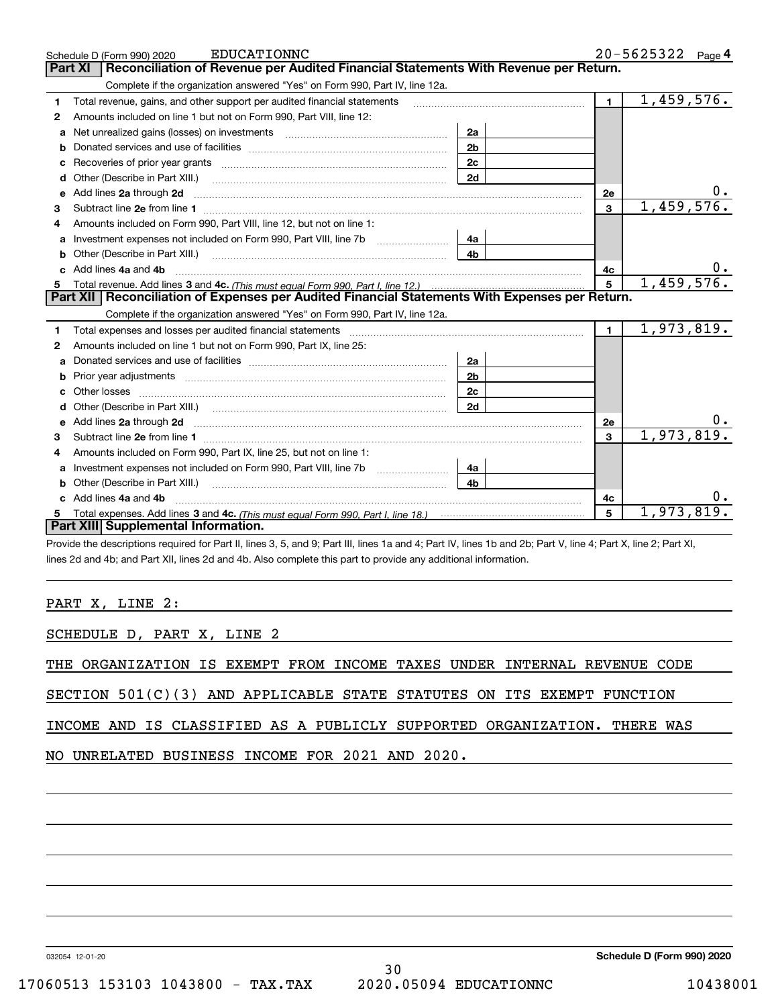|    | <b>EDUCATIONNC</b><br>Schedule D (Form 990) 2020                                                                                                                                                                                                                             |                |                | 20-5625322<br>Page $4$  |
|----|------------------------------------------------------------------------------------------------------------------------------------------------------------------------------------------------------------------------------------------------------------------------------|----------------|----------------|-------------------------|
|    | Reconciliation of Revenue per Audited Financial Statements With Revenue per Return.<br>Part XI                                                                                                                                                                               |                |                |                         |
|    | Complete if the organization answered "Yes" on Form 990, Part IV, line 12a.                                                                                                                                                                                                  |                |                |                         |
| 1  | Total revenue, gains, and other support per audited financial statements                                                                                                                                                                                                     |                | $\blacksquare$ | $\overline{1,459},576.$ |
| 2  | Amounts included on line 1 but not on Form 990, Part VIII, line 12:                                                                                                                                                                                                          |                |                |                         |
| a  |                                                                                                                                                                                                                                                                              | 2a             |                |                         |
|    |                                                                                                                                                                                                                                                                              | 2 <sub>b</sub> |                |                         |
|    |                                                                                                                                                                                                                                                                              | 2c             |                |                         |
| d  | Other (Describe in Part XIII.) <b>Construction Contract Construction</b> [                                                                                                                                                                                                   | 2d             |                |                         |
| е  | Add lines 2a through 2d                                                                                                                                                                                                                                                      |                | <b>2e</b>      |                         |
| 3  |                                                                                                                                                                                                                                                                              |                | $\mathbf{3}$   | 1,459,576.              |
| 4  | Amounts included on Form 990, Part VIII, line 12, but not on line 1:                                                                                                                                                                                                         |                |                |                         |
|    | Investment expenses not included on Form 990, Part VIII, line 7b [100] [100] [100] [100] [100] [100] [100] [100] [100] [100] [100] [100] [100] [100] [100] [100] [100] [100] [100] [100] [100] [100] [100] [100] [100] [100] [                                               | 4a             |                |                         |
| b  |                                                                                                                                                                                                                                                                              | 4 <sub>b</sub> |                |                         |
| c. | Add lines 4a and 4b                                                                                                                                                                                                                                                          |                | 4с             | 0.                      |
| 5  |                                                                                                                                                                                                                                                                              |                | 5              | 1,459,576.              |
|    |                                                                                                                                                                                                                                                                              |                |                |                         |
|    | Part XII   Reconciliation of Expenses per Audited Financial Statements With Expenses per Return.                                                                                                                                                                             |                |                |                         |
|    | Complete if the organization answered "Yes" on Form 990, Part IV, line 12a.                                                                                                                                                                                                  |                |                |                         |
| 1  |                                                                                                                                                                                                                                                                              |                | $\mathbf{1}$   | 1,973,819.              |
| 2  | Amounts included on line 1 but not on Form 990, Part IX, line 25:                                                                                                                                                                                                            |                |                |                         |
| a  |                                                                                                                                                                                                                                                                              | 2a             |                |                         |
| b  |                                                                                                                                                                                                                                                                              | 2 <sub>b</sub> |                |                         |
| c  |                                                                                                                                                                                                                                                                              | 2c             |                |                         |
| d  |                                                                                                                                                                                                                                                                              | 2d             |                |                         |
|    | e Add lines 2a through 2d <b>[10]</b> [20] <b>All and Provide 20</b> [10] <b>All and Provide 20</b> [10] <b>All and Provide 20</b> [10] <b>All and Provide 20</b> [10] <b>All and Provide 20</b> [10] <b>All and Provide 20</b> [10] <b>All and Provide 20</b> [10] <b>A</b> |                | 2e             |                         |
| 3  |                                                                                                                                                                                                                                                                              |                | $\mathbf{3}$   | 1,973,819.              |
| 4  | Amounts included on Form 990, Part IX, line 25, but not on line 1:                                                                                                                                                                                                           |                |                |                         |
| a  |                                                                                                                                                                                                                                                                              | 4a             |                |                         |
| b  | Other (Describe in Part XIII.) [100] [200] [2010] [2010] [2010] [2010] [2010] [2010] [2010] [2010] [2010] [2010] [2010] [2010] [2010] [2010] [2010] [2010] [2010] [2010] [2010] [2010] [2010] [2010] [2010] [2010] [2010] [201                                               | 4b             |                |                         |
|    | c Add lines 4a and 4b                                                                                                                                                                                                                                                        |                | 4с             |                         |
|    | Part XIII Supplemental Information.                                                                                                                                                                                                                                          |                | $5^{\circ}$    | 1,973,819.              |

Provide the descriptions required for Part II, lines 3, 5, and 9; Part III, lines 1a and 4; Part IV, lines 1b and 2b; Part V, line 4; Part X, line 2; Part XI, lines 2d and 4b; and Part XII, lines 2d and 4b. Also complete this part to provide any additional information.

PART X, LINE 2:

SCHEDULE D, PART X, LINE 2

THE ORGANIZATION IS EXEMPT FROM INCOME TAXES UNDER INTERNAL REVENUE CODE

SECTION 501(C)(3) AND APPLICABLE STATE STATUTES ON ITS EXEMPT FUNCTION

INCOME AND IS CLASSIFIED AS A PUBLICLY SUPPORTED ORGANIZATION. THERE WAS

NO UNRELATED BUSINESS INCOME FOR 2021 AND 2020.

032054 12‐01‐20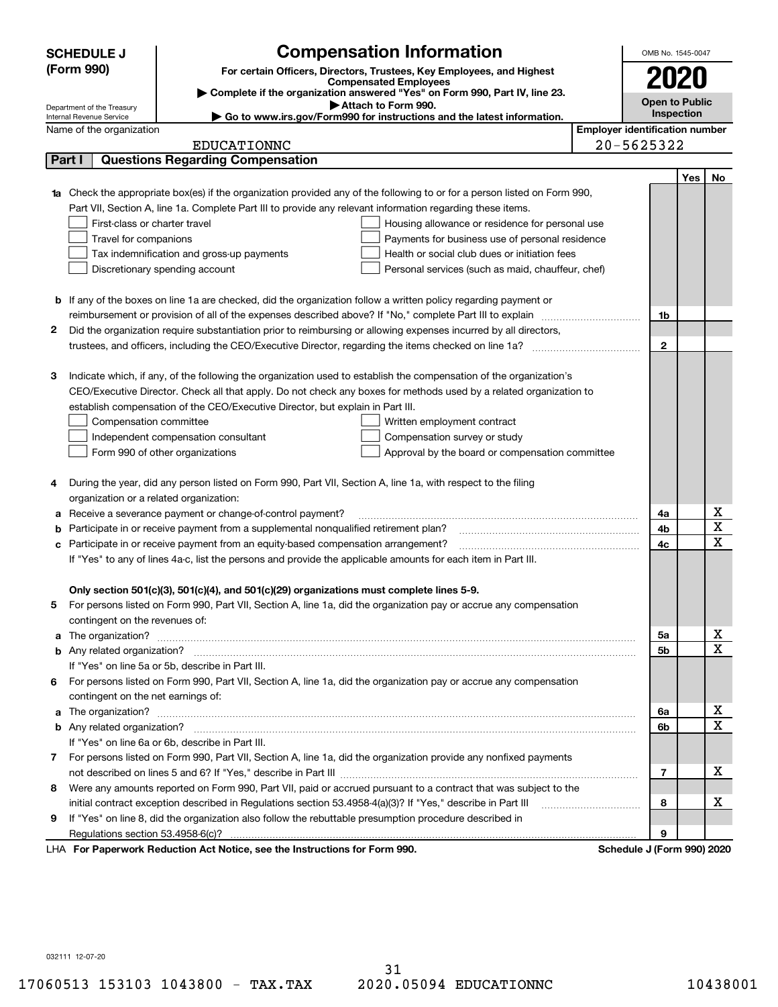| <b>SCHEDULE J</b>                                      | <b>Compensation Information</b>                                                                                                                                                                                                      |                                       | OMB No. 1545-0047                          |     |                            |
|--------------------------------------------------------|--------------------------------------------------------------------------------------------------------------------------------------------------------------------------------------------------------------------------------------|---------------------------------------|--------------------------------------------|-----|----------------------------|
| (Form 990)                                             |                                                                                                                                                                                                                                      |                                       |                                            |     |                            |
|                                                        | For certain Officers, Directors, Trustees, Key Employees, and Highest<br><b>Compensated Employees</b>                                                                                                                                |                                       | 2020                                       |     |                            |
|                                                        | Complete if the organization answered "Yes" on Form 990, Part IV, line 23.                                                                                                                                                           |                                       |                                            |     |                            |
| Department of the Treasury<br>Internal Revenue Service | Attach to Form 990.<br>Go to www.irs.gov/Form990 for instructions and the latest information.                                                                                                                                        |                                       | <b>Open to Public</b><br><b>Inspection</b> |     |                            |
| Name of the organization                               |                                                                                                                                                                                                                                      | <b>Employer identification number</b> |                                            |     |                            |
|                                                        | EDUCATIONNC                                                                                                                                                                                                                          |                                       | 20-5625322                                 |     |                            |
| Part I                                                 | <b>Questions Regarding Compensation</b>                                                                                                                                                                                              |                                       |                                            |     |                            |
|                                                        |                                                                                                                                                                                                                                      |                                       |                                            | Yes | No                         |
|                                                        | <b>1a</b> Check the appropriate box(es) if the organization provided any of the following to or for a person listed on Form 990,                                                                                                     |                                       |                                            |     |                            |
|                                                        | Part VII, Section A, line 1a. Complete Part III to provide any relevant information regarding these items.                                                                                                                           |                                       |                                            |     |                            |
|                                                        | First-class or charter travel<br>Housing allowance or residence for personal use                                                                                                                                                     |                                       |                                            |     |                            |
| Travel for companions                                  | Payments for business use of personal residence                                                                                                                                                                                      |                                       |                                            |     |                            |
|                                                        | Tax indemnification and gross-up payments<br>Health or social club dues or initiation fees                                                                                                                                           |                                       |                                            |     |                            |
|                                                        | Discretionary spending account<br>Personal services (such as maid, chauffeur, chef)                                                                                                                                                  |                                       |                                            |     |                            |
|                                                        |                                                                                                                                                                                                                                      |                                       |                                            |     |                            |
|                                                        | <b>b</b> If any of the boxes on line 1a are checked, did the organization follow a written policy regarding payment or                                                                                                               |                                       |                                            |     |                            |
|                                                        | reimbursement or provision of all of the expenses described above? If "No," complete Part III to explain                                                                                                                             |                                       | 1b                                         |     |                            |
| 2                                                      | Did the organization require substantiation prior to reimbursing or allowing expenses incurred by all directors,                                                                                                                     |                                       |                                            |     |                            |
|                                                        |                                                                                                                                                                                                                                      |                                       | $\mathbf{2}$                               |     |                            |
|                                                        |                                                                                                                                                                                                                                      |                                       |                                            |     |                            |
| 3                                                      | Indicate which, if any, of the following the organization used to establish the compensation of the organization's                                                                                                                   |                                       |                                            |     |                            |
|                                                        | CEO/Executive Director. Check all that apply. Do not check any boxes for methods used by a related organization to                                                                                                                   |                                       |                                            |     |                            |
|                                                        | establish compensation of the CEO/Executive Director, but explain in Part III.                                                                                                                                                       |                                       |                                            |     |                            |
|                                                        | Compensation committee<br>Written employment contract                                                                                                                                                                                |                                       |                                            |     |                            |
|                                                        | Compensation survey or study<br>Independent compensation consultant                                                                                                                                                                  |                                       |                                            |     |                            |
|                                                        | Form 990 of other organizations<br>Approval by the board or compensation committee                                                                                                                                                   |                                       |                                            |     |                            |
|                                                        |                                                                                                                                                                                                                                      |                                       |                                            |     |                            |
| 4                                                      | During the year, did any person listed on Form 990, Part VII, Section A, line 1a, with respect to the filing                                                                                                                         |                                       |                                            |     |                            |
|                                                        | organization or a related organization:                                                                                                                                                                                              |                                       |                                            |     |                            |
|                                                        | Receive a severance payment or change-of-control payment?                                                                                                                                                                            |                                       | 4a                                         |     | х                          |
|                                                        | Participate in or receive payment from a supplemental nonqualified retirement plan?                                                                                                                                                  |                                       | 4b                                         |     | $\overline{\texttt{x}}$    |
| с                                                      | Participate in or receive payment from an equity-based compensation arrangement?                                                                                                                                                     |                                       | 4c                                         |     | $\overline{\text{x}}$      |
|                                                        | If "Yes" to any of lines 4a-c, list the persons and provide the applicable amounts for each item in Part III.                                                                                                                        |                                       |                                            |     |                            |
|                                                        |                                                                                                                                                                                                                                      |                                       |                                            |     |                            |
|                                                        | Only section 501(c)(3), 501(c)(4), and 501(c)(29) organizations must complete lines 5-9.                                                                                                                                             |                                       |                                            |     |                            |
|                                                        | For persons listed on Form 990, Part VII, Section A, line 1a, did the organization pay or accrue any compensation                                                                                                                    |                                       |                                            |     |                            |
| contingent on the revenues of:                         |                                                                                                                                                                                                                                      |                                       |                                            |     |                            |
|                                                        | a The organization? <b>Entitation</b> and the organization?                                                                                                                                                                          |                                       | 5а                                         |     | x                          |
|                                                        |                                                                                                                                                                                                                                      |                                       | <b>5b</b>                                  |     | $\overline{\text{x}}$      |
|                                                        | If "Yes" on line 5a or 5b, describe in Part III.                                                                                                                                                                                     |                                       |                                            |     |                            |
| 6.                                                     | For persons listed on Form 990, Part VII, Section A, line 1a, did the organization pay or accrue any compensation                                                                                                                    |                                       |                                            |     |                            |
|                                                        | contingent on the net earnings of:                                                                                                                                                                                                   |                                       |                                            |     |                            |
|                                                        | a The organization? <b>Entitled Strategies and Strategies and Strategies and Strategies and Strategies and Strategies and Strategies and Strategies and Strategies and Strategies and Strategies and Strategies and Strategies a</b> |                                       | 6a                                         |     | x<br>$\overline{\text{x}}$ |
|                                                        |                                                                                                                                                                                                                                      |                                       | 6b                                         |     |                            |
|                                                        | If "Yes" on line 6a or 6b, describe in Part III.                                                                                                                                                                                     |                                       |                                            |     |                            |
|                                                        | 7 For persons listed on Form 990, Part VII, Section A, line 1a, did the organization provide any nonfixed payments                                                                                                                   |                                       |                                            |     |                            |
|                                                        |                                                                                                                                                                                                                                      |                                       | 7                                          |     | х                          |
| 8                                                      | Were any amounts reported on Form 990, Part VII, paid or accrued pursuant to a contract that was subject to the                                                                                                                      |                                       |                                            |     |                            |
|                                                        | initial contract exception described in Regulations section 53.4958-4(a)(3)? If "Yes," describe in Part III                                                                                                                          |                                       | 8                                          |     | x                          |
| 9                                                      | If "Yes" on line 8, did the organization also follow the rebuttable presumption procedure described in                                                                                                                               |                                       |                                            |     |                            |
|                                                        | Regulations section 53.4958-6(c)?                                                                                                                                                                                                    |                                       | 9                                          |     |                            |
|                                                        | LHA For Paperwork Reduction Act Notice, see the Instructions for Form 990.                                                                                                                                                           |                                       | Schedule J (Form 990) 2020                 |     |                            |

032111 12‐07‐20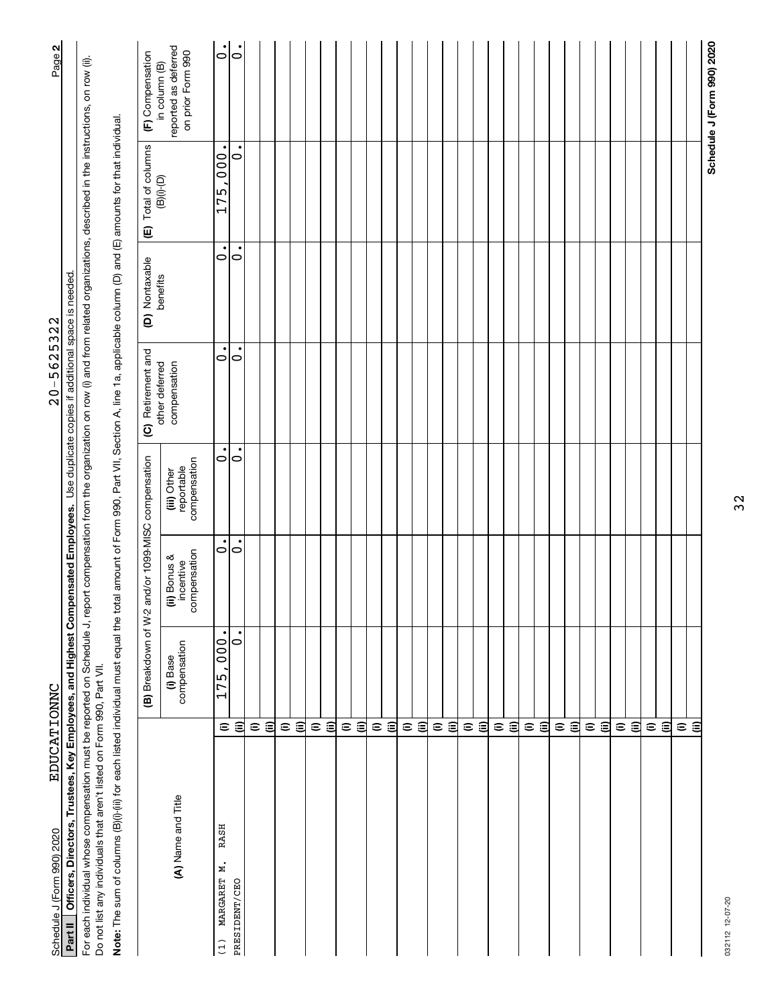| Page 2                     |                                                                                                                                                |                                                                                                                                                                                                                                                                                  |                                                                                                                                                                                                    | (F) Compensation              | in column (B)    | reported as deferred<br>on prior Form 990 | $\dot{\circ}$                                    | $\circ$       |                         |               |                                                 |                         |                      |                    |                    |                 |                         |   |                         |               |                         |               |                         |                      |                         |                    |     |                         |           |                         |   |                         |               |    | č |
|----------------------------|------------------------------------------------------------------------------------------------------------------------------------------------|----------------------------------------------------------------------------------------------------------------------------------------------------------------------------------------------------------------------------------------------------------------------------------|----------------------------------------------------------------------------------------------------------------------------------------------------------------------------------------------------|-------------------------------|------------------|-------------------------------------------|--------------------------------------------------|---------------|-------------------------|---------------|-------------------------------------------------|-------------------------|----------------------|--------------------|--------------------|-----------------|-------------------------|---|-------------------------|---------------|-------------------------|---------------|-------------------------|----------------------|-------------------------|--------------------|-----|-------------------------|-----------|-------------------------|---|-------------------------|---------------|----|---|
|                            |                                                                                                                                                |                                                                                                                                                                                                                                                                                  |                                                                                                                                                                                                    | (E) Total of columns          | $(B)(i)$ - $(D)$ |                                           | ٠<br>000<br>175                                  | $\circ$       |                         |               |                                                 |                         |                      |                    |                    |                 |                         |   |                         |               |                         |               |                         |                      |                         |                    |     |                         |           |                         |   |                         |               |    |   |
|                            |                                                                                                                                                |                                                                                                                                                                                                                                                                                  |                                                                                                                                                                                                    | (D) Nontaxable                | benefits         |                                           | $\circ$                                          | $\circ$       |                         |               |                                                 |                         |                      |                    |                    |                 |                         |   |                         |               |                         |               |                         |                      |                         |                    |     |                         |           |                         |   |                         |               |    |   |
| $20 - 5625322$             |                                                                                                                                                |                                                                                                                                                                                                                                                                                  |                                                                                                                                                                                                    | (C) Retirement and            | other deferred   | compensation                              | 0                                                | $\circ$       |                         |               |                                                 |                         |                      |                    |                    |                 |                         |   |                         |               |                         |               |                         |                      |                         |                    |     |                         |           |                         |   |                         |               |    |   |
|                            |                                                                                                                                                |                                                                                                                                                                                                                                                                                  |                                                                                                                                                                                                    | and/or 1099-MISC compensation |                  | compensation<br>reportable<br>(iii) Other | 0                                                | $\circ$       |                         |               |                                                 |                         |                      |                    |                    |                 |                         |   |                         |               |                         |               |                         |                      |                         |                    |     |                         |           |                         |   |                         |               |    |   |
|                            |                                                                                                                                                |                                                                                                                                                                                                                                                                                  |                                                                                                                                                                                                    |                               |                  | compensation<br>(ii) Bonus &<br>incentive | 0                                                | $\circ$       |                         |               |                                                 |                         |                      |                    |                    |                 |                         |   |                         |               |                         |               |                         |                      |                         |                    |     |                         |           |                         |   |                         |               |    |   |
|                            |                                                                                                                                                |                                                                                                                                                                                                                                                                                  |                                                                                                                                                                                                    | (B) Breakdown of W-2          |                  | (i) Base<br>compensation                  | 000,<br>175                                      | ٠<br>$\circ$  |                         |               |                                                 |                         |                      |                    |                    |                 |                         |   |                         |               |                         |               |                         |                      |                         |                    |     |                         |           |                         |   |                         |               |    |   |
| EDUCATIONNC                |                                                                                                                                                |                                                                                                                                                                                                                                                                                  |                                                                                                                                                                                                    |                               |                  |                                           | $\mathrel{\widehat{=}}$                          | Ξ             | $\mathrel{\widehat{=}}$ | $\widehat{=}$ | $\widehat{\epsilon}$<br>$\mathrel{\widehat{=}}$ | $\mathrel{\widehat{=}}$ | $\widehat{\epsilon}$ | $\boldsymbol{\Xi}$ | $\widehat{\equiv}$ | $\widehat{\Xi}$ | $\mathrel{\widehat{=}}$ | 闾 | $\mathrel{\widehat{=}}$ | $\widehat{=}$ | $\mathrel{\widehat{=}}$ | $\widehat{=}$ | $\mathrel{\widehat{=}}$ | $\widehat{\epsilon}$ | $\mathrel{\widehat{=}}$ | $\widehat{\equiv}$ | ⊜ ⊜ | $\mathrel{\widehat{=}}$ | $\hat{=}$ | $\mathrel{\widehat{=}}$ | 闫 | $\mathrel{\widehat{=}}$ | $\widehat{=}$ | εε |   |
| Schedule J (Form 990) 2020 | Officers, Directors, Trustees, Key Employees, and Highest Compensated Employees. Use duplicate copies if additional space is needed<br>Part II | For each individual whose compensation must be reported on Schedule J, report compensation from the organization on row (i) and from related organizations, described in the instructions, on row (ii).<br>Do not list any individuals that aren't listed on Form 990, Part VII. | Note: The sum of columns (B)(i)-(iii) for each listed individual must equal the total amount of Form 990, Part VII, Section A, line 1a, applicable column (D) and (E) amounts for that individual. |                               |                  | (A) Name and Title                        | <b>RASH</b><br>$\mathbf{x}$ .<br>MARGARET<br>(1) | PRESIDENT/CEO |                         |               |                                                 |                         |                      |                    |                    |                 |                         |   |                         |               |                         |               |                         |                      |                         |                    |     |                         |           |                         |   |                         |               |    |   |

032112 12-07-20 032112 12‐07‐20

32

# **Schedule J (Form 990) 2020 Schedule J (Form 990) 2020**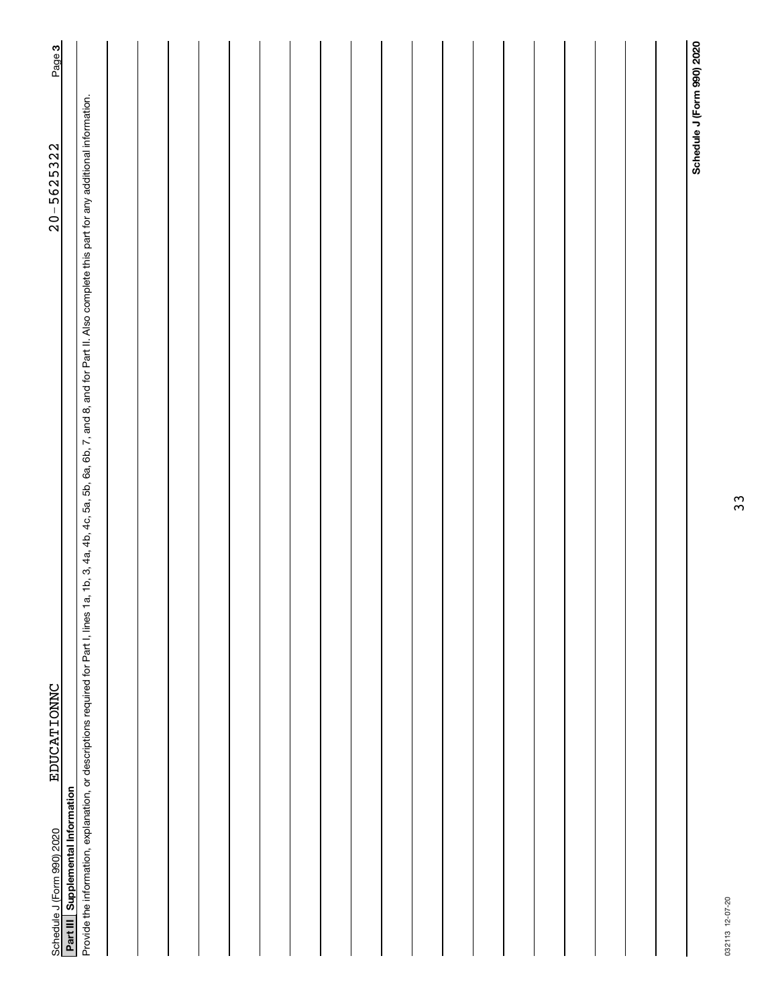| <b>EDUCATIONNC</b><br>Schedule J (Form 990) 2020<br><b>Part III</b> Supplemental Information                                                                                                               | Page 3<br>$20 - 5625322$   |
|------------------------------------------------------------------------------------------------------------------------------------------------------------------------------------------------------------|----------------------------|
| Provide the information, explanation, or descriptions required for Part I, lines 1a, 1b, 3, 4a, 4b, 4c, 5a, 5b, 6a, 6b, 7, and 8, and for Part II. Also complete this part for any additional information. |                            |
|                                                                                                                                                                                                            |                            |
|                                                                                                                                                                                                            |                            |
|                                                                                                                                                                                                            |                            |
|                                                                                                                                                                                                            |                            |
|                                                                                                                                                                                                            |                            |
|                                                                                                                                                                                                            |                            |
|                                                                                                                                                                                                            |                            |
|                                                                                                                                                                                                            |                            |
|                                                                                                                                                                                                            |                            |
|                                                                                                                                                                                                            |                            |
|                                                                                                                                                                                                            |                            |
|                                                                                                                                                                                                            |                            |
|                                                                                                                                                                                                            |                            |
|                                                                                                                                                                                                            |                            |
|                                                                                                                                                                                                            |                            |
|                                                                                                                                                                                                            |                            |
|                                                                                                                                                                                                            |                            |
|                                                                                                                                                                                                            |                            |
|                                                                                                                                                                                                            |                            |
|                                                                                                                                                                                                            | Schedule J (Form 990) 2020 |

032113 12-07-20 032113 12‐07‐20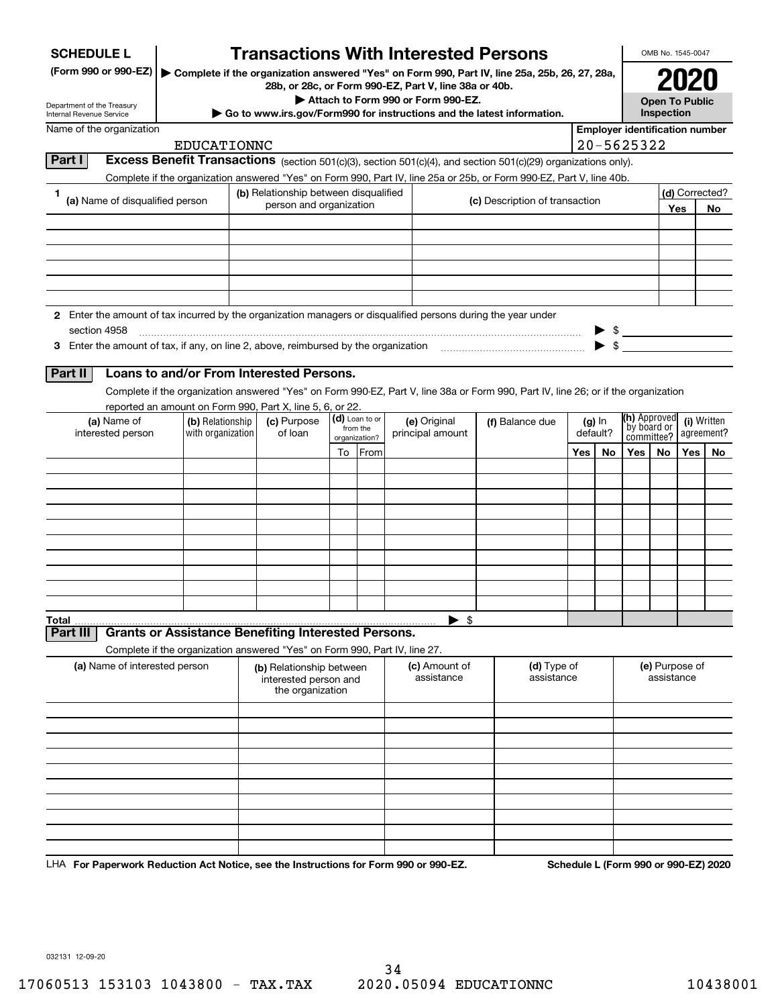| <b>SCHEDULE L</b>                                                                                             |                                                                            |                                                                                                                                                                              | <b>Transactions With Interested Persons</b>                           |  |               |  |                                                       |                                                                                                                                    |                             |    |                                                                                                                                                                                                                                                                                                                                                                                                                                                                                      | OMB No. 1545-0047                   |     |                      |
|---------------------------------------------------------------------------------------------------------------|----------------------------------------------------------------------------|------------------------------------------------------------------------------------------------------------------------------------------------------------------------------|-----------------------------------------------------------------------|--|---------------|--|-------------------------------------------------------|------------------------------------------------------------------------------------------------------------------------------------|-----------------------------|----|--------------------------------------------------------------------------------------------------------------------------------------------------------------------------------------------------------------------------------------------------------------------------------------------------------------------------------------------------------------------------------------------------------------------------------------------------------------------------------------|-------------------------------------|-----|----------------------|
| (Form 990 or 990-EZ)                                                                                          |                                                                            |                                                                                                                                                                              |                                                                       |  |               |  |                                                       | ▶ Complete if the organization answered "Yes" on Form 990, Part IV, line 25a, 25b, 26, 27, 28a,                                    |                             |    |                                                                                                                                                                                                                                                                                                                                                                                                                                                                                      |                                     |     |                      |
|                                                                                                               |                                                                            |                                                                                                                                                                              |                                                                       |  |               |  | 28b, or 28c, or Form 990-EZ, Part V, line 38a or 40b. |                                                                                                                                    |                             |    |                                                                                                                                                                                                                                                                                                                                                                                                                                                                                      |                                     |     |                      |
| Department of the Treasury<br><b>Internal Revenue Service</b>                                                 |                                                                            |                                                                                                                                                                              |                                                                       |  |               |  | Attach to Form 990 or Form 990-EZ.                    | Go to www.irs.gov/Form990 for instructions and the latest information.                                                             |                             |    |                                                                                                                                                                                                                                                                                                                                                                                                                                                                                      | <b>Open To Public</b><br>Inspection |     |                      |
| Name of the organization                                                                                      |                                                                            |                                                                                                                                                                              |                                                                       |  |               |  |                                                       |                                                                                                                                    |                             |    | <b>Employer identification number</b>                                                                                                                                                                                                                                                                                                                                                                                                                                                |                                     |     |                      |
|                                                                                                               | <b>EDUCATIONNC</b>                                                         |                                                                                                                                                                              |                                                                       |  |               |  |                                                       |                                                                                                                                    |                             |    | 20-5625322                                                                                                                                                                                                                                                                                                                                                                                                                                                                           |                                     |     |                      |
| Part I                                                                                                        |                                                                            |                                                                                                                                                                              |                                                                       |  |               |  |                                                       | Excess Benefit Transactions (section 501(c)(3), section 501(c)(4), and section 501(c)(29) organizations only).                     |                             |    |                                                                                                                                                                                                                                                                                                                                                                                                                                                                                      |                                     |     |                      |
|                                                                                                               |                                                                            |                                                                                                                                                                              |                                                                       |  |               |  |                                                       | Complete if the organization answered "Yes" on Form 990, Part IV, line 25a or 25b, or Form 990-EZ, Part V, line 40b.               |                             |    |                                                                                                                                                                                                                                                                                                                                                                                                                                                                                      |                                     |     |                      |
| 1.<br>(a) Name of disqualified person                                                                         |                                                                            |                                                                                                                                                                              | (b) Relationship between disqualified<br>person and organization      |  |               |  |                                                       | (c) Description of transaction                                                                                                     |                             |    |                                                                                                                                                                                                                                                                                                                                                                                                                                                                                      |                                     | Yes | (d) Corrected?<br>No |
|                                                                                                               |                                                                            |                                                                                                                                                                              |                                                                       |  |               |  |                                                       |                                                                                                                                    |                             |    |                                                                                                                                                                                                                                                                                                                                                                                                                                                                                      |                                     |     |                      |
|                                                                                                               |                                                                            |                                                                                                                                                                              |                                                                       |  |               |  |                                                       |                                                                                                                                    |                             |    |                                                                                                                                                                                                                                                                                                                                                                                                                                                                                      |                                     |     |                      |
|                                                                                                               |                                                                            |                                                                                                                                                                              |                                                                       |  |               |  |                                                       |                                                                                                                                    |                             |    |                                                                                                                                                                                                                                                                                                                                                                                                                                                                                      |                                     |     |                      |
|                                                                                                               |                                                                            |                                                                                                                                                                              |                                                                       |  |               |  |                                                       |                                                                                                                                    |                             |    |                                                                                                                                                                                                                                                                                                                                                                                                                                                                                      |                                     |     |                      |
|                                                                                                               |                                                                            |                                                                                                                                                                              |                                                                       |  |               |  |                                                       |                                                                                                                                    |                             |    |                                                                                                                                                                                                                                                                                                                                                                                                                                                                                      |                                     |     |                      |
| 2 Enter the amount of tax incurred by the organization managers or disqualified persons during the year under |                                                                            |                                                                                                                                                                              |                                                                       |  |               |  |                                                       |                                                                                                                                    |                             |    |                                                                                                                                                                                                                                                                                                                                                                                                                                                                                      |                                     |     |                      |
| section 4958                                                                                                  |                                                                            |                                                                                                                                                                              |                                                                       |  |               |  |                                                       |                                                                                                                                    |                             | \$ | $\begin{tabular}{l} \toprule \end{tabular} \hline \rule[0mm]{1em}{0.25mm} \begin{tabular}{l} \multicolumn{2}{c}{} & \multicolumn{2}{c}{} & \multicolumn{2}{c}{} \\ \multicolumn{2}{c}{} & \multicolumn{2}{c}{} & \multicolumn{2}{c}{} \\ \multicolumn{2}{c}{} & \multicolumn{2}{c}{} & \multicolumn{2}{c}{} \\ \multicolumn{2}{c}{} & \multicolumn{2}{c}{} & \multicolumn{2}{c}{} \\ \multicolumn{2}{c}{} & \multicolumn{2}{c}{} & \multicolumn{2}{c}{} \\ \multicolumn{2}{c}{} & \$ |                                     |     |                      |
| 3 Enter the amount of tax, if any, on line 2, above, reimbursed by the organization                           |                                                                            |                                                                                                                                                                              |                                                                       |  |               |  |                                                       |                                                                                                                                    |                             |    |                                                                                                                                                                                                                                                                                                                                                                                                                                                                                      |                                     |     |                      |
| Part II                                                                                                       | Loans to and/or From Interested Persons.                                   |                                                                                                                                                                              |                                                                       |  |               |  |                                                       |                                                                                                                                    |                             |    |                                                                                                                                                                                                                                                                                                                                                                                                                                                                                      |                                     |     |                      |
|                                                                                                               |                                                                            |                                                                                                                                                                              |                                                                       |  |               |  |                                                       | Complete if the organization answered "Yes" on Form 990-EZ, Part V, line 38a or Form 990, Part IV, line 26; or if the organization |                             |    |                                                                                                                                                                                                                                                                                                                                                                                                                                                                                      |                                     |     |                      |
|                                                                                                               | reported an amount on Form 990, Part X, line 5, 6, or 22.                  |                                                                                                                                                                              |                                                                       |  |               |  |                                                       |                                                                                                                                    |                             |    |                                                                                                                                                                                                                                                                                                                                                                                                                                                                                      |                                     |     |                      |
| (a) Name of<br>interested person                                                                              |                                                                            | (d) Loan to or<br>(c) Purpose<br>(b) Relationship<br>(e) Original<br>(f) Balance due<br>$(g)$ In<br>from the<br>with organization<br>of loan<br>principal amount<br>default? |                                                                       |  |               |  |                                                       |                                                                                                                                    | (h) Approved<br>by board or |    | (i) Written<br>agreement?                                                                                                                                                                                                                                                                                                                                                                                                                                                            |                                     |     |                      |
|                                                                                                               |                                                                            |                                                                                                                                                                              |                                                                       |  | organization? |  |                                                       |                                                                                                                                    | Yes                         |    | committee?<br>Yes                                                                                                                                                                                                                                                                                                                                                                                                                                                                    | No                                  | Yes | No                   |
|                                                                                                               |                                                                            |                                                                                                                                                                              |                                                                       |  | To From       |  |                                                       |                                                                                                                                    |                             | No |                                                                                                                                                                                                                                                                                                                                                                                                                                                                                      |                                     |     |                      |
|                                                                                                               |                                                                            |                                                                                                                                                                              |                                                                       |  |               |  |                                                       |                                                                                                                                    |                             |    |                                                                                                                                                                                                                                                                                                                                                                                                                                                                                      |                                     |     |                      |
|                                                                                                               |                                                                            |                                                                                                                                                                              |                                                                       |  |               |  |                                                       |                                                                                                                                    |                             |    |                                                                                                                                                                                                                                                                                                                                                                                                                                                                                      |                                     |     |                      |
|                                                                                                               |                                                                            |                                                                                                                                                                              |                                                                       |  |               |  |                                                       |                                                                                                                                    |                             |    |                                                                                                                                                                                                                                                                                                                                                                                                                                                                                      |                                     |     |                      |
|                                                                                                               |                                                                            |                                                                                                                                                                              |                                                                       |  |               |  |                                                       |                                                                                                                                    |                             |    |                                                                                                                                                                                                                                                                                                                                                                                                                                                                                      |                                     |     |                      |
|                                                                                                               |                                                                            |                                                                                                                                                                              |                                                                       |  |               |  |                                                       |                                                                                                                                    |                             |    |                                                                                                                                                                                                                                                                                                                                                                                                                                                                                      |                                     |     |                      |
|                                                                                                               |                                                                            |                                                                                                                                                                              |                                                                       |  |               |  |                                                       |                                                                                                                                    |                             |    |                                                                                                                                                                                                                                                                                                                                                                                                                                                                                      |                                     |     |                      |
|                                                                                                               |                                                                            |                                                                                                                                                                              |                                                                       |  |               |  |                                                       |                                                                                                                                    |                             |    |                                                                                                                                                                                                                                                                                                                                                                                                                                                                                      |                                     |     |                      |
|                                                                                                               |                                                                            |                                                                                                                                                                              |                                                                       |  |               |  |                                                       |                                                                                                                                    |                             |    |                                                                                                                                                                                                                                                                                                                                                                                                                                                                                      |                                     |     |                      |
| <b>Total</b><br>Part III                                                                                      | <b>Grants or Assistance Benefiting Interested Persons.</b>                 |                                                                                                                                                                              |                                                                       |  |               |  | - \$                                                  |                                                                                                                                    |                             |    |                                                                                                                                                                                                                                                                                                                                                                                                                                                                                      |                                     |     |                      |
|                                                                                                               | Complete if the organization answered "Yes" on Form 990, Part IV, line 27. |                                                                                                                                                                              |                                                                       |  |               |  |                                                       |                                                                                                                                    |                             |    |                                                                                                                                                                                                                                                                                                                                                                                                                                                                                      |                                     |     |                      |
| (a) Name of interested person                                                                                 |                                                                            |                                                                                                                                                                              | (b) Relationship between<br>interested person and<br>the organization |  |               |  | (c) Amount of<br>assistance                           | (d) Type of<br>assistance                                                                                                          |                             |    |                                                                                                                                                                                                                                                                                                                                                                                                                                                                                      | (e) Purpose of<br>assistance        |     |                      |
|                                                                                                               |                                                                            |                                                                                                                                                                              |                                                                       |  |               |  |                                                       |                                                                                                                                    |                             |    |                                                                                                                                                                                                                                                                                                                                                                                                                                                                                      |                                     |     |                      |
|                                                                                                               |                                                                            |                                                                                                                                                                              |                                                                       |  |               |  |                                                       |                                                                                                                                    |                             |    |                                                                                                                                                                                                                                                                                                                                                                                                                                                                                      |                                     |     |                      |
|                                                                                                               |                                                                            |                                                                                                                                                                              |                                                                       |  |               |  |                                                       |                                                                                                                                    |                             |    |                                                                                                                                                                                                                                                                                                                                                                                                                                                                                      |                                     |     |                      |
|                                                                                                               |                                                                            |                                                                                                                                                                              |                                                                       |  |               |  |                                                       |                                                                                                                                    |                             |    |                                                                                                                                                                                                                                                                                                                                                                                                                                                                                      |                                     |     |                      |
|                                                                                                               |                                                                            |                                                                                                                                                                              |                                                                       |  |               |  |                                                       |                                                                                                                                    |                             |    |                                                                                                                                                                                                                                                                                                                                                                                                                                                                                      |                                     |     |                      |
|                                                                                                               |                                                                            |                                                                                                                                                                              |                                                                       |  |               |  |                                                       |                                                                                                                                    |                             |    |                                                                                                                                                                                                                                                                                                                                                                                                                                                                                      |                                     |     |                      |
|                                                                                                               |                                                                            |                                                                                                                                                                              |                                                                       |  |               |  |                                                       |                                                                                                                                    |                             |    |                                                                                                                                                                                                                                                                                                                                                                                                                                                                                      |                                     |     |                      |
|                                                                                                               |                                                                            |                                                                                                                                                                              |                                                                       |  |               |  |                                                       |                                                                                                                                    |                             |    |                                                                                                                                                                                                                                                                                                                                                                                                                                                                                      |                                     |     |                      |
|                                                                                                               |                                                                            |                                                                                                                                                                              |                                                                       |  |               |  |                                                       |                                                                                                                                    |                             |    |                                                                                                                                                                                                                                                                                                                                                                                                                                                                                      |                                     |     |                      |

**For Paperwork Reduction Act Notice, see the Instructions for Form 990 or 990‐EZ. Schedule L (Form 990 or 990‐EZ) 2020** LHA

032131 12‐09‐20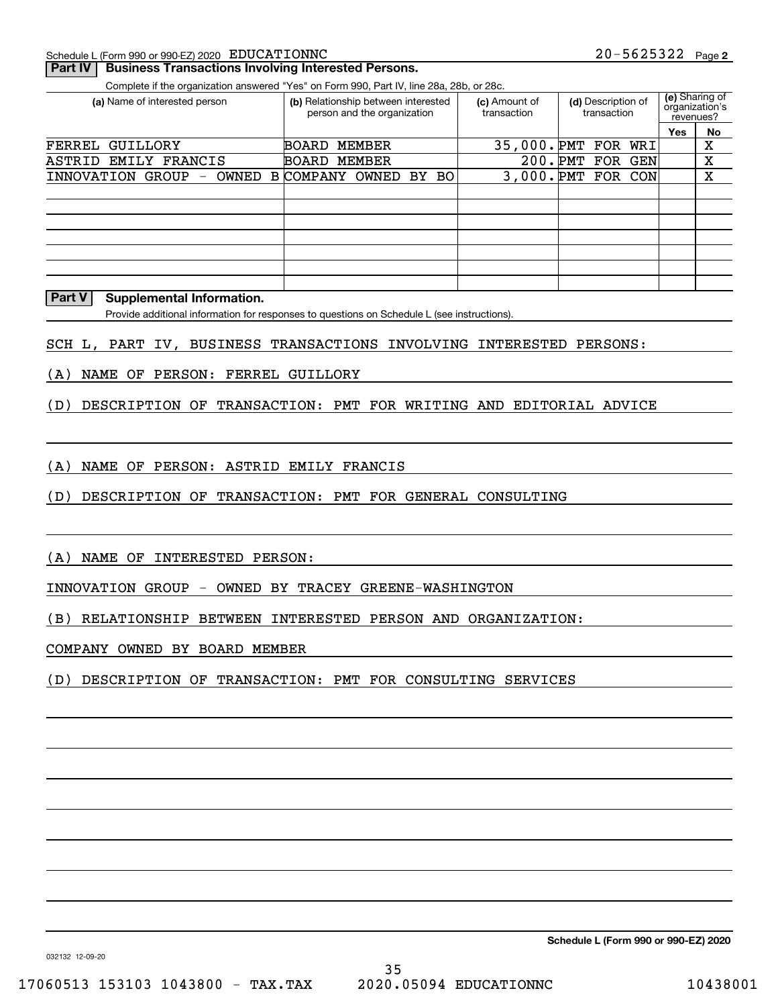Schedule L (Form 990 or 990‐EZ) 2020 Page EDUCATIONNC

## **Part IV | Business Transactions Involving Interested Persons.**

Complete if the organization answered "Yes" on Form 990, Part IV, line 28a, 28b, or 28c.

| (a) Name of interested person                     | (b) Relationship between interested<br>person and the organization | (c) Amount of<br>transaction | (d) Description of<br>transaction             | organization's<br>revenues? | (e) Sharing of |
|---------------------------------------------------|--------------------------------------------------------------------|------------------------------|-----------------------------------------------|-----------------------------|----------------|
|                                                   |                                                                    |                              |                                               | Yes                         | No             |
| <b>GUILLORY</b><br>FERREL                         | MEMBER<br>BOARD                                                    | 35,000.PMT                   | WRI<br>FOR                                    |                             | х              |
| EMILY FRANCIS<br>ASTRID                           | MEMBER<br><b>BOARD</b>                                             | 200.                         | <b>GEN</b><br>$\mathbb{P}\mathrm{MT}$<br>FOR. |                             | X              |
| OWNED<br>INNOVATION<br>GROUP<br>$\qquad \qquad -$ | B COMPANY<br>OWNED<br>BO I<br>BY.                                  | 3,000.PMT                    | FOR CON                                       |                             | Χ              |
|                                                   |                                                                    |                              |                                               |                             |                |
|                                                   |                                                                    |                              |                                               |                             |                |
|                                                   |                                                                    |                              |                                               |                             |                |
|                                                   |                                                                    |                              |                                               |                             |                |
|                                                   |                                                                    |                              |                                               |                             |                |
|                                                   |                                                                    |                              |                                               |                             |                |
|                                                   |                                                                    |                              |                                               |                             |                |

### **Part V Supplemental Information.**

Provide additional information for responses to questions on Schedule L (see instructions).

SCH L, PART IV, BUSINESS TRANSACTIONS INVOLVING INTERESTED PERSONS:

(A) NAME OF PERSON: FERREL GUILLORY

(D) DESCRIPTION OF TRANSACTION: PMT FOR WRITING AND EDITORIAL ADVICE

## (A) NAME OF PERSON: ASTRID EMILY FRANCIS

(D) DESCRIPTION OF TRANSACTION: PMT FOR GENERAL CONSULTING

(A) NAME OF INTERESTED PERSON:

INNOVATION GROUP ‐ OWNED BY TRACEY GREENE‐WASHINGTON

(B) RELATIONSHIP BETWEEN INTERESTED PERSON AND ORGANIZATION:

COMPANY OWNED BY BOARD MEMBER

(D) DESCRIPTION OF TRANSACTION: PMT FOR CONSULTING SERVICES

**Schedule L (Form 990 or 990‐EZ) 2020**

032132 12‐09‐20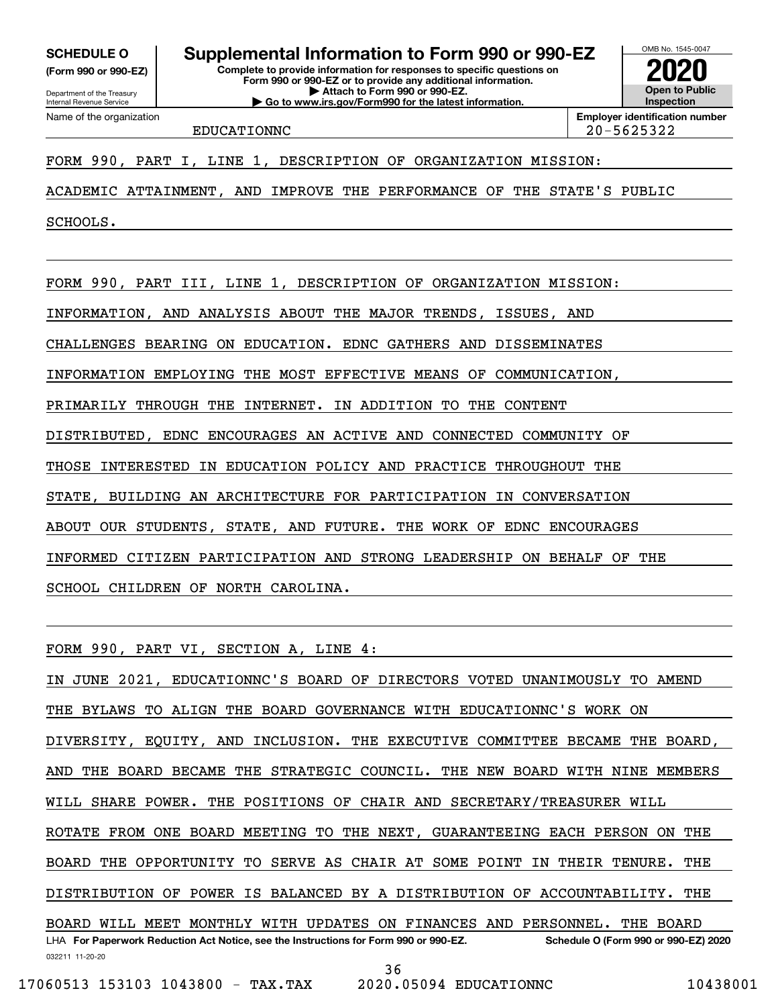**(Form 990 or 990‐EZ)**

Department of the Treasury Internal Revenue Service Name of the organization

# **SCHEDULE O Supplemental Information to Form 990 or 990‐EZ 2020**

**Complete to provide information for responses to specific questions on Form 990 or 990‐EZ or to provide any additional information. | Attach to Form 990 or 990‐EZ. | Go to www.irs.gov/Form990 for the latest information.**



EDUCATIONNC 20‐5625322

## FORM 990, PART I, LINE 1, DESCRIPTION OF ORGANIZATION MISSION:

ACADEMIC ATTAINMENT, AND IMPROVE THE PERFORMANCE OF THE STATE'S PUBLIC

SCHOOLS.

FORM 990, PART III, LINE 1, DESCRIPTION OF ORGANIZATION MISSION:

INFORMATION, AND ANALYSIS ABOUT THE MAJOR TRENDS, ISSUES, AND

CHALLENGES BEARING ON EDUCATION. EDNC GATHERS AND DISSEMINATES

INFORMATION EMPLOYING THE MOST EFFECTIVE MEANS OF COMMUNICATION,

PRIMARILY THROUGH THE INTERNET. IN ADDITION TO THE CONTENT

DISTRIBUTED, EDNC ENCOURAGES AN ACTIVE AND CONNECTED COMMUNITY OF

THOSE INTERESTED IN EDUCATION POLICY AND PRACTICE THROUGHOUT THE

STATE, BUILDING AN ARCHITECTURE FOR PARTICIPATION IN CONVERSATION

ABOUT OUR STUDENTS, STATE, AND FUTURE. THE WORK OF EDNC ENCOURAGES

INFORMED CITIZEN PARTICIPATION AND STRONG LEADERSHIP ON BEHALF OF THE

SCHOOL CHILDREN OF NORTH CAROLINA.

FORM 990, PART VI, SECTION A, LINE 4:

032211 11‐20‐20 **For Paperwork Reduction Act Notice, see the Instructions for Form 990 or 990‐EZ. Schedule O (Form 990 or 990‐EZ) 2020** LHA IN JUNE 2021, EDUCATIONNC'S BOARD OF DIRECTORS VOTED UNANIMOUSLY TO AMEND THE BYLAWS TO ALIGN THE BOARD GOVERNANCE WITH EDUCATIONNC'S WORK ON DIVERSITY, EQUITY, AND INCLUSION. THE EXECUTIVE COMMITTEE BECAME THE BOARD, AND THE BOARD BECAME THE STRATEGIC COUNCIL. THE NEW BOARD WITH NINE MEMBERS WILL SHARE POWER. THE POSITIONS OF CHAIR AND SECRETARY/TREASURER WILL ROTATE FROM ONE BOARD MEETING TO THE NEXT, GUARANTEEING EACH PERSON ON THE BOARD THE OPPORTUNITY TO SERVE AS CHAIR AT SOME POINT IN THEIR TENURE. THE DISTRIBUTION OF POWER IS BALANCED BY A DISTRIBUTION OF ACCOUNTABILITY. THE BOARD WILL MEET MONTHLY WITH UPDATES ON FINANCES AND PERSONNEL. THE BOARD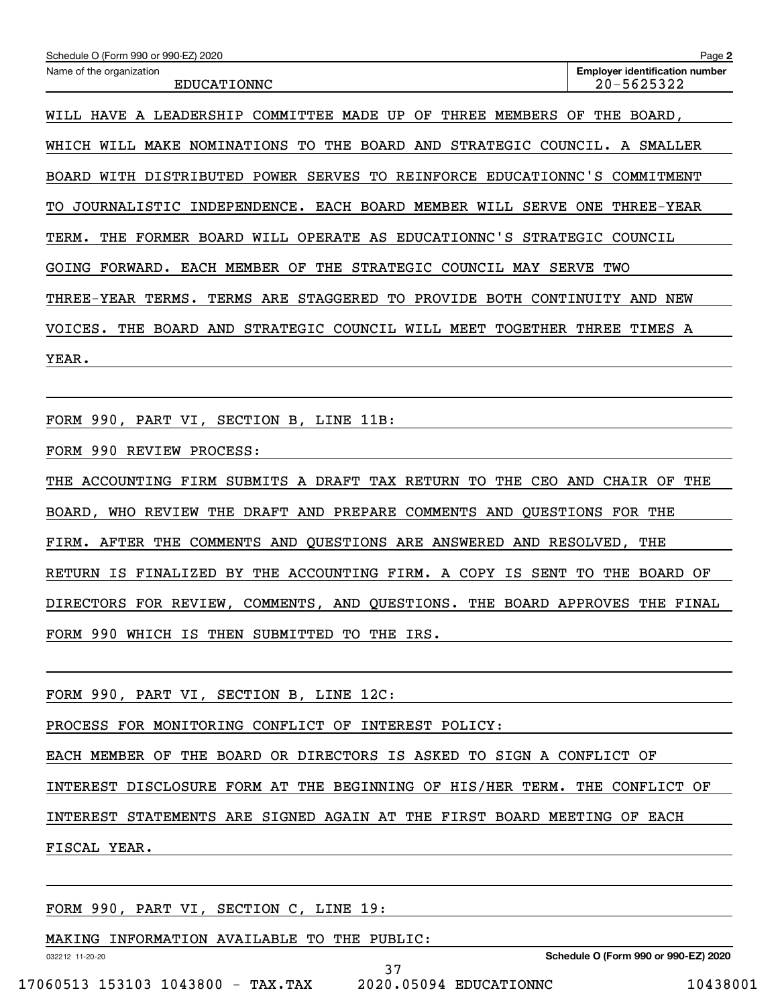| Schedule O (Form 990 or 990-EZ) 2020                                                              | Page 2                                              |
|---------------------------------------------------------------------------------------------------|-----------------------------------------------------|
| Name of the organization<br>EDUCATIONNC                                                           | <b>Employer identification number</b><br>20-5625322 |
| COMMITTEE<br>MADE<br>UP<br>ОF<br>THREE<br>MEMBERS<br>HAVE<br>A LEADERSHIP<br>WILL                 | ΟF<br>THE<br>BOARD,                                 |
| THE<br>BOARD<br><b>MAKE</b><br>NOMINATIONS<br>TO<br>AND<br>STRATEGIC<br>WHICH<br>WILL             | COUNCIL.<br>SMALLER<br>A                            |
| EDUCATIONNC'S<br>DISTRIBUTED<br>POWER<br><b>SERVES</b><br>TO<br><b>REINFORCE</b><br>BOARD<br>WITH | COMMITMENT                                          |
| BOARD<br>JOURNALISTIC<br>INDEPENDENCE.<br>EACH<br>MEMBER<br><b>SERVE</b><br>WILL<br>TО            | <b>ONE</b><br>THREE-YEAR                            |
| EDUCATIONNC'S<br>FORMER<br><b>BOARD</b><br>WILL<br>OPERATE<br>AS<br>STRATEGIC<br>TERM.<br>THE     | COUNCIL                                             |
| THE<br>EACH<br>MEMBER<br>OF<br>STRATEGIC<br>COUNCIL<br>GOING<br>FORWARD.<br>MAY                   | <b>SERVE</b><br>TWO                                 |
| TERMS.<br>TERMS<br>ARE<br><b>STAGGERED</b><br>PROVIDE<br><b>BOTH</b><br>THREE-YEAR<br>TO.         | CONTINUITY<br>AND<br>NEW                            |
| VOICES.<br>THE<br><b>BOARD</b><br>AND<br><b>STRATEGIC</b><br>COUNCIL<br>MEET<br>WILL<br>TOGETHER  | THREE<br>TIMES<br>A                                 |
| YEAR.                                                                                             |                                                     |

FORM 990, PART VI, SECTION B, LINE 11B:

FORM 990 REVIEW PROCESS:

THE ACCOUNTING FIRM SUBMITS A DRAFT TAX RETURN TO THE CEO AND CHAIR OF THE BOARD, WHO REVIEW THE DRAFT AND PREPARE COMMENTS AND QUESTIONS FOR THE FIRM. AFTER THE COMMENTS AND QUESTIONS ARE ANSWERED AND RESOLVED, THE RETURN IS FINALIZED BY THE ACCOUNTING FIRM. A COPY IS SENT TO THE BOARD OF DIRECTORS FOR REVIEW, COMMENTS, AND QUESTIONS. THE BOARD APPROVES THE FINAL FORM 990 WHICH IS THEN SUBMITTED TO THE IRS.

FORM 990, PART VI, SECTION B, LINE 12C:

PROCESS FOR MONITORING CONFLICT OF INTEREST POLICY:

EACH MEMBER OF THE BOARD OR DIRECTORS IS ASKED TO SIGN A CONFLICT OF

INTEREST DISCLOSURE FORM AT THE BEGINNING OF HIS/HER TERM. THE CONFLICT OF

INTEREST STATEMENTS ARE SIGNED AGAIN AT THE FIRST BOARD MEETING OF EACH

FISCAL YEAR.

FORM 990, PART VI, SECTION C, LINE 19:

MAKING INFORMATION AVAILABLE TO THE PUBLIC:

032212 11‐20‐20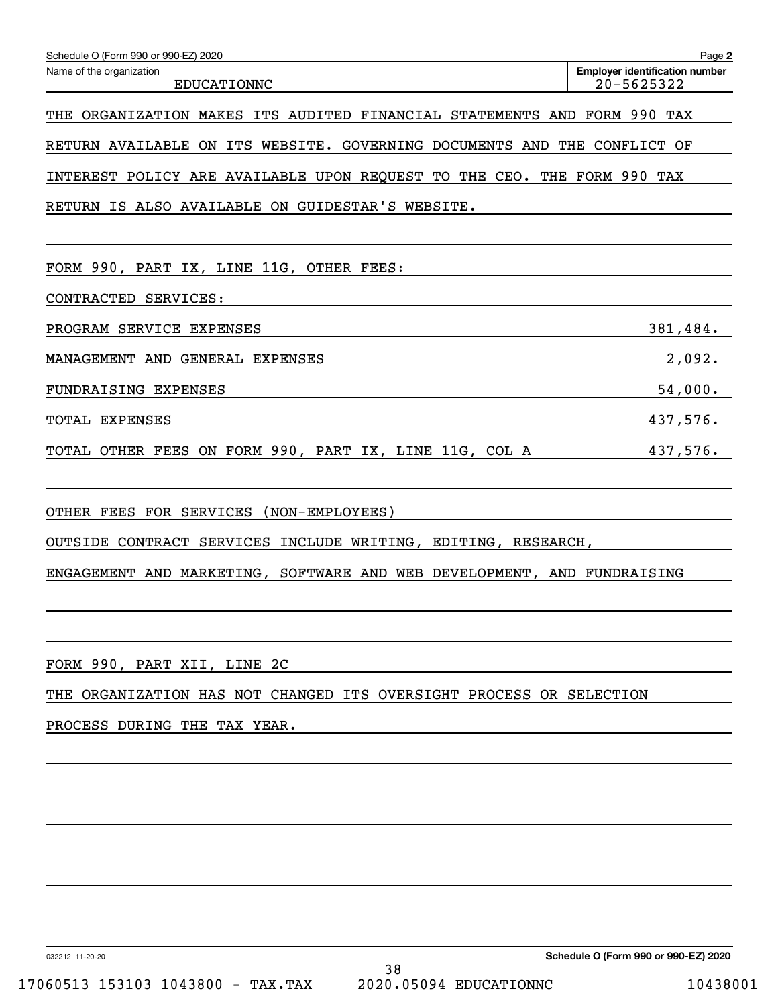| Schedule O (Form 990 or 990-EZ) 2020                                     | Page 2                                              |
|--------------------------------------------------------------------------|-----------------------------------------------------|
| Name of the organization<br>EDUCATIONNC                                  | <b>Employer identification number</b><br>20-5625322 |
| THE ORGANIZATION MAKES ITS AUDITED FINANCIAL STATEMENTS AND FORM 990 TAX |                                                     |
|                                                                          |                                                     |
| RETURN AVAILABLE ON ITS WEBSITE. GOVERNING DOCUMENTS AND THE CONFLICT OF |                                                     |
| INTEREST POLICY ARE AVAILABLE UPON REQUEST TO THE CEO. THE FORM 990 TAX  |                                                     |
| RETURN IS ALSO AVAILABLE ON GUIDESTAR'S WEBSITE.                         |                                                     |
|                                                                          |                                                     |
| FORM 990, PART IX, LINE 11G, OTHER FEES:                                 |                                                     |
| CONTRACTED SERVICES:                                                     |                                                     |
| PROGRAM SERVICE EXPENSES                                                 | 381,484.                                            |
| MANAGEMENT AND GENERAL EXPENSES                                          | 2,092.                                              |
| FUNDRAISING EXPENSES                                                     | 54,000.                                             |
| TOTAL EXPENSES                                                           | 437,576.                                            |
| TOTAL OTHER FEES ON FORM 990, PART IX, LINE 11G, COL A                   | 437,576.                                            |
|                                                                          |                                                     |
| OTHER FEES FOR SERVICES (NON-EMPLOYEES)                                  |                                                     |
| OUTSIDE CONTRACT SERVICES INCLUDE WRITING, EDITING, RESEARCH,            |                                                     |
| ENGAGEMENT AND MARKETING, SOFTWARE AND WEB DEVELOPMENT, AND FUNDRAISING  |                                                     |
|                                                                          |                                                     |
|                                                                          |                                                     |
|                                                                          |                                                     |
| FORM 990, PART XII, LINE 2C                                              |                                                     |
| THE ORGANIZATION HAS NOT CHANGED ITS OVERSIGHT PROCESS OR SELECTION      |                                                     |
| PROCESS DURING THE TAX YEAR.                                             |                                                     |
|                                                                          |                                                     |
|                                                                          |                                                     |
|                                                                          |                                                     |
|                                                                          |                                                     |
|                                                                          |                                                     |

032212 11‐20‐20

**Schedule O (Form 990 or 990‐EZ) 2020**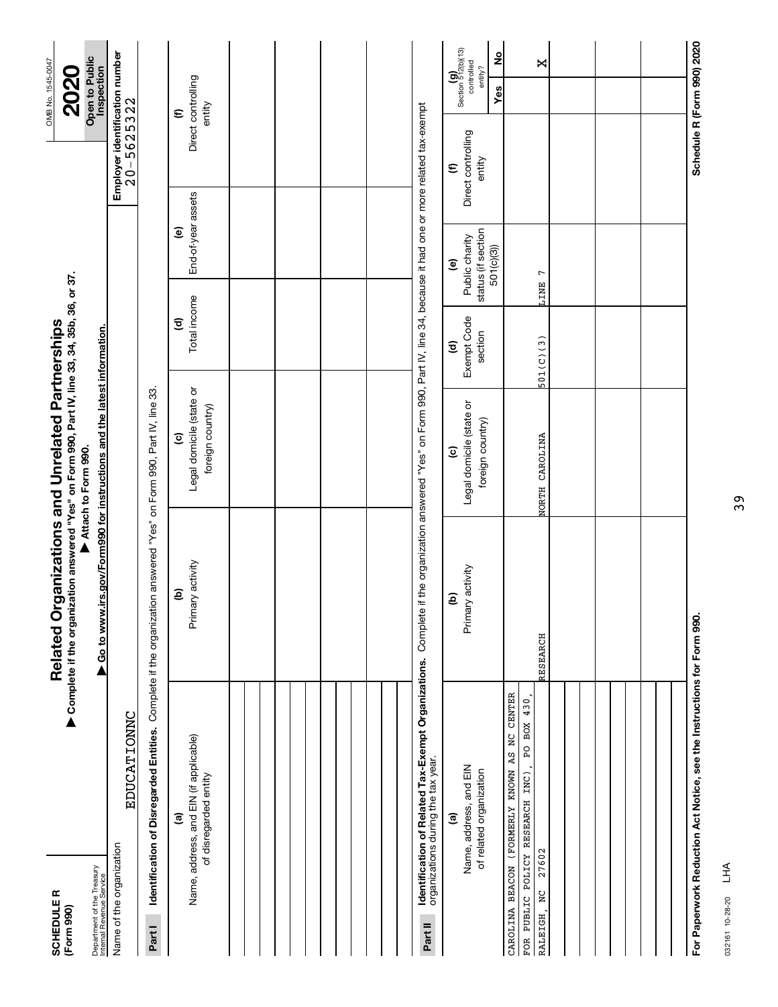| <b>SCHEDULER</b><br>(Form 990)                                                                                                                   | Complete if the organization answered "Yes" on Form 990, Part IV, line 33, 34, 35b, 36, or 37.<br>Related Organizations and Unrelated Partnerships |                                                                        |                                                  |                                                                              |                                                         | OMB No. 1545-0047<br>2020                                        |
|--------------------------------------------------------------------------------------------------------------------------------------------------|----------------------------------------------------------------------------------------------------------------------------------------------------|------------------------------------------------------------------------|--------------------------------------------------|------------------------------------------------------------------------------|---------------------------------------------------------|------------------------------------------------------------------|
| Department of the Treasury<br>Internal Revenue Service                                                                                           | ▶ Go to www.irs.gov/Form990 for instructions and the latest information.                                                                           | Attach to Form 990.                                                    |                                                  |                                                                              |                                                         | Open to Public<br>Inspection                                     |
| EDUCATIONNC<br>Name of the organization                                                                                                          |                                                                                                                                                    |                                                                        |                                                  |                                                                              | Employer identification number<br>20-5625322            |                                                                  |
| Identification of Disregarded Entities. Complete if the organization answered "Yes" on Form 990, Part IV, line 33.<br>Part I                     |                                                                                                                                                    |                                                                        |                                                  |                                                                              |                                                         |                                                                  |
| Name, address, and EIN (if applicable)<br>of disregarded entity<br>$\widehat{\mathbf{e}}$                                                        | Primary activity<br>€                                                                                                                              | Legal domicile (state or<br>foreign country)<br>$\widehat{\mathbf{c}}$ | Total income<br>$\widehat{\mathbf{c}}$           | End-of-year assets<br>©                                                      |                                                         | Direct controlling<br>entity<br>$\epsilon$                       |
|                                                                                                                                                  |                                                                                                                                                    |                                                                        |                                                  |                                                                              |                                                         |                                                                  |
|                                                                                                                                                  |                                                                                                                                                    |                                                                        |                                                  |                                                                              |                                                         |                                                                  |
|                                                                                                                                                  |                                                                                                                                                    |                                                                        |                                                  |                                                                              |                                                         |                                                                  |
|                                                                                                                                                  |                                                                                                                                                    |                                                                        |                                                  |                                                                              |                                                         |                                                                  |
| Identification of Related Tax-Exempt Organizations.<br>organizations during the tax year.<br>Part II                                             | Complete if the organization answered "Yes" on Form 990, Part IV, line 34, because it had one or more related tax-exempt                           |                                                                        |                                                  |                                                                              |                                                         |                                                                  |
| Name, address, and EIN<br>of related organization<br>ම                                                                                           | Primary activity<br>ê                                                                                                                              | Legal domicile (state or<br>foreign country)<br>$\widehat{\mathbf{c}}$ | Exempt Code<br>section<br>$\widehat{\mathbf{c}}$ | status (if section<br>Public charity<br>501(c)(3))<br>$\widehat{\mathbf{e}}$ | Direct controlling<br>entity<br>$\boldsymbol{\epsilon}$ | $(g)$<br>Section 512(b)(13)<br>controlled<br>ž<br>entity?<br>Yes |
| AS NC CENTER<br>430<br>PO BOX<br>(FORMERLY KNOWN<br>FOR PUBLIC POLICY RESEARCH INC)<br>27602<br><b>BEACON</b><br>E<br>CAROLINA<br><b>RALEIGH</b> | RESEARCH                                                                                                                                           | NORTH CAROLINA                                                         | 501(C)(3)                                        | $\overline{r}$<br><b>ENTINE</b>                                              |                                                         | X                                                                |
|                                                                                                                                                  |                                                                                                                                                    |                                                                        |                                                  |                                                                              |                                                         |                                                                  |
|                                                                                                                                                  |                                                                                                                                                    |                                                                        |                                                  |                                                                              |                                                         |                                                                  |
|                                                                                                                                                  |                                                                                                                                                    |                                                                        |                                                  |                                                                              |                                                         |                                                                  |
| For Paperwork Reduction Act Notice, see the Instructions for Form 990.                                                                           |                                                                                                                                                    |                                                                        |                                                  |                                                                              |                                                         | Schedule R (Form 990) 2020                                       |

032161 10‐28‐20 032161 10-28-20 LHA

39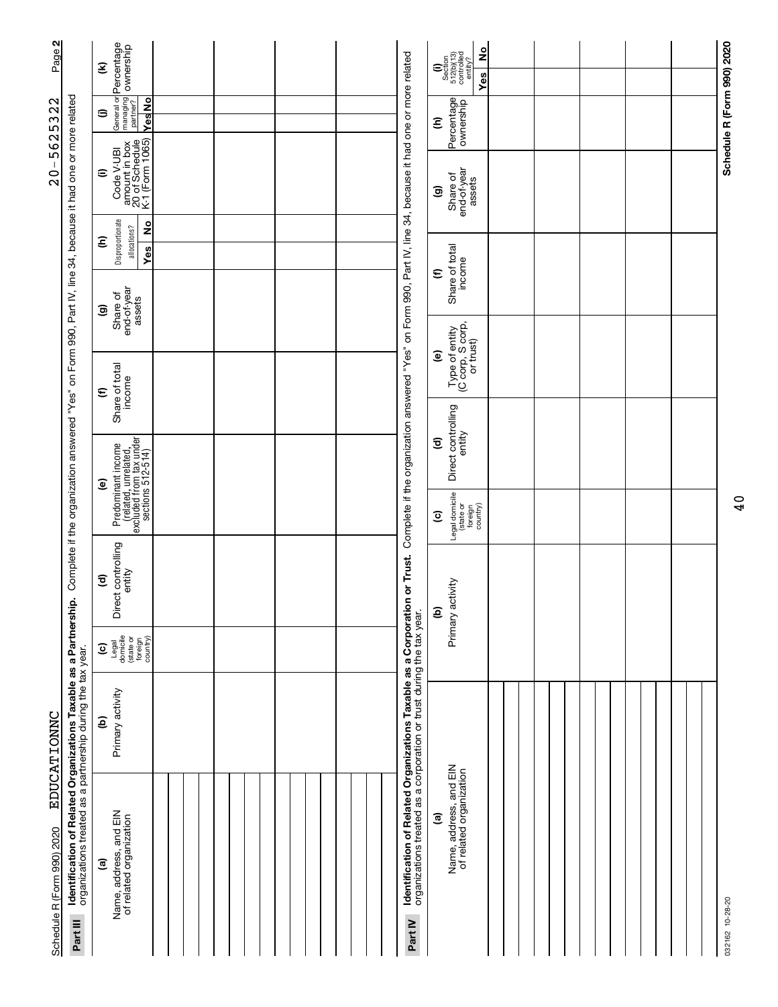| Identification of Related Organizations Taxable as a Partnershi<br>Schedule R (Form 990) 2020                                                                 | EDUCATIONNC                                |                                                                                 | غ                                                         |                                                                                                                      |                        |                                                     |                              |                                       | Complete if the organization answered "Yes" on Form 990, Part IV, line 34, because it had one or more related | $20 - 5625322$ | Page 2                                                                                                                |
|---------------------------------------------------------------------------------------------------------------------------------------------------------------|--------------------------------------------|---------------------------------------------------------------------------------|-----------------------------------------------------------|----------------------------------------------------------------------------------------------------------------------|------------------------|-----------------------------------------------------|------------------------------|---------------------------------------|---------------------------------------------------------------------------------------------------------------|----------------|-----------------------------------------------------------------------------------------------------------------------|
| organizations treated as a partnership during the tax year.<br>Part III                                                                                       |                                            |                                                                                 |                                                           |                                                                                                                      |                        |                                                     |                              |                                       |                                                                                                               |                |                                                                                                                       |
| Name, address, and EIN<br>of related organization<br>ම                                                                                                        | Primary activity<br>$\widehat{\mathbf{e}}$ | Legal<br>domicile<br>(state or<br>foreign<br>country)<br>$\widehat{\mathbf{c}}$ | ect controlling<br>entity<br>$\overline{\mathbf{c}}$<br>ă | Predominant income<br>(related, unrelated,<br>excluded from tax under<br>sections 512-514)<br>$\widehat{\mathbf{e}}$ |                        | Share of total<br>income<br>$\boldsymbol{\epsilon}$ | end-of-year<br>Share of<br>ම | Disproportionate<br>allocations?<br>ε | Code V-UBI<br>Ξ                                                                                               | $\oplus$       | General or <b>Percentage</b><br>managing <b>ownership</b><br>partner?<br>€                                            |
|                                                                                                                                                               |                                            |                                                                                 |                                                           |                                                                                                                      |                        |                                                     | assets                       | 2<br>Yes                              | amount in box<br>20 of Schedule<br>K-1 (Form 1065)                                                            | <u>Nesko</u>   |                                                                                                                       |
|                                                                                                                                                               |                                            |                                                                                 |                                                           |                                                                                                                      |                        |                                                     |                              |                                       |                                                                                                               |                |                                                                                                                       |
|                                                                                                                                                               |                                            |                                                                                 |                                                           |                                                                                                                      |                        |                                                     |                              |                                       |                                                                                                               |                |                                                                                                                       |
|                                                                                                                                                               |                                            |                                                                                 |                                                           |                                                                                                                      |                        |                                                     |                              |                                       |                                                                                                               |                |                                                                                                                       |
|                                                                                                                                                               |                                            |                                                                                 |                                                           |                                                                                                                      |                        |                                                     |                              |                                       |                                                                                                               |                |                                                                                                                       |
|                                                                                                                                                               |                                            |                                                                                 |                                                           |                                                                                                                      |                        |                                                     |                              |                                       |                                                                                                               |                |                                                                                                                       |
|                                                                                                                                                               |                                            |                                                                                 |                                                           |                                                                                                                      |                        |                                                     |                              |                                       |                                                                                                               |                |                                                                                                                       |
|                                                                                                                                                               |                                            |                                                                                 |                                                           |                                                                                                                      |                        |                                                     |                              |                                       |                                                                                                               |                |                                                                                                                       |
|                                                                                                                                                               |                                            |                                                                                 |                                                           |                                                                                                                      |                        |                                                     |                              |                                       |                                                                                                               |                |                                                                                                                       |
|                                                                                                                                                               |                                            |                                                                                 |                                                           |                                                                                                                      |                        |                                                     |                              |                                       |                                                                                                               |                |                                                                                                                       |
|                                                                                                                                                               |                                            |                                                                                 |                                                           |                                                                                                                      |                        |                                                     |                              |                                       |                                                                                                               |                |                                                                                                                       |
| Identification of Related Organizations Taxable as a Corporation or Trust.<br>organizations treated as a corporation or trust during the tax year.<br>Part IV |                                            |                                                                                 |                                                           |                                                                                                                      |                        |                                                     |                              |                                       | Complete if the organization answered "Yes" on Form 990, Part IV, line 34, because it had one or more related |                |                                                                                                                       |
| ම                                                                                                                                                             |                                            |                                                                                 | ව                                                         | $\widehat{\mathbf{c}}$                                                                                               | $\widehat{\mathbf{c}}$ | $\widehat{\mathbf{e}}$                              |                              | $\bm{\epsilon}$                       | ම                                                                                                             | ε              |                                                                                                                       |
| Name, address, and EIN<br>of related organization                                                                                                             |                                            |                                                                                 | Primary activity                                          | Legal domicile<br>foreign<br>country)                                                                                | Direct controlling     | Type of entity<br>(C corp, S corp,<br>or trust)     |                              | Share of total<br>income              | end-of-year<br>Share of<br>assets                                                                             | Percentage     | $\begin{array}{c} \textbf{(i)}\\ \text{Section}\\ 512\text{(b)(13)}\\ \text{controlved}\\ \text{entity?} \end{array}$ |
|                                                                                                                                                               |                                            |                                                                                 |                                                           |                                                                                                                      |                        |                                                     |                              |                                       |                                                                                                               |                | ş<br>Yes                                                                                                              |
|                                                                                                                                                               |                                            |                                                                                 |                                                           |                                                                                                                      |                        |                                                     |                              |                                       |                                                                                                               |                |                                                                                                                       |
|                                                                                                                                                               |                                            |                                                                                 |                                                           |                                                                                                                      |                        |                                                     |                              |                                       |                                                                                                               |                |                                                                                                                       |
|                                                                                                                                                               |                                            |                                                                                 |                                                           |                                                                                                                      |                        |                                                     |                              |                                       |                                                                                                               |                |                                                                                                                       |
|                                                                                                                                                               |                                            |                                                                                 |                                                           |                                                                                                                      |                        |                                                     |                              |                                       |                                                                                                               |                |                                                                                                                       |
|                                                                                                                                                               |                                            |                                                                                 |                                                           |                                                                                                                      |                        |                                                     |                              |                                       |                                                                                                               |                |                                                                                                                       |
|                                                                                                                                                               |                                            |                                                                                 |                                                           |                                                                                                                      |                        |                                                     |                              |                                       |                                                                                                               |                |                                                                                                                       |
|                                                                                                                                                               |                                            |                                                                                 |                                                           |                                                                                                                      |                        |                                                     |                              |                                       |                                                                                                               |                |                                                                                                                       |
|                                                                                                                                                               |                                            |                                                                                 |                                                           |                                                                                                                      |                        |                                                     |                              |                                       |                                                                                                               |                |                                                                                                                       |
|                                                                                                                                                               |                                            |                                                                                 |                                                           |                                                                                                                      |                        |                                                     |                              |                                       |                                                                                                               |                |                                                                                                                       |
|                                                                                                                                                               |                                            |                                                                                 |                                                           |                                                                                                                      |                        |                                                     |                              |                                       |                                                                                                               |                |                                                                                                                       |
|                                                                                                                                                               |                                            |                                                                                 |                                                           |                                                                                                                      |                        |                                                     |                              |                                       |                                                                                                               |                |                                                                                                                       |
|                                                                                                                                                               |                                            |                                                                                 |                                                           |                                                                                                                      |                        |                                                     |                              |                                       |                                                                                                               |                |                                                                                                                       |
|                                                                                                                                                               |                                            |                                                                                 |                                                           |                                                                                                                      |                        |                                                     |                              |                                       |                                                                                                               |                |                                                                                                                       |
| 032162 10-28-20                                                                                                                                               |                                            |                                                                                 |                                                           |                                                                                                                      |                        |                                                     |                              |                                       |                                                                                                               |                | Schedule R (Form 990) 2020                                                                                            |
|                                                                                                                                                               |                                            |                                                                                 |                                                           |                                                                                                                      |                        |                                                     |                              |                                       |                                                                                                               |                |                                                                                                                       |

40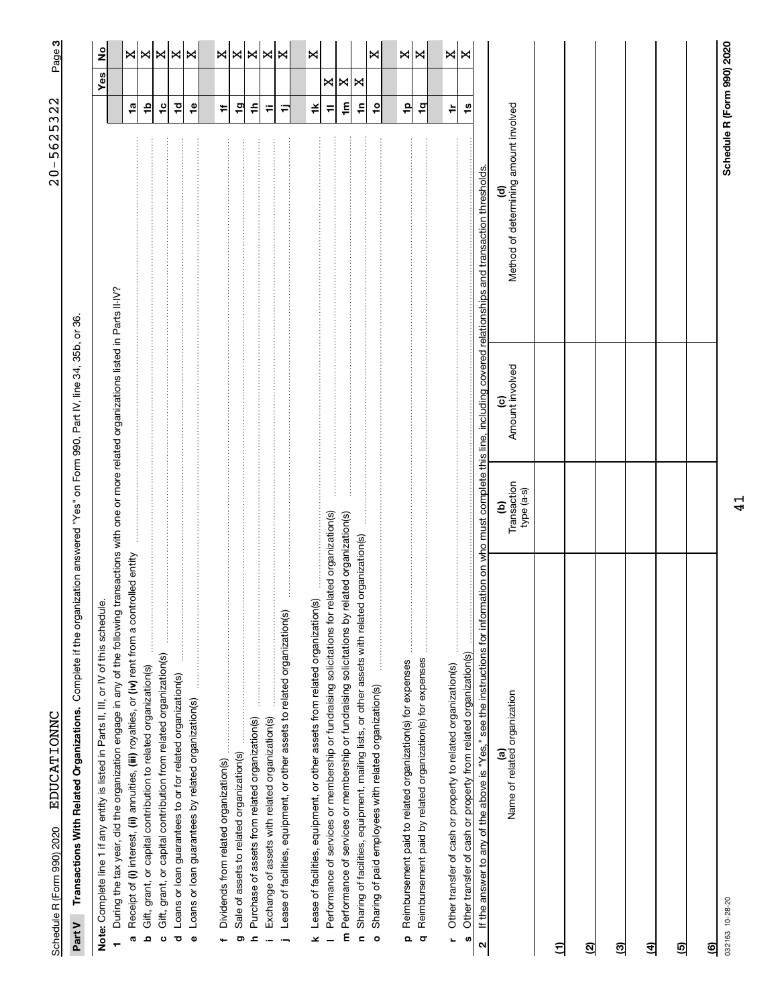Schedule R (Form 990) 2020 Page Schedule R (Form 990) 2020 EDUCATIONNC EDUCATIONNC

Page 3  $20 - 5625322$ 20‐5625322

> Part V Transactions With Related Organizations. Complete if the organization answered "Yes" on Form 990, Part IV, line 34, 35b, or 36. Complete if the organization answered "Yes" on Form 990, Part IV, line 34, 35b, or 36. **Part V Transactions With Related Organizations.**

| Note: Complete line 1 if any entity is listed in Parts II, III, or IV of this schedule.                                                                                                |                                  |                        |                                              |                                 | å<br>Yes |
|----------------------------------------------------------------------------------------------------------------------------------------------------------------------------------------|----------------------------------|------------------------|----------------------------------------------|---------------------------------|----------|
| During the tax year, did the organization engage in any of the following transactions with one or more related organizations listed in Parts II-IV?                                    |                                  |                        |                                              |                                 |          |
| Receipt of (i) interest, (ii) annuities, (iii) royalties, or (iv) rent from a controlled entity<br>Ø                                                                                   |                                  |                        |                                              | $\frac{1}{2}$                   |          |
| Gift, grant, or capital contribution to related organization(s)<br>Ω                                                                                                                   |                                  |                        |                                              | م<br>م                          | ×∣×      |
|                                                                                                                                                                                        |                                  |                        |                                              |                                 |          |
| Gift, grant, or capital contribution from related organization(s)<br>ပ                                                                                                                 |                                  |                        |                                              | $\frac{1}{2}$                   |          |
| Loans or loan guarantees to or for related organization(s)<br>ত                                                                                                                        |                                  |                        |                                              | <u>p</u>                        | x x      |
| $\pmb{\Phi}$                                                                                                                                                                           |                                  |                        |                                              | $\ddot{\bullet}$                |          |
|                                                                                                                                                                                        |                                  |                        |                                              |                                 |          |
| Dividends from related organization(s)                                                                                                                                                 |                                  |                        |                                              | ÷                               |          |
|                                                                                                                                                                                        |                                  |                        |                                              |                                 | x x x    |
| Sale of assets to related organization(s)<br>ග                                                                                                                                         |                                  |                        |                                              | $\overline{1}$                  |          |
| Purchase of assets from related organization(s)<br>ᅀ                                                                                                                                   |                                  |                        |                                              | $\hat{=}$                       |          |
| Exchange of assets with related organization(s)                                                                                                                                        |                                  |                        |                                              | Ŧ                               | l×       |
| Lease of facilities, equipment, or other assets to related organization(s)                                                                                                             |                                  |                        |                                              | Ξ                               | I×       |
|                                                                                                                                                                                        |                                  |                        |                                              |                                 |          |
| Lease of facilities, equipment, or other assets from related organization(s)<br>×                                                                                                      |                                  |                        |                                              | ¥                               | X        |
| Performance of services or membership or fundraising solicitations for related organization(s)                                                                                         |                                  |                        |                                              | 且                               |          |
| m Performance of services or membership or fundraising solicitations by related organization(s)                                                                                        |                                  |                        |                                              | ¤∣¤∣¤<br>$\mathbf{r}$           |          |
| Sharing of facilities, equipment, mailing lists, or other assets with related organization(s)<br>$\mathbf{c}$                                                                          |                                  |                        |                                              | $\frac{1}{2}$                   |          |
| Sharing of paid employees with related organization(s)<br>$\circ$                                                                                                                      |                                  |                        |                                              | °,                              | X        |
|                                                                                                                                                                                        |                                  |                        |                                              |                                 |          |
|                                                                                                                                                                                        |                                  |                        |                                              |                                 |          |
| Reimbursement paid to related organization(s) for expenses<br>a σ                                                                                                                      |                                  |                        |                                              | $\frac{\mathsf{p}}{\mathsf{p}}$ | ×∣×      |
| Reimbursement paid by related organization(s) for expenses                                                                                                                             |                                  |                        |                                              | $\overline{\mathbf{a}}$         |          |
|                                                                                                                                                                                        |                                  |                        |                                              |                                 |          |
| Other transfer of cash or property to related organization(s)<br>$\overline{\phantom{0}}$                                                                                              |                                  |                        |                                              | $\doteq$                        | X        |
| Other transfer of cash or property from related organization(s)<br><sub>თ</sub>                                                                                                        |                                  |                        |                                              | ە+                              | ×        |
| If the answer to any of the above is "Yes," see the instructions for information on who must complete this line, including covered relationships and transaction thresholds.<br>$\sim$ |                                  |                        |                                              |                                 |          |
| (a)<br>Name of related organization                                                                                                                                                    | (b)<br>Transaction<br>type (a-s) | (c)<br>Amount involved | (d)<br>Method of determining amount involved |                                 |          |
|                                                                                                                                                                                        |                                  |                        |                                              |                                 |          |
| Ξ                                                                                                                                                                                      |                                  |                        |                                              |                                 |          |
|                                                                                                                                                                                        |                                  |                        |                                              |                                 |          |
| ଷ୍ର                                                                                                                                                                                    |                                  |                        |                                              |                                 |          |
| <u>ଗ୍ର</u>                                                                                                                                                                             |                                  |                        |                                              |                                 |          |
| द्य                                                                                                                                                                                    |                                  |                        |                                              |                                 |          |
|                                                                                                                                                                                        |                                  |                        |                                              |                                 |          |
| ම                                                                                                                                                                                      |                                  |                        |                                              |                                 |          |
| 0                                                                                                                                                                                      |                                  |                        |                                              |                                 |          |
| 032163 10-28-20                                                                                                                                                                        |                                  |                        |                                              | Schedule R (Form 990) 2020      |          |

41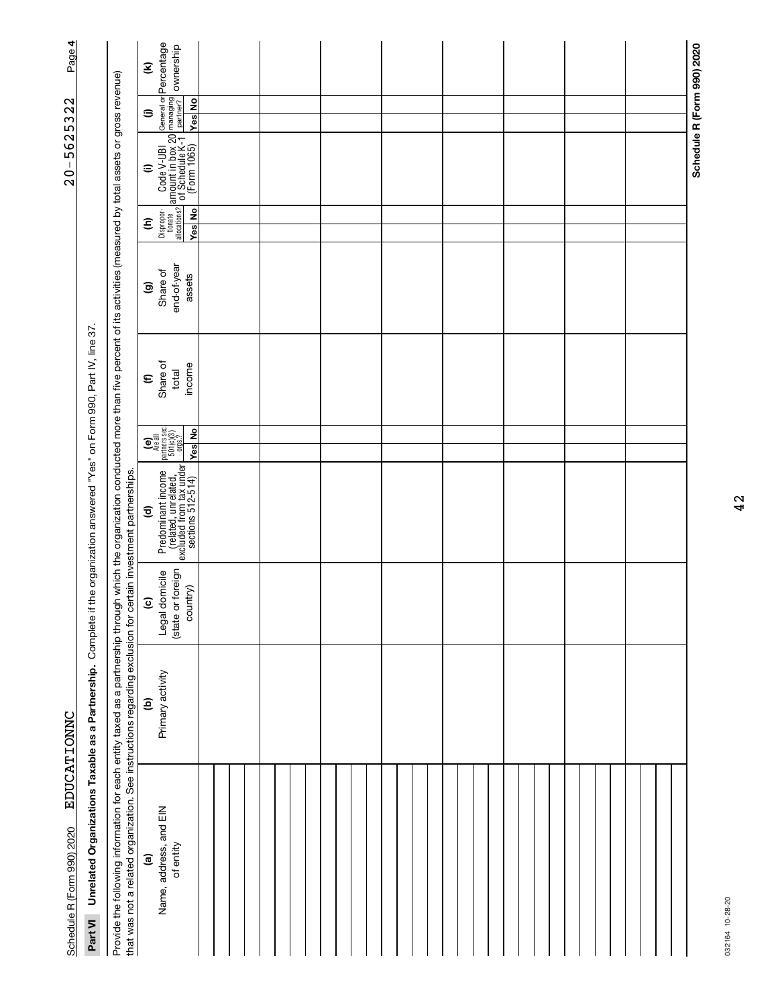| Schedule R (Form 990) 2020                                                                                                                                                                                                                                                                                               | EDUCATIONNC            |                                                 |                                                                                            |                                                                                                                                                                                                                                                                                                                                                                                                                                                                                 |                             |                                   |                                                        | $20 - 5625322$                                                                                                                                                       |               | Page 4                          |
|--------------------------------------------------------------------------------------------------------------------------------------------------------------------------------------------------------------------------------------------------------------------------------------------------------------------------|------------------------|-------------------------------------------------|--------------------------------------------------------------------------------------------|---------------------------------------------------------------------------------------------------------------------------------------------------------------------------------------------------------------------------------------------------------------------------------------------------------------------------------------------------------------------------------------------------------------------------------------------------------------------------------|-----------------------------|-----------------------------------|--------------------------------------------------------|----------------------------------------------------------------------------------------------------------------------------------------------------------------------|---------------|---------------------------------|
| Unrelated Organizations Taxable as a Partnership. Complete if<br>Part VI                                                                                                                                                                                                                                                 |                        |                                                 | the organization answered "Yes" on Form 990, Part IV, line 37                              |                                                                                                                                                                                                                                                                                                                                                                                                                                                                                 |                             |                                   |                                                        |                                                                                                                                                                      |               |                                 |
| Provide the following information for each entity taxed as a partnership through which the organization conducted more than five percent of its activities (measured by total assets or gross revenue)<br>that was not a related organization. See instructions regarding exclusion for certain investment partnerships. |                        |                                                 |                                                                                            |                                                                                                                                                                                                                                                                                                                                                                                                                                                                                 |                             |                                   |                                                        |                                                                                                                                                                      |               |                                 |
| $\widehat{\mathbf{e}}$                                                                                                                                                                                                                                                                                                   | $\widehat{\mathbf{e}}$ | $\overline{c}$                                  | $\widehat{\mathbf{c}}$                                                                     |                                                                                                                                                                                                                                                                                                                                                                                                                                                                                 | $\boldsymbol{\epsilon}$     | ම                                 | Ξ                                                      | $\widehat{=}$                                                                                                                                                        | Э             | $\mathbf{\widehat{\mathbf{z}}}$ |
| Name, address, and EIN<br>of entity                                                                                                                                                                                                                                                                                      | Primary activity       | (state or foreign<br>Legal domicile<br>country) | Predominant income<br>(related, unrelated,<br>excluded from tax under<br>sections 512-514) | $\begin{bmatrix} \mathbf{e} \\ \mathbf{e} \\ \mathbf{e} \\ \mathbf{e} \\ \mathbf{e} \\ \mathbf{e} \\ \mathbf{e} \\ \mathbf{e} \\ \mathbf{e} \\ \mathbf{e} \\ \mathbf{e} \\ \mathbf{e} \\ \mathbf{e} \\ \mathbf{e} \\ \mathbf{e} \\ \mathbf{e} \\ \mathbf{e} \\ \mathbf{e} \\ \mathbf{e} \\ \mathbf{e} \\ \mathbf{e} \\ \mathbf{e} \\ \mathbf{e} \\ \mathbf{e} \\ \mathbf{e} \\ \mathbf{e} \\ \mathbf{e} \\ \mathbf{e} \\ \mathbf{e} \\ \mathbf{e} \\ \mathbf{$<br><b>Yes</b> No | Share of<br>income<br>total | end-of-year<br>Share of<br>assets | tionate<br>allocations?<br>Dispropor-<br><b>Yes</b> No | Code V-UBI   General or Percentage<br>  amount in box 20 managing   ownership<br>  of Schedule K-1   <u>pertner?</u>   ownership<br>  (Form 1065)   <b>Ives   No</b> | <b>Yes</b> No |                                 |
|                                                                                                                                                                                                                                                                                                                          |                        |                                                 |                                                                                            |                                                                                                                                                                                                                                                                                                                                                                                                                                                                                 |                             |                                   |                                                        |                                                                                                                                                                      |               |                                 |
|                                                                                                                                                                                                                                                                                                                          |                        |                                                 |                                                                                            |                                                                                                                                                                                                                                                                                                                                                                                                                                                                                 |                             |                                   |                                                        |                                                                                                                                                                      |               |                                 |
|                                                                                                                                                                                                                                                                                                                          |                        |                                                 |                                                                                            |                                                                                                                                                                                                                                                                                                                                                                                                                                                                                 |                             |                                   |                                                        |                                                                                                                                                                      |               |                                 |
|                                                                                                                                                                                                                                                                                                                          |                        |                                                 |                                                                                            |                                                                                                                                                                                                                                                                                                                                                                                                                                                                                 |                             |                                   |                                                        |                                                                                                                                                                      |               |                                 |
|                                                                                                                                                                                                                                                                                                                          |                        |                                                 |                                                                                            |                                                                                                                                                                                                                                                                                                                                                                                                                                                                                 |                             |                                   |                                                        |                                                                                                                                                                      |               |                                 |
|                                                                                                                                                                                                                                                                                                                          |                        |                                                 |                                                                                            |                                                                                                                                                                                                                                                                                                                                                                                                                                                                                 |                             |                                   |                                                        |                                                                                                                                                                      |               |                                 |
|                                                                                                                                                                                                                                                                                                                          |                        |                                                 |                                                                                            |                                                                                                                                                                                                                                                                                                                                                                                                                                                                                 |                             |                                   |                                                        |                                                                                                                                                                      |               |                                 |
|                                                                                                                                                                                                                                                                                                                          |                        |                                                 |                                                                                            |                                                                                                                                                                                                                                                                                                                                                                                                                                                                                 |                             |                                   |                                                        |                                                                                                                                                                      |               |                                 |
|                                                                                                                                                                                                                                                                                                                          |                        |                                                 |                                                                                            |                                                                                                                                                                                                                                                                                                                                                                                                                                                                                 |                             |                                   |                                                        |                                                                                                                                                                      |               |                                 |
|                                                                                                                                                                                                                                                                                                                          |                        |                                                 |                                                                                            |                                                                                                                                                                                                                                                                                                                                                                                                                                                                                 |                             |                                   |                                                        |                                                                                                                                                                      |               |                                 |
|                                                                                                                                                                                                                                                                                                                          |                        |                                                 |                                                                                            |                                                                                                                                                                                                                                                                                                                                                                                                                                                                                 |                             |                                   |                                                        |                                                                                                                                                                      |               |                                 |
|                                                                                                                                                                                                                                                                                                                          |                        |                                                 |                                                                                            |                                                                                                                                                                                                                                                                                                                                                                                                                                                                                 |                             |                                   |                                                        |                                                                                                                                                                      |               |                                 |
|                                                                                                                                                                                                                                                                                                                          |                        |                                                 |                                                                                            |                                                                                                                                                                                                                                                                                                                                                                                                                                                                                 |                             |                                   |                                                        |                                                                                                                                                                      |               |                                 |
|                                                                                                                                                                                                                                                                                                                          |                        |                                                 |                                                                                            |                                                                                                                                                                                                                                                                                                                                                                                                                                                                                 |                             |                                   |                                                        |                                                                                                                                                                      |               |                                 |
|                                                                                                                                                                                                                                                                                                                          |                        |                                                 |                                                                                            |                                                                                                                                                                                                                                                                                                                                                                                                                                                                                 |                             |                                   |                                                        |                                                                                                                                                                      |               |                                 |
|                                                                                                                                                                                                                                                                                                                          |                        |                                                 |                                                                                            |                                                                                                                                                                                                                                                                                                                                                                                                                                                                                 |                             |                                   |                                                        |                                                                                                                                                                      |               |                                 |
|                                                                                                                                                                                                                                                                                                                          |                        |                                                 |                                                                                            |                                                                                                                                                                                                                                                                                                                                                                                                                                                                                 |                             |                                   |                                                        |                                                                                                                                                                      |               |                                 |
|                                                                                                                                                                                                                                                                                                                          |                        |                                                 |                                                                                            |                                                                                                                                                                                                                                                                                                                                                                                                                                                                                 |                             |                                   |                                                        |                                                                                                                                                                      |               |                                 |
|                                                                                                                                                                                                                                                                                                                          |                        |                                                 |                                                                                            |                                                                                                                                                                                                                                                                                                                                                                                                                                                                                 |                             |                                   |                                                        |                                                                                                                                                                      |               |                                 |
|                                                                                                                                                                                                                                                                                                                          |                        |                                                 |                                                                                            |                                                                                                                                                                                                                                                                                                                                                                                                                                                                                 |                             |                                   |                                                        |                                                                                                                                                                      |               |                                 |
|                                                                                                                                                                                                                                                                                                                          |                        |                                                 |                                                                                            |                                                                                                                                                                                                                                                                                                                                                                                                                                                                                 |                             |                                   |                                                        |                                                                                                                                                                      |               |                                 |
|                                                                                                                                                                                                                                                                                                                          |                        |                                                 |                                                                                            |                                                                                                                                                                                                                                                                                                                                                                                                                                                                                 |                             |                                   |                                                        |                                                                                                                                                                      |               |                                 |
|                                                                                                                                                                                                                                                                                                                          |                        |                                                 |                                                                                            |                                                                                                                                                                                                                                                                                                                                                                                                                                                                                 |                             |                                   |                                                        |                                                                                                                                                                      |               |                                 |
|                                                                                                                                                                                                                                                                                                                          |                        |                                                 |                                                                                            |                                                                                                                                                                                                                                                                                                                                                                                                                                                                                 |                             |                                   |                                                        |                                                                                                                                                                      |               |                                 |
|                                                                                                                                                                                                                                                                                                                          |                        |                                                 |                                                                                            |                                                                                                                                                                                                                                                                                                                                                                                                                                                                                 |                             |                                   |                                                        |                                                                                                                                                                      |               |                                 |
|                                                                                                                                                                                                                                                                                                                          |                        |                                                 |                                                                                            |                                                                                                                                                                                                                                                                                                                                                                                                                                                                                 |                             |                                   |                                                        |                                                                                                                                                                      |               |                                 |
|                                                                                                                                                                                                                                                                                                                          |                        |                                                 |                                                                                            |                                                                                                                                                                                                                                                                                                                                                                                                                                                                                 |                             |                                   |                                                        |                                                                                                                                                                      |               |                                 |
|                                                                                                                                                                                                                                                                                                                          |                        |                                                 |                                                                                            |                                                                                                                                                                                                                                                                                                                                                                                                                                                                                 |                             |                                   |                                                        |                                                                                                                                                                      |               |                                 |
|                                                                                                                                                                                                                                                                                                                          |                        |                                                 |                                                                                            |                                                                                                                                                                                                                                                                                                                                                                                                                                                                                 |                             |                                   |                                                        |                                                                                                                                                                      |               |                                 |
|                                                                                                                                                                                                                                                                                                                          |                        |                                                 |                                                                                            |                                                                                                                                                                                                                                                                                                                                                                                                                                                                                 |                             |                                   |                                                        |                                                                                                                                                                      |               | Schedule R (Form 990) 2020      |

032164 10‐28‐20

032164 10-28-20

42